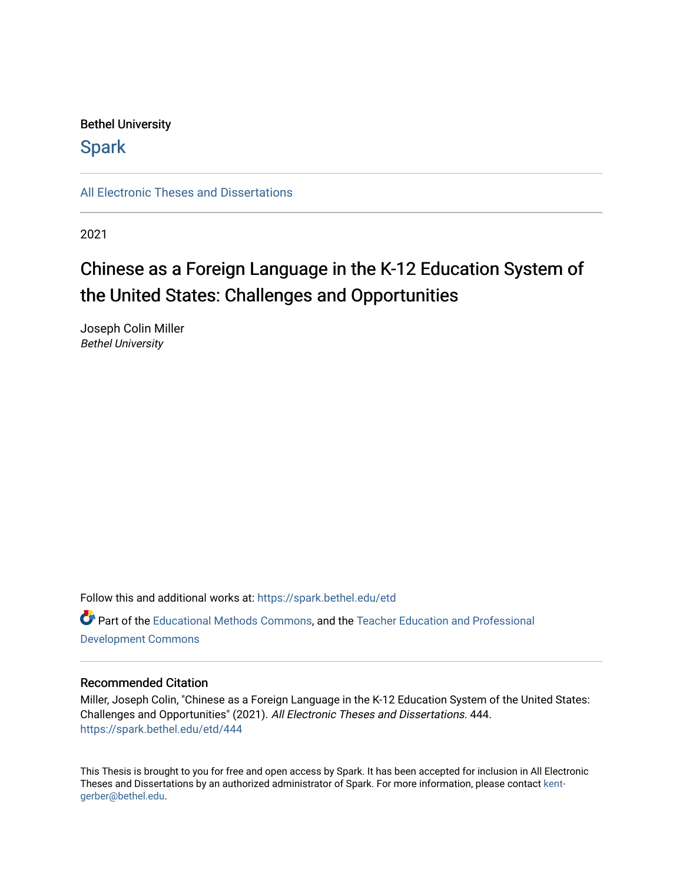# Bethel University

# **Spark**

[All Electronic Theses and Dissertations](https://spark.bethel.edu/etd) 

2021

# Chinese as a Foreign Language in the K-12 Education System of the United States: Challenges and Opportunities

Joseph Colin Miller Bethel University

Follow this and additional works at: [https://spark.bethel.edu/etd](https://spark.bethel.edu/etd?utm_source=spark.bethel.edu%2Fetd%2F444&utm_medium=PDF&utm_campaign=PDFCoverPages) Part of the [Educational Methods Commons,](http://network.bepress.com/hgg/discipline/1227?utm_source=spark.bethel.edu%2Fetd%2F444&utm_medium=PDF&utm_campaign=PDFCoverPages) and the [Teacher Education and Professional](http://network.bepress.com/hgg/discipline/803?utm_source=spark.bethel.edu%2Fetd%2F444&utm_medium=PDF&utm_campaign=PDFCoverPages)  [Development Commons](http://network.bepress.com/hgg/discipline/803?utm_source=spark.bethel.edu%2Fetd%2F444&utm_medium=PDF&utm_campaign=PDFCoverPages) 

# Recommended Citation

Miller, Joseph Colin, "Chinese as a Foreign Language in the K-12 Education System of the United States: Challenges and Opportunities" (2021). All Electronic Theses and Dissertations. 444. [https://spark.bethel.edu/etd/444](https://spark.bethel.edu/etd/444?utm_source=spark.bethel.edu%2Fetd%2F444&utm_medium=PDF&utm_campaign=PDFCoverPages)

This Thesis is brought to you for free and open access by Spark. It has been accepted for inclusion in All Electronic Theses and Dissertations by an authorized administrator of Spark. For more information, please contact [kent](mailto:kent-gerber@bethel.edu)[gerber@bethel.edu.](mailto:kent-gerber@bethel.edu)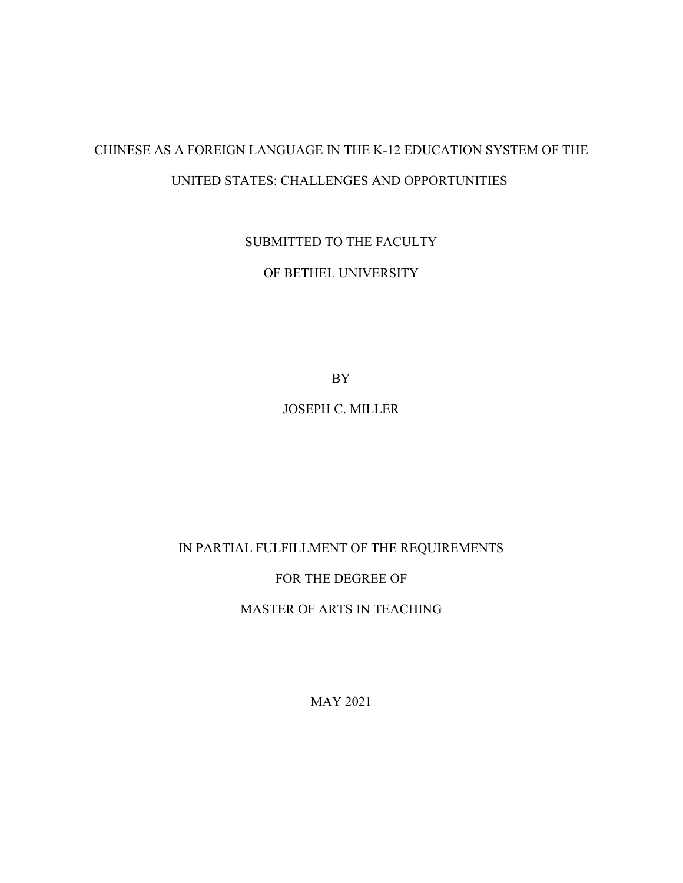# CHINESE AS A FOREIGN LANGUAGE IN THE K-12 EDUCATION SYSTEM OF THE UNITED STATES: CHALLENGES AND OPPORTUNITIES

SUBMITTED TO THE FACULTY

OF BETHEL UNIVERSITY

BY

JOSEPH C. MILLER

# IN PARTIAL FULFILLMENT OF THE REQUIREMENTS

# FOR THE DEGREE OF

MASTER OF ARTS IN TEACHING

MAY 2021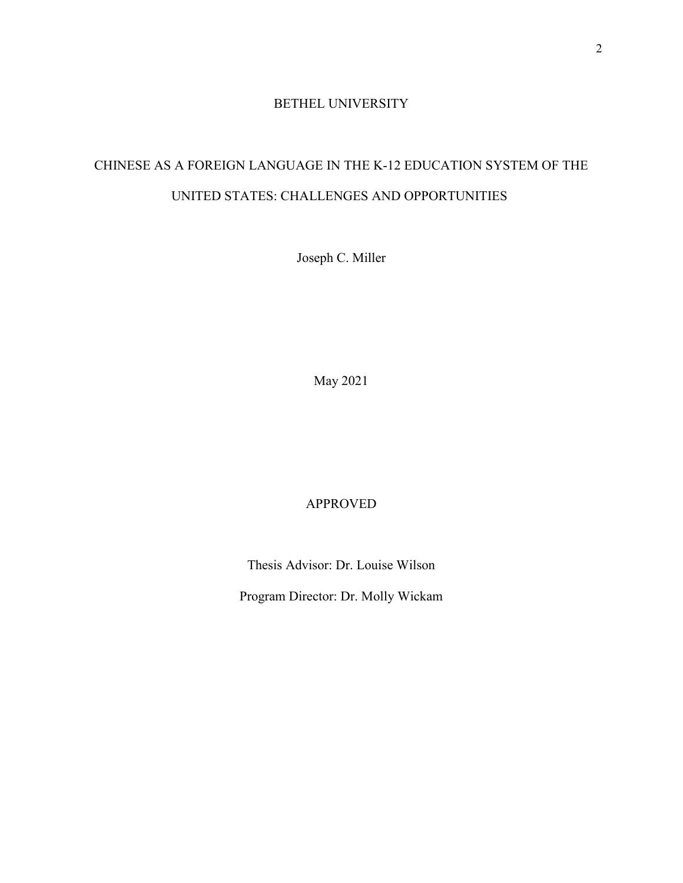# BETHEL UNIVERSITY

# CHINESE AS A FOREIGN LANGUAGE IN THE K-12 EDUCATION SYSTEM OF THE UNITED STATES: CHALLENGES AND OPPORTUNITIES

Joseph C. Miller

May 2021

# APPROVED

Thesis Advisor: Dr. Louise Wilson

Program Director: Dr. Molly Wickam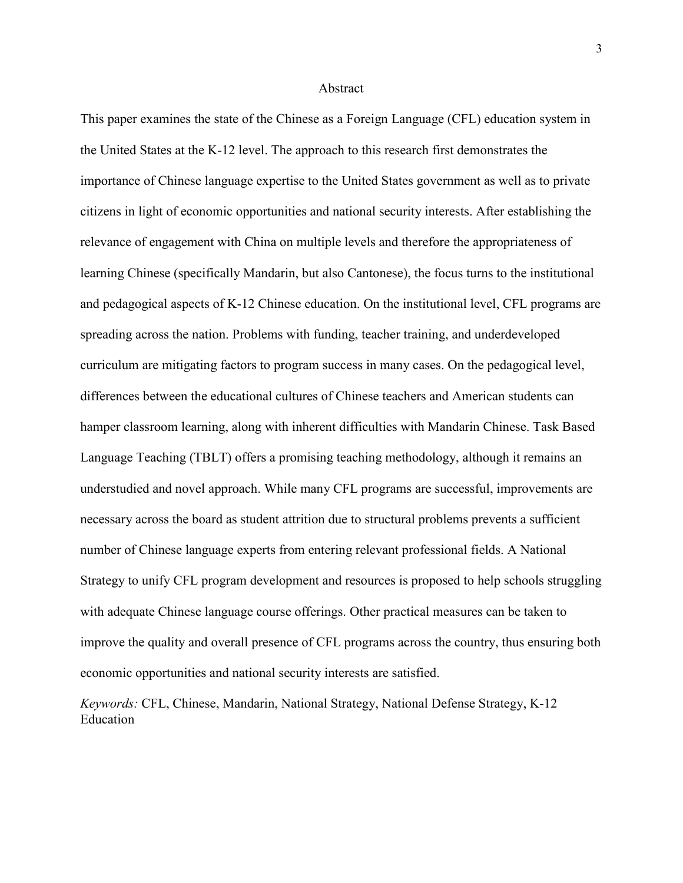### Abstract

This paper examines the state of the Chinese as a Foreign Language (CFL) education system in the United States at the K-12 level. The approach to this research first demonstrates the importance of Chinese language expertise to the United States government as well as to private citizens in light of economic opportunities and national security interests. After establishing the relevance of engagement with China on multiple levels and therefore the appropriateness of learning Chinese (specifically Mandarin, but also Cantonese), the focus turns to the institutional and pedagogical aspects of K-12 Chinese education. On the institutional level, CFL programs are spreading across the nation. Problems with funding, teacher training, and underdeveloped curriculum are mitigating factors to program success in many cases. On the pedagogical level, differences between the educational cultures of Chinese teachers and American students can hamper classroom learning, along with inherent difficulties with Mandarin Chinese. Task Based Language Teaching (TBLT) offers a promising teaching methodology, although it remains an understudied and novel approach. While many CFL programs are successful, improvements are necessary across the board as student attrition due to structural problems prevents a sufficient number of Chinese language experts from entering relevant professional fields. A National Strategy to unify CFL program development and resources is proposed to help schools struggling with adequate Chinese language course offerings. Other practical measures can be taken to improve the quality and overall presence of CFL programs across the country, thus ensuring both economic opportunities and national security interests are satisfied.

*Keywords:* CFL, Chinese, Mandarin, National Strategy, National Defense Strategy, K-12 Education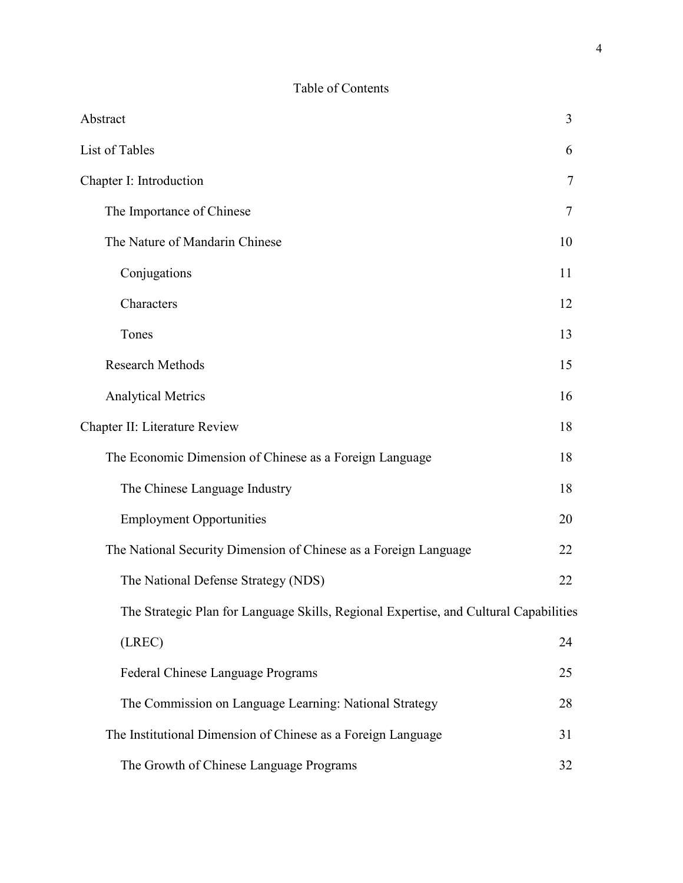# Table of Contents

| Abstract                                                                              | 3  |
|---------------------------------------------------------------------------------------|----|
| List of Tables                                                                        | 6  |
| Chapter I: Introduction                                                               | 7  |
| The Importance of Chinese                                                             |    |
| The Nature of Mandarin Chinese                                                        | 10 |
| Conjugations                                                                          | 11 |
| Characters                                                                            | 12 |
| Tones                                                                                 | 13 |
| <b>Research Methods</b>                                                               | 15 |
| <b>Analytical Metrics</b>                                                             | 16 |
| Chapter II: Literature Review                                                         | 18 |
| The Economic Dimension of Chinese as a Foreign Language                               | 18 |
| The Chinese Language Industry                                                         | 18 |
| <b>Employment Opportunities</b>                                                       | 20 |
| The National Security Dimension of Chinese as a Foreign Language                      | 22 |
| The National Defense Strategy (NDS)                                                   | 22 |
| The Strategic Plan for Language Skills, Regional Expertise, and Cultural Capabilities |    |
| (LREC)                                                                                | 24 |
| Federal Chinese Language Programs                                                     | 25 |
| The Commission on Language Learning: National Strategy                                | 28 |
| The Institutional Dimension of Chinese as a Foreign Language                          | 31 |
| The Growth of Chinese Language Programs                                               | 32 |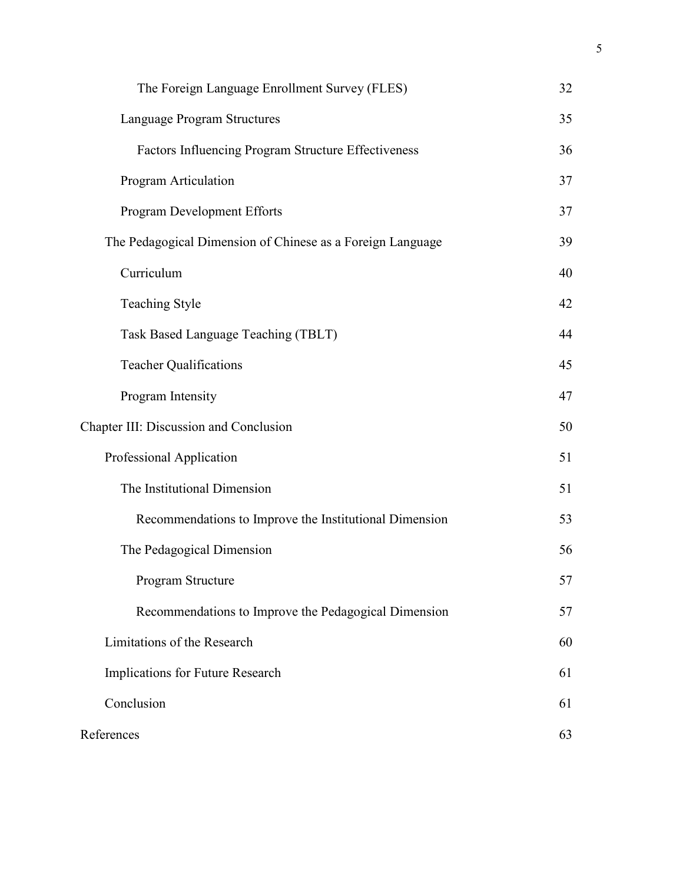| The Foreign Language Enrollment Survey (FLES)              | 32 |
|------------------------------------------------------------|----|
| Language Program Structures                                | 35 |
| Factors Influencing Program Structure Effectiveness        | 36 |
| Program Articulation                                       | 37 |
| Program Development Efforts                                | 37 |
| The Pedagogical Dimension of Chinese as a Foreign Language | 39 |
| Curriculum                                                 | 40 |
| <b>Teaching Style</b>                                      | 42 |
| Task Based Language Teaching (TBLT)                        | 44 |
| <b>Teacher Qualifications</b>                              | 45 |
| Program Intensity                                          | 47 |
| Chapter III: Discussion and Conclusion                     | 50 |
| Professional Application                                   | 51 |
| The Institutional Dimension                                | 51 |
| Recommendations to Improve the Institutional Dimension     | 53 |
| The Pedagogical Dimension                                  | 56 |
| Program Structure                                          | 57 |
| Recommendations to Improve the Pedagogical Dimension       | 57 |
| Limitations of the Research                                | 60 |
| Implications for Future Research                           | 61 |
| Conclusion                                                 | 61 |
| References                                                 | 63 |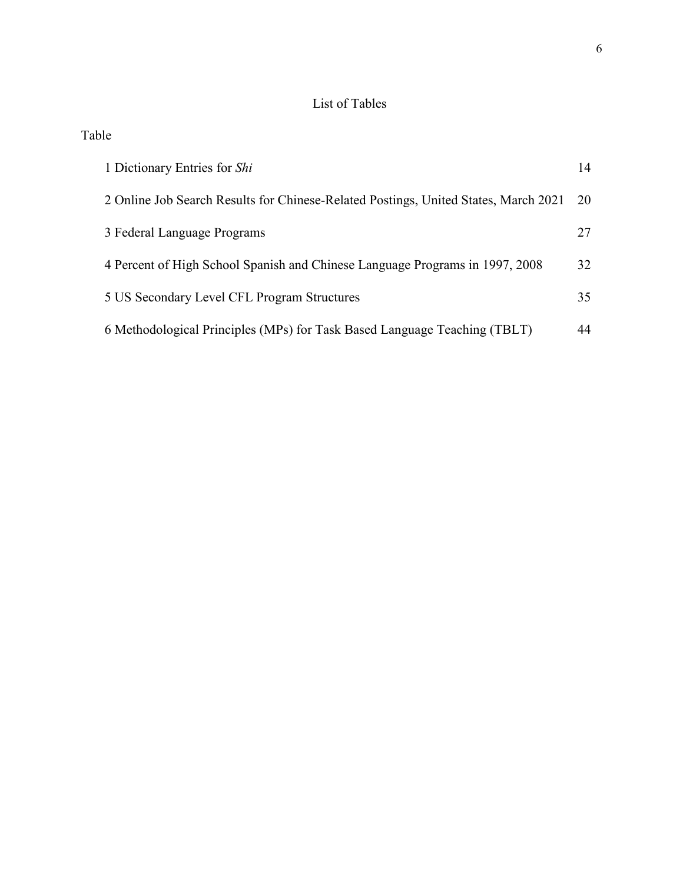# List of Tables

Table

| 1 Dictionary Entries for Shi                                                        | 14 |
|-------------------------------------------------------------------------------------|----|
| 2 Online Job Search Results for Chinese-Related Postings, United States, March 2021 | 20 |
| 3 Federal Language Programs                                                         | 27 |
| 4 Percent of High School Spanish and Chinese Language Programs in 1997, 2008        | 32 |
| 5 US Secondary Level CFL Program Structures                                         | 35 |
| 6 Methodological Principles (MPs) for Task Based Language Teaching (TBLT)           | 44 |
|                                                                                     |    |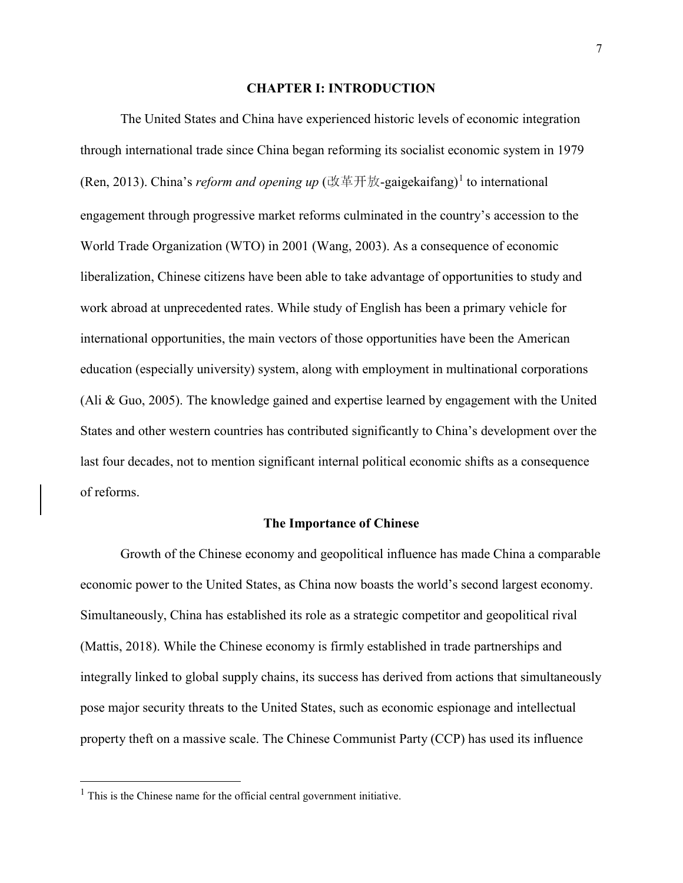### **CHAPTER I: INTRODUCTION**

The United States and China have experienced historic levels of economic integration through international trade since China began reforming its socialist economic system in 1979 (Ren, 20[1](#page-7-0)3). China's *reform and opening up* (改革开放-gaigekaifang)<sup>1</sup> to international engagement through progressive market reforms culminated in the country's accession to the World Trade Organization (WTO) in 2001 (Wang, 2003). As a consequence of economic liberalization, Chinese citizens have been able to take advantage of opportunities to study and work abroad at unprecedented rates. While study of English has been a primary vehicle for international opportunities, the main vectors of those opportunities have been the American education (especially university) system, along with employment in multinational corporations (Ali & Guo, 2005). The knowledge gained and expertise learned by engagement with the United States and other western countries has contributed significantly to China's development over the last four decades, not to mention significant internal political economic shifts as a consequence of reforms.

### **The Importance of Chinese**

Growth of the Chinese economy and geopolitical influence has made China a comparable economic power to the United States, as China now boasts the world's second largest economy. Simultaneously, China has established its role as a strategic competitor and geopolitical rival (Mattis, 2018). While the Chinese economy is firmly established in trade partnerships and integrally linked to global supply chains, its success has derived from actions that simultaneously pose major security threats to the United States, such as economic espionage and intellectual property theft on a massive scale. The Chinese Communist Party (CCP) has used its influence

 $\overline{a}$ 

<span id="page-7-0"></span> $<sup>1</sup>$  This is the Chinese name for the official central government initiative.</sup>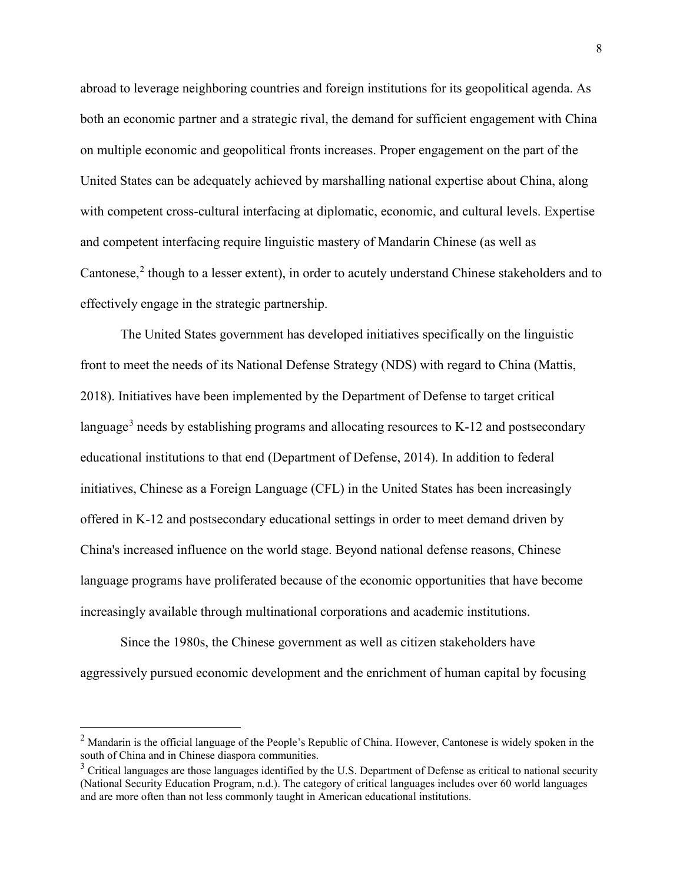abroad to leverage neighboring countries and foreign institutions for its geopolitical agenda. As both an economic partner and a strategic rival, the demand for sufficient engagement with China on multiple economic and geopolitical fronts increases. Proper engagement on the part of the United States can be adequately achieved by marshalling national expertise about China, along with competent cross-cultural interfacing at diplomatic, economic, and cultural levels. Expertise and competent interfacing require linguistic mastery of Mandarin Chinese (as well as Cantonese, $2$  though to a lesser extent), in order to acutely understand Chinese stakeholders and to effectively engage in the strategic partnership.

The United States government has developed initiatives specifically on the linguistic front to meet the needs of its National Defense Strategy (NDS) with regard to China (Mattis, 2018). Initiatives have been implemented by the Department of Defense to target critical language<sup>[3](#page-8-1)</sup> needs by establishing programs and allocating resources to K-12 and postsecondary educational institutions to that end (Department of Defense, 2014). In addition to federal initiatives, Chinese as a Foreign Language (CFL) in the United States has been increasingly offered in K-12 and postsecondary educational settings in order to meet demand driven by China's increased influence on the world stage. Beyond national defense reasons, Chinese language programs have proliferated because of the economic opportunities that have become increasingly available through multinational corporations and academic institutions.

Since the 1980s, the Chinese government as well as citizen stakeholders have aggressively pursued economic development and the enrichment of human capital by focusing

 $\overline{a}$ 

<span id="page-8-0"></span><sup>&</sup>lt;sup>2</sup> Mandarin is the official language of the People's Republic of China. However, Cantonese is widely spoken in the south of China and in Chinese diaspora communities.

<span id="page-8-1"></span><sup>&</sup>lt;sup>3</sup> Critical languages are those languages identified by the U.S. Department of Defense as critical to national security (National Security Education Program, n.d.). The category of critical languages includes over 60 world languages and are more often than not less commonly taught in American educational institutions.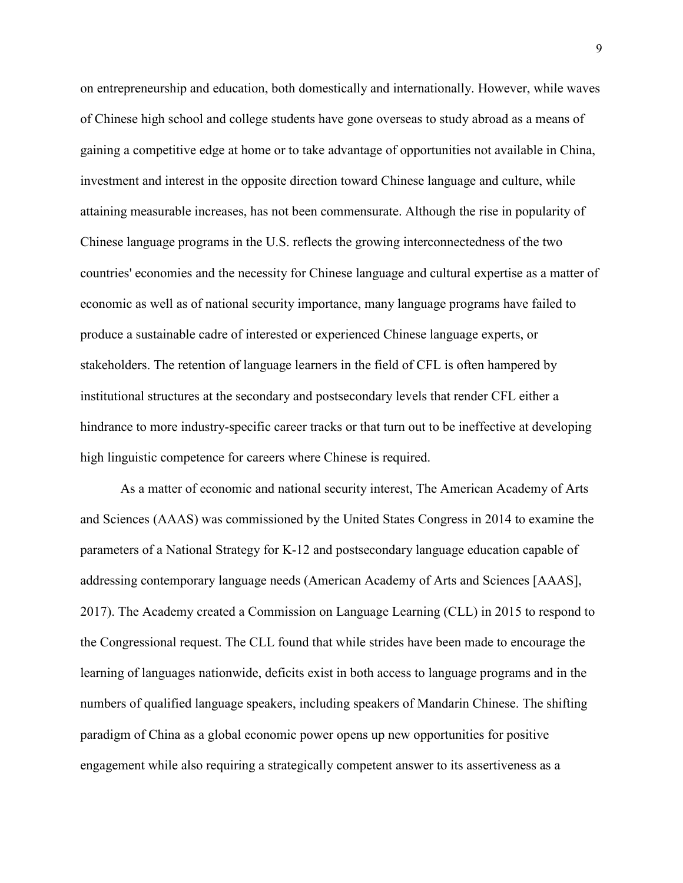on entrepreneurship and education, both domestically and internationally. However, while waves of Chinese high school and college students have gone overseas to study abroad as a means of gaining a competitive edge at home or to take advantage of opportunities not available in China, investment and interest in the opposite direction toward Chinese language and culture, while attaining measurable increases, has not been commensurate. Although the rise in popularity of Chinese language programs in the U.S. reflects the growing interconnectedness of the two countries' economies and the necessity for Chinese language and cultural expertise as a matter of economic as well as of national security importance, many language programs have failed to produce a sustainable cadre of interested or experienced Chinese language experts, or stakeholders. The retention of language learners in the field of CFL is often hampered by institutional structures at the secondary and postsecondary levels that render CFL either a hindrance to more industry-specific career tracks or that turn out to be ineffective at developing high linguistic competence for careers where Chinese is required.

As a matter of economic and national security interest, The American Academy of Arts and Sciences (AAAS) was commissioned by the United States Congress in 2014 to examine the parameters of a National Strategy for K-12 and postsecondary language education capable of addressing contemporary language needs (American Academy of Arts and Sciences [AAAS], 2017). The Academy created a Commission on Language Learning (CLL) in 2015 to respond to the Congressional request. The CLL found that while strides have been made to encourage the learning of languages nationwide, deficits exist in both access to language programs and in the numbers of qualified language speakers, including speakers of Mandarin Chinese. The shifting paradigm of China as a global economic power opens up new opportunities for positive engagement while also requiring a strategically competent answer to its assertiveness as a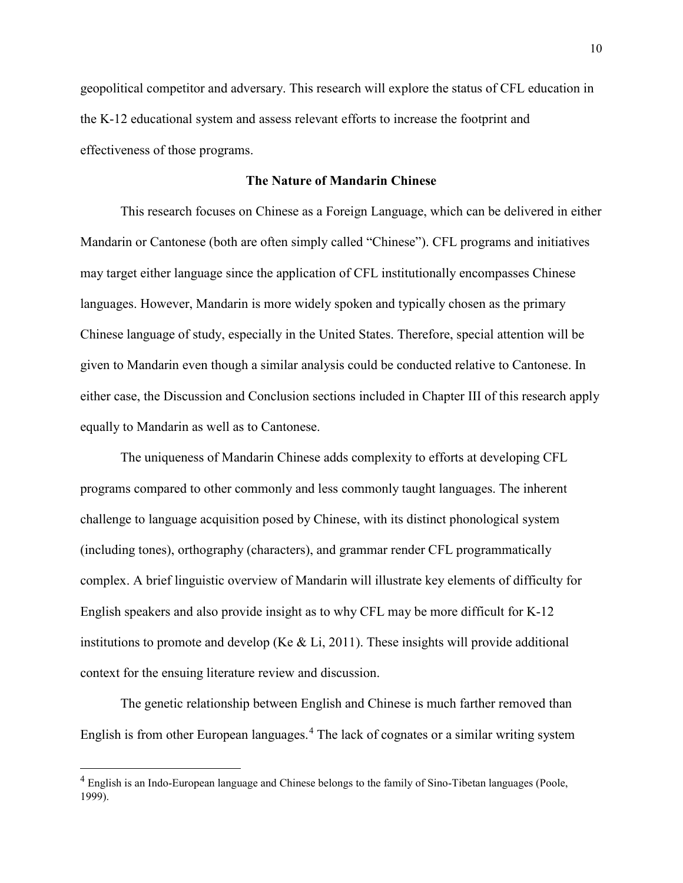geopolitical competitor and adversary. This research will explore the status of CFL education in the K-12 educational system and assess relevant efforts to increase the footprint and effectiveness of those programs.

### **The Nature of Mandarin Chinese**

This research focuses on Chinese as a Foreign Language, which can be delivered in either Mandarin or Cantonese (both are often simply called "Chinese"). CFL programs and initiatives may target either language since the application of CFL institutionally encompasses Chinese languages. However, Mandarin is more widely spoken and typically chosen as the primary Chinese language of study, especially in the United States. Therefore, special attention will be given to Mandarin even though a similar analysis could be conducted relative to Cantonese. In either case, the Discussion and Conclusion sections included in Chapter III of this research apply equally to Mandarin as well as to Cantonese.

The uniqueness of Mandarin Chinese adds complexity to efforts at developing CFL programs compared to other commonly and less commonly taught languages. The inherent challenge to language acquisition posed by Chinese, with its distinct phonological system (including tones), orthography (characters), and grammar render CFL programmatically complex. A brief linguistic overview of Mandarin will illustrate key elements of difficulty for English speakers and also provide insight as to why CFL may be more difficult for K-12 institutions to promote and develop (Ke & Li, 2011). These insights will provide additional context for the ensuing literature review and discussion.

The genetic relationship between English and Chinese is much farther removed than English is from other European languages.<sup>[4](#page-10-0)</sup> The lack of cognates or a similar writing system

 $\overline{a}$ 

<span id="page-10-0"></span><sup>&</sup>lt;sup>4</sup> English is an Indo-European language and Chinese belongs to the family of Sino-Tibetan languages (Poole, 1999).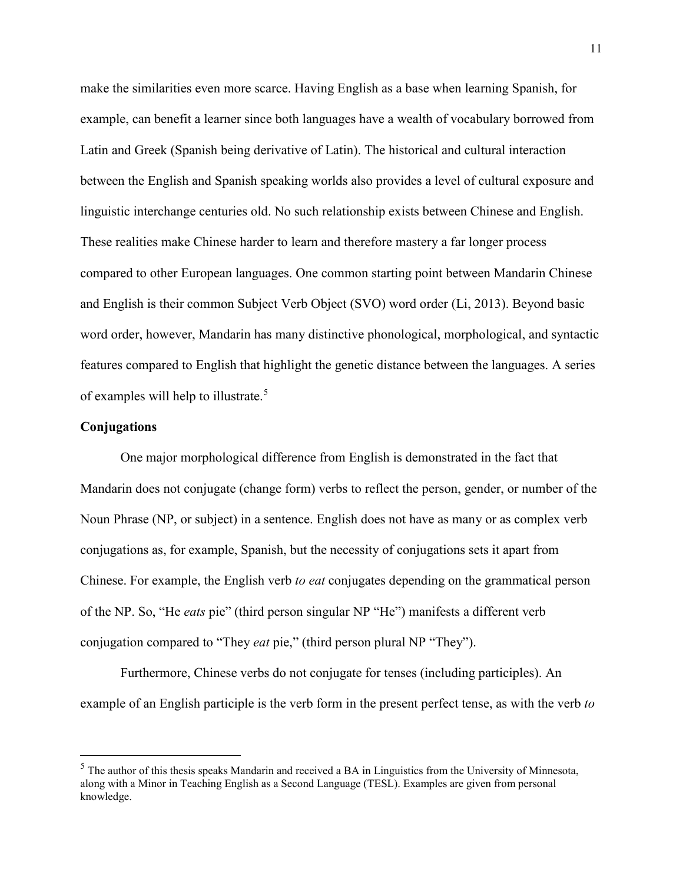make the similarities even more scarce. Having English as a base when learning Spanish, for example, can benefit a learner since both languages have a wealth of vocabulary borrowed from Latin and Greek (Spanish being derivative of Latin). The historical and cultural interaction between the English and Spanish speaking worlds also provides a level of cultural exposure and linguistic interchange centuries old. No such relationship exists between Chinese and English. These realities make Chinese harder to learn and therefore mastery a far longer process compared to other European languages. One common starting point between Mandarin Chinese and English is their common Subject Verb Object (SVO) word order (Li, 2013). Beyond basic word order, however, Mandarin has many distinctive phonological, morphological, and syntactic features compared to English that highlight the genetic distance between the languages. A series of examples will help to illustrate.<sup>[5](#page-11-0)</sup>

# **Conjugations**

 $\overline{a}$ 

One major morphological difference from English is demonstrated in the fact that Mandarin does not conjugate (change form) verbs to reflect the person, gender, or number of the Noun Phrase (NP, or subject) in a sentence. English does not have as many or as complex verb conjugations as, for example, Spanish, but the necessity of conjugations sets it apart from Chinese. For example, the English verb *to eat* conjugates depending on the grammatical person of the NP. So, "He *eats* pie" (third person singular NP "He") manifests a different verb conjugation compared to "They *eat* pie," (third person plural NP "They").

Furthermore, Chinese verbs do not conjugate for tenses (including participles). An example of an English participle is the verb form in the present perfect tense, as with the verb *to* 

<span id="page-11-0"></span><sup>&</sup>lt;sup>5</sup> The author of this thesis speaks Mandarin and received a BA in Linguistics from the University of Minnesota, along with a Minor in Teaching English as a Second Language (TESL). Examples are given from personal knowledge.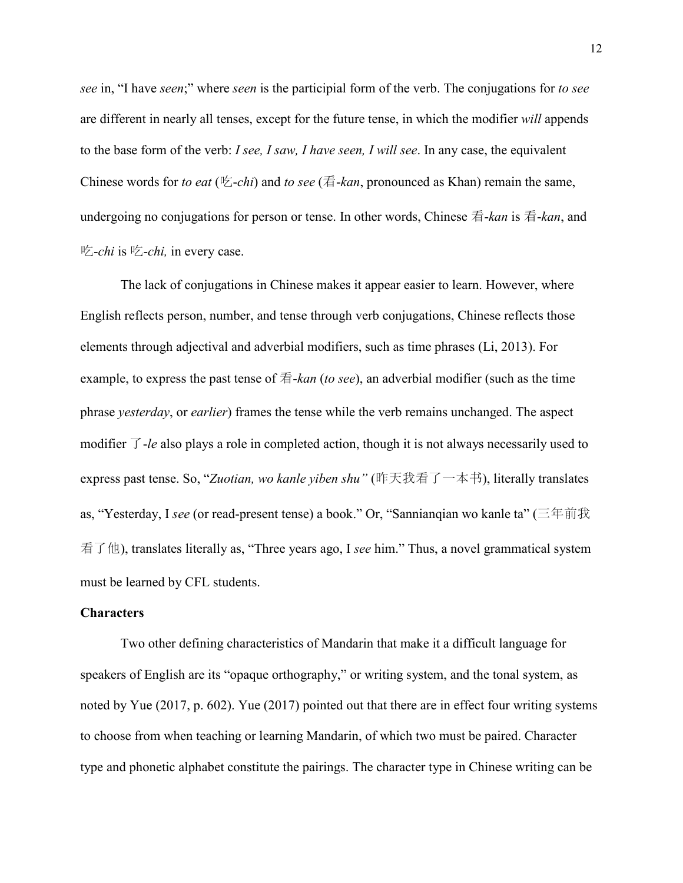*see* in, "I have *seen*;" where *seen* is the participial form of the verb. The conjugations for *to see* are different in nearly all tenses, except for the future tense, in which the modifier *will* appends to the base form of the verb: *I see, I saw, I have seen, I will see*. In any case, the equivalent Chinese words for *to eat* (吃-*chi*) and *to see* (看-*kan*, pronounced as Khan) remain the same, undergoing no conjugations for person or tense. In other words, Chinese 看-*kan* is 看-*kan*, and 吃-*chi* is 吃-*chi,* in every case.

The lack of conjugations in Chinese makes it appear easier to learn. However, where English reflects person, number, and tense through verb conjugations, Chinese reflects those elements through adjectival and adverbial modifiers, such as time phrases (Li, 2013). For example, to express the past tense of 看-*kan* (*to see*), an adverbial modifier (such as the time phrase *yesterday*, or *earlier*) frames the tense while the verb remains unchanged. The aspect modifier 了-*le* also plays a role in completed action, though it is not always necessarily used to express past tense. So, "*Zuotian, wo kanle yiben shu"* (昨天我看了一本书), literally translates as, "Yesterday, I *see* (or read-present tense) a book." Or, "Sannianqian wo kanle ta" (三年前我 看了他), translates literally as, "Three years ago, I *see* him." Thus, a novel grammatical system must be learned by CFL students.

# **Characters**

Two other defining characteristics of Mandarin that make it a difficult language for speakers of English are its "opaque orthography," or writing system, and the tonal system, as noted by Yue (2017, p. 602). Yue (2017) pointed out that there are in effect four writing systems to choose from when teaching or learning Mandarin, of which two must be paired. Character type and phonetic alphabet constitute the pairings. The character type in Chinese writing can be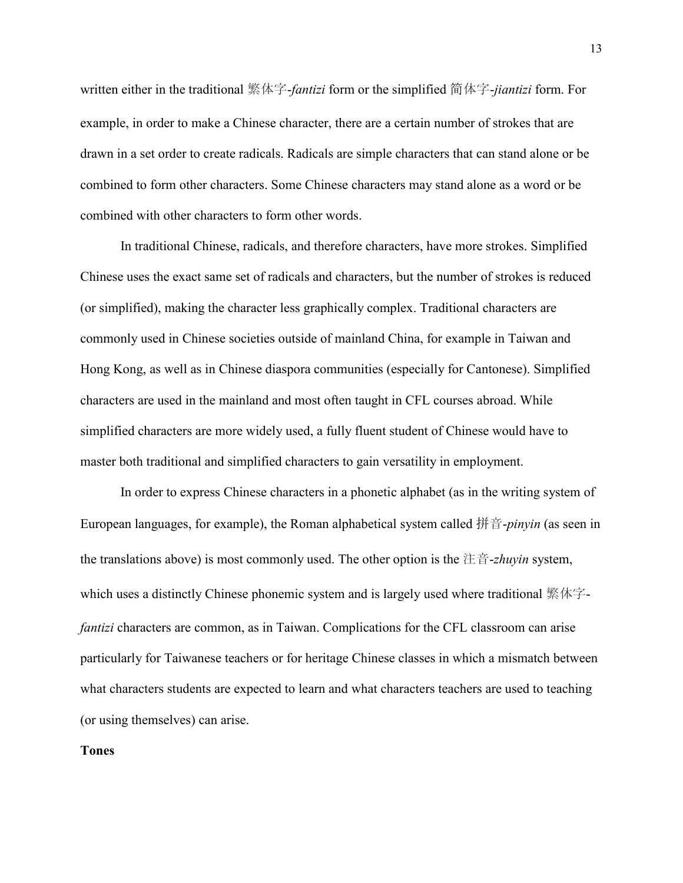written either in the traditional 繁体字-*fantizi* form or the simplified 简体字-*jiantizi* form. For example, in order to make a Chinese character, there are a certain number of strokes that are drawn in a set order to create radicals. Radicals are simple characters that can stand alone or be combined to form other characters. Some Chinese characters may stand alone as a word or be combined with other characters to form other words.

In traditional Chinese, radicals, and therefore characters, have more strokes. Simplified Chinese uses the exact same set of radicals and characters, but the number of strokes is reduced (or simplified), making the character less graphically complex. Traditional characters are commonly used in Chinese societies outside of mainland China, for example in Taiwan and Hong Kong, as well as in Chinese diaspora communities (especially for Cantonese). Simplified characters are used in the mainland and most often taught in CFL courses abroad. While simplified characters are more widely used, a fully fluent student of Chinese would have to master both traditional and simplified characters to gain versatility in employment.

In order to express Chinese characters in a phonetic alphabet (as in the writing system of European languages, for example), the Roman alphabetical system called 拼音-*pinyin* (as seen in the translations above) is most commonly used. The other option is the 注音-*zhuyin* system, which uses a distinctly Chinese phonemic system and is largely used where traditional 繁体字*fantizi* characters are common, as in Taiwan. Complications for the CFL classroom can arise particularly for Taiwanese teachers or for heritage Chinese classes in which a mismatch between what characters students are expected to learn and what characters teachers are used to teaching (or using themselves) can arise.

# **Tones**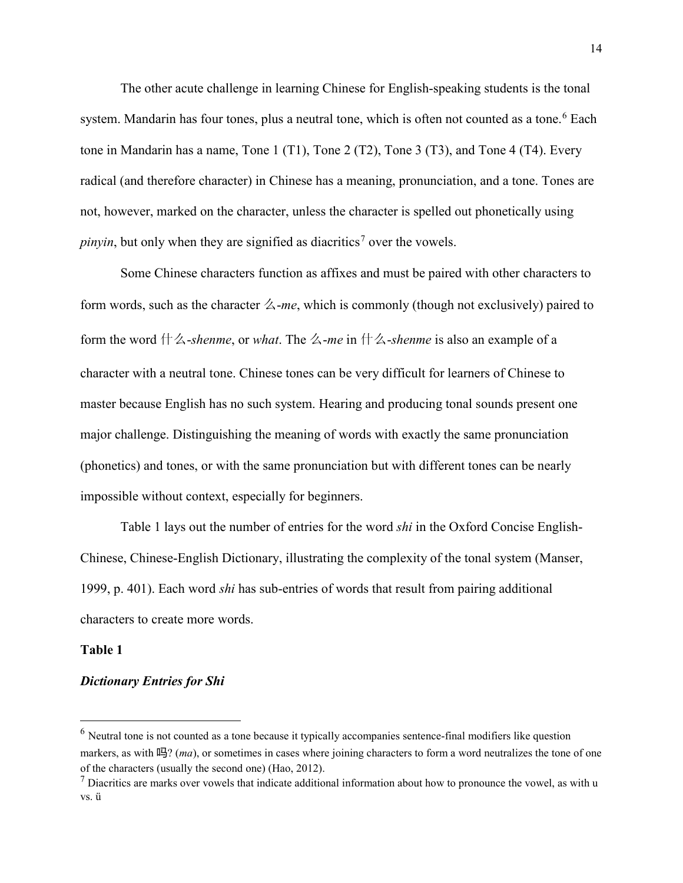The other acute challenge in learning Chinese for English-speaking students is the tonal system. Mandarin has four tones, plus a neutral tone, which is often not counted as a tone.<sup>[6](#page-14-0)</sup> Each tone in Mandarin has a name, Tone 1 (T1), Tone 2 (T2), Tone 3 (T3), and Tone 4 (T4). Every radical (and therefore character) in Chinese has a meaning, pronunciation, and a tone. Tones are not, however, marked on the character, unless the character is spelled out phonetically using *pinyin*, but only when they are signified as diacritics<sup>[7](#page-14-1)</sup> over the vowels.

Some Chinese characters function as affixes and must be paired with other characters to form words, such as the character  $\angle$ -*me*, which is commonly (though not exclusively) paired to form the word 什么-*shenme*, or *what*. The 么-*me* in 什么-*shenme* is also an example of a character with a neutral tone. Chinese tones can be very difficult for learners of Chinese to master because English has no such system. Hearing and producing tonal sounds present one major challenge. Distinguishing the meaning of words with exactly the same pronunciation (phonetics) and tones, or with the same pronunciation but with different tones can be nearly impossible without context, especially for beginners.

Table 1 lays out the number of entries for the word *shi* in the Oxford Concise English-Chinese, Chinese-English Dictionary, illustrating the complexity of the tonal system (Manser, 1999, p. 401). Each word *shi* has sub-entries of words that result from pairing additional characters to create more words.

### **Table 1**

 $\overline{a}$ 

# *Dictionary Entries for Shi*

<span id="page-14-0"></span> $<sup>6</sup>$  Neutral tone is not counted as a tone because it typically accompanies sentence-final modifiers like question</sup> markers, as with 吗? (*ma*), or sometimes in cases where joining characters to form a word neutralizes the tone of one of the characters (usually the second one) (Hao, 2012).

<span id="page-14-1"></span> $<sup>7</sup>$  Diacritics are marks over vowels that indicate additional information about how to pronounce the vowel, as with u</sup> vs. ü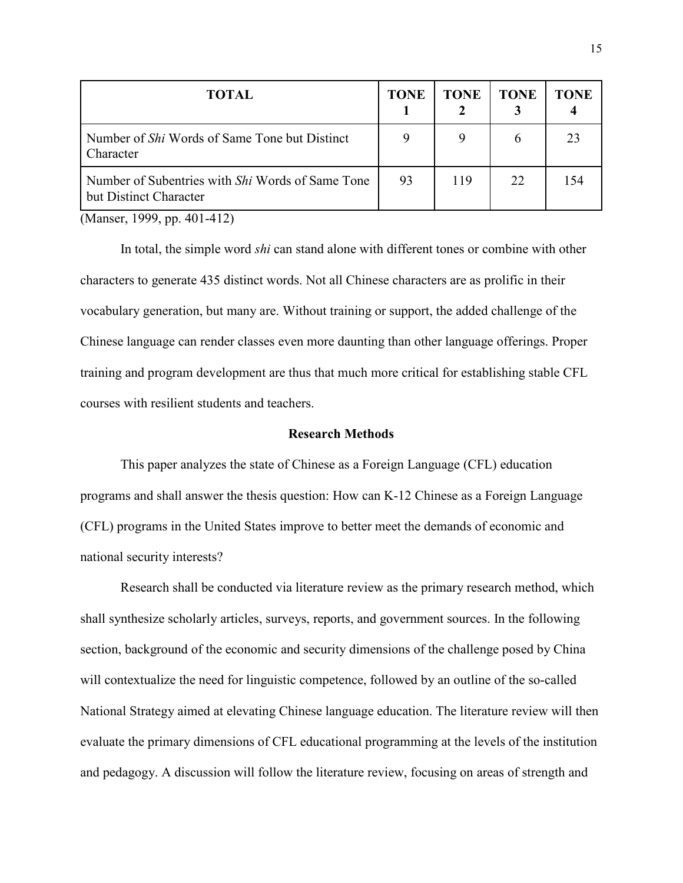| <b>TOTAL</b>                                                                      | <b>TONE</b> | <b>TONE</b> | TONE | TONE |
|-----------------------------------------------------------------------------------|-------------|-------------|------|------|
| Number of <i>Shi</i> Words of Same Tone but Distinct<br>Character                 | 9           | 9           |      | 23   |
| Number of Subentries with <i>Shi</i> Words of Same Tone<br>but Distinct Character | 93          | 119         | 22   | 154  |

(Manser, 1999, pp. 401-412)

 In total, the simple word *shi* can stand alone with different tones or combine with other characters to generate 435 distinct words. Not all Chinese characters are as prolific in their vocabulary generation, but many are. Without training or support, the added challenge of the Chinese language can render classes even more daunting than other language offerings. Proper training and program development are thus that much more critical for establishing stable CFL courses with resilient students and teachers.

### **Research Methods**

This paper analyzes the state of Chinese as a Foreign Language (CFL) education programs and shall answer the thesis question: How can K-12 Chinese as a Foreign Language (CFL) programs in the United States improve to better meet the demands of economic and national security interests?

Research shall be conducted via literature review as the primary research method, which shall synthesize scholarly articles, surveys, reports, and government sources. In the following section, background of the economic and security dimensions of the challenge posed by China will contextualize the need for linguistic competence, followed by an outline of the so-called National Strategy aimed at elevating Chinese language education. The literature review will then evaluate the primary dimensions of CFL educational programming at the levels of the institution and pedagogy. A discussion will follow the literature review, focusing on areas of strength and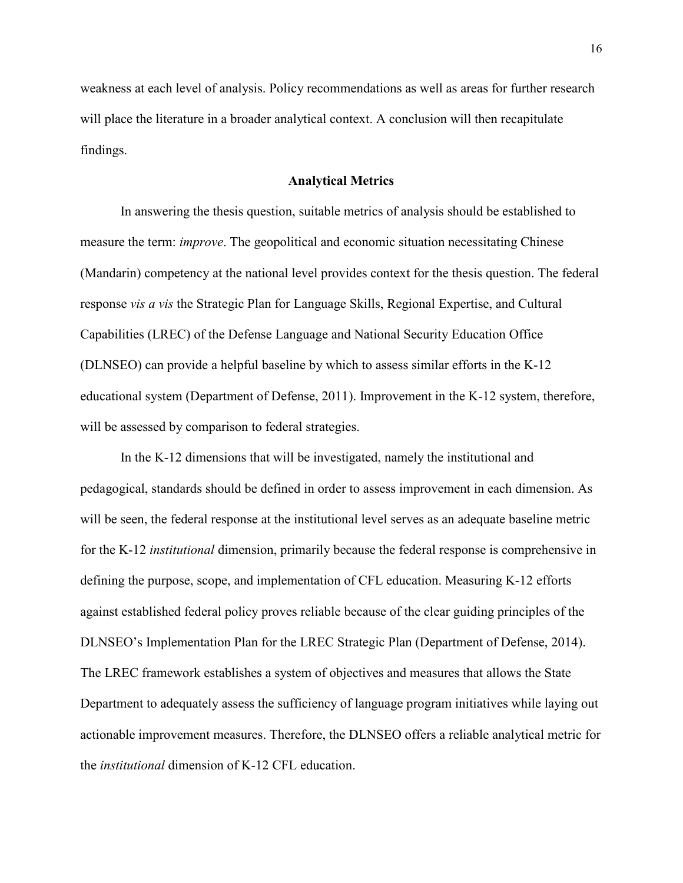weakness at each level of analysis. Policy recommendations as well as areas for further research will place the literature in a broader analytical context. A conclusion will then recapitulate findings.

### **Analytical Metrics**

In answering the thesis question, suitable metrics of analysis should be established to measure the term: *improve*. The geopolitical and economic situation necessitating Chinese (Mandarin) competency at the national level provides context for the thesis question. The federal response *vis a vis* the Strategic Plan for Language Skills, Regional Expertise, and Cultural Capabilities (LREC) of the Defense Language and National Security Education Office (DLNSEO) can provide a helpful baseline by which to assess similar efforts in the K-12 educational system (Department of Defense, 2011). Improvement in the K-12 system, therefore, will be assessed by comparison to federal strategies.

In the K-12 dimensions that will be investigated, namely the institutional and pedagogical, standards should be defined in order to assess improvement in each dimension. As will be seen, the federal response at the institutional level serves as an adequate baseline metric for the K-12 *institutional* dimension, primarily because the federal response is comprehensive in defining the purpose, scope, and implementation of CFL education. Measuring K-12 efforts against established federal policy proves reliable because of the clear guiding principles of the DLNSEO's Implementation Plan for the LREC Strategic Plan (Department of Defense, 2014). The LREC framework establishes a system of objectives and measures that allows the State Department to adequately assess the sufficiency of language program initiatives while laying out actionable improvement measures. Therefore, the DLNSEO offers a reliable analytical metric for the *institutional* dimension of K-12 CFL education.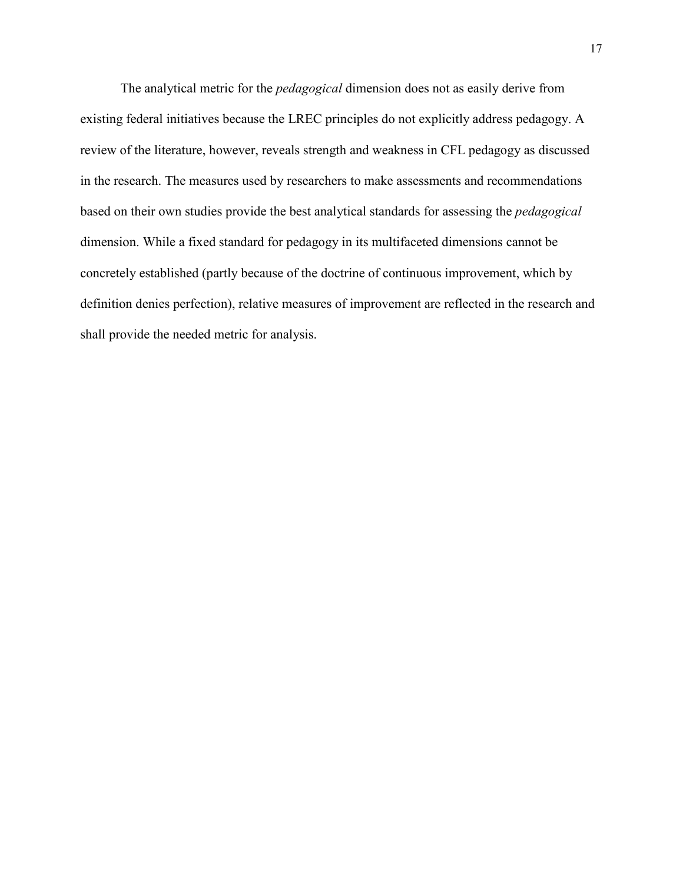The analytical metric for the *pedagogical* dimension does not as easily derive from existing federal initiatives because the LREC principles do not explicitly address pedagogy. A review of the literature, however, reveals strength and weakness in CFL pedagogy as discussed in the research. The measures used by researchers to make assessments and recommendations based on their own studies provide the best analytical standards for assessing the *pedagogical* dimension. While a fixed standard for pedagogy in its multifaceted dimensions cannot be concretely established (partly because of the doctrine of continuous improvement, which by definition denies perfection), relative measures of improvement are reflected in the research and shall provide the needed metric for analysis.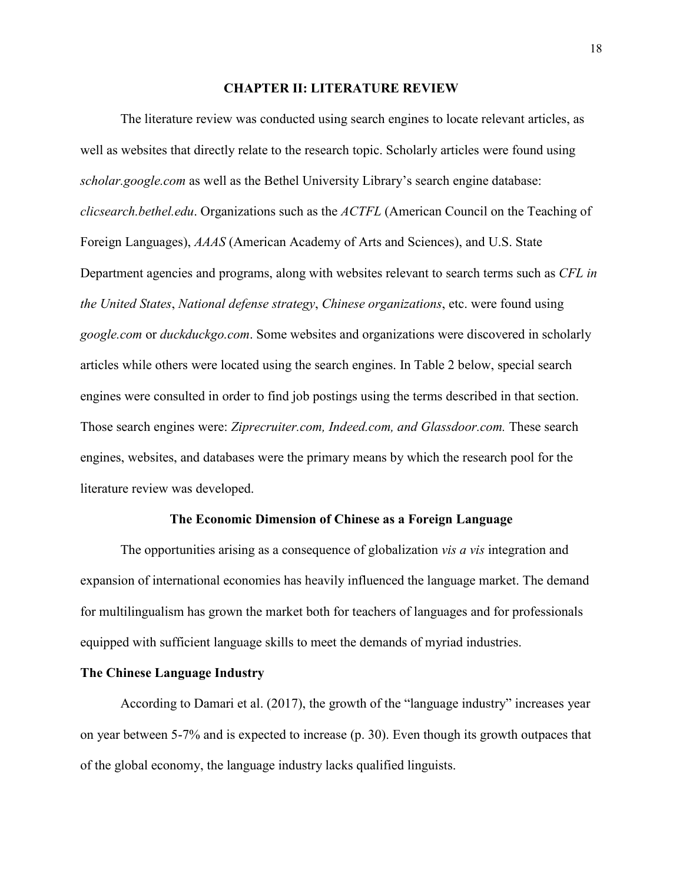### **CHAPTER II: LITERATURE REVIEW**

 The literature review was conducted using search engines to locate relevant articles, as well as websites that directly relate to the research topic. Scholarly articles were found using *scholar.google.com* as well as the Bethel University Library's search engine database: *clicsearch.bethel.edu*. Organizations such as the *ACTFL* (American Council on the Teaching of Foreign Languages), *AAAS* (American Academy of Arts and Sciences), and U.S. State Department agencies and programs, along with websites relevant to search terms such as *CFL in the United States*, *National defense strategy*, *Chinese organizations*, etc. were found using *google.com* or *duckduckgo.com*. Some websites and organizations were discovered in scholarly articles while others were located using the search engines. In Table 2 below, special search engines were consulted in order to find job postings using the terms described in that section. Those search engines were: *Ziprecruiter.com, Indeed.com, and Glassdoor.com.* These search engines, websites, and databases were the primary means by which the research pool for the literature review was developed.

#### **The Economic Dimension of Chinese as a Foreign Language**

The opportunities arising as a consequence of globalization *vis a vis* integration and expansion of international economies has heavily influenced the language market. The demand for multilingualism has grown the market both for teachers of languages and for professionals equipped with sufficient language skills to meet the demands of myriad industries.

### **The Chinese Language Industry**

According to Damari et al. (2017), the growth of the "language industry" increases year on year between 5-7% and is expected to increase (p. 30). Even though its growth outpaces that of the global economy, the language industry lacks qualified linguists.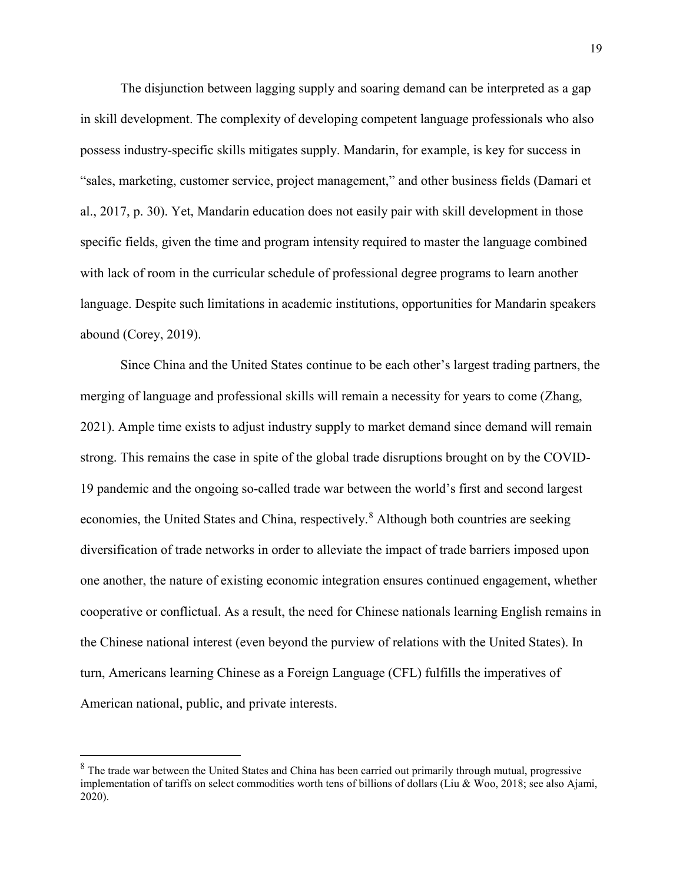The disjunction between lagging supply and soaring demand can be interpreted as a gap in skill development. The complexity of developing competent language professionals who also possess industry-specific skills mitigates supply. Mandarin, for example, is key for success in "sales, marketing, customer service, project management," and other business fields (Damari et al., 2017, p. 30). Yet, Mandarin education does not easily pair with skill development in those specific fields, given the time and program intensity required to master the language combined with lack of room in the curricular schedule of professional degree programs to learn another language. Despite such limitations in academic institutions, opportunities for Mandarin speakers abound (Corey, 2019).

Since China and the United States continue to be each other's largest trading partners, the merging of language and professional skills will remain a necessity for years to come (Zhang, 2021). Ample time exists to adjust industry supply to market demand since demand will remain strong. This remains the case in spite of the global trade disruptions brought on by the COVID-19 pandemic and the ongoing so-called trade war between the world's first and second largest economies, the United States and China, respectively.<sup>[8](#page-19-0)</sup> Although both countries are seeking diversification of trade networks in order to alleviate the impact of trade barriers imposed upon one another, the nature of existing economic integration ensures continued engagement, whether cooperative or conflictual. As a result, the need for Chinese nationals learning English remains in the Chinese national interest (even beyond the purview of relations with the United States). In turn, Americans learning Chinese as a Foreign Language (CFL) fulfills the imperatives of American national, public, and private interests.

 $\overline{a}$ 

<span id="page-19-0"></span><sup>&</sup>lt;sup>8</sup> The trade war between the United States and China has been carried out primarily through mutual, progressive implementation of tariffs on select commodities worth tens of billions of dollars (Liu & Woo, 2018; see also Ajami, 2020).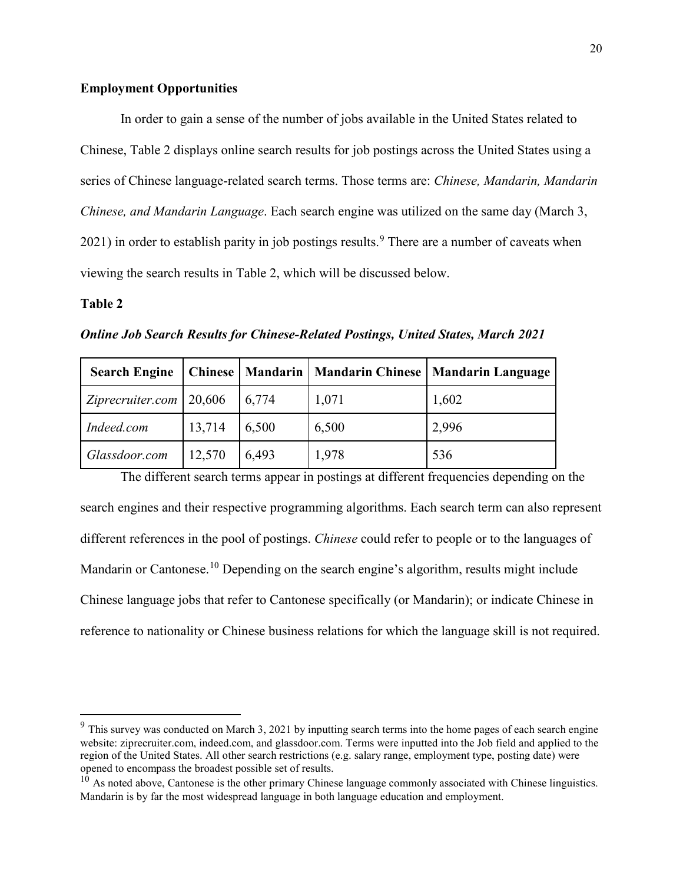# **Employment Opportunities**

In order to gain a sense of the number of jobs available in the United States related to Chinese, Table 2 displays online search results for job postings across the United States using a series of Chinese language-related search terms. Those terms are: *Chinese, Mandarin, Mandarin Chinese, and Mandarin Language*. Each search engine was utilized on the same day (March 3,  $2021$ ) in order to establish parity in job postings results.<sup>[9](#page-20-0)</sup> There are a number of caveats when viewing the search results in Table 2, which will be discussed below.

## **Table 2**

 $\overline{a}$ 

*Online Job Search Results for Chinese-Related Postings, United States, March 2021*

| <b>Search Engine</b>        |        |       |       | Chinese   Mandarin   Mandarin Chinese   Mandarin Language |
|-----------------------------|--------|-------|-------|-----------------------------------------------------------|
| Ziprecruiter.com   $20,606$ |        | 6,774 | 1,071 | 1,602                                                     |
| Indeed.com                  | 13,714 | 6,500 | 6,500 | 2,996                                                     |
| Glassdoor.com               | 12,570 | 6,493 | 1,978 | 536                                                       |

The different search terms appear in postings at different frequencies depending on the search engines and their respective programming algorithms. Each search term can also represent different references in the pool of postings. *Chinese* could refer to people or to the languages of Mandarin or Cantonese.<sup>[10](#page-20-1)</sup> Depending on the search engine's algorithm, results might include Chinese language jobs that refer to Cantonese specifically (or Mandarin); or indicate Chinese in reference to nationality or Chinese business relations for which the language skill is not required.

<span id="page-20-0"></span> $9$  This survey was conducted on March 3, 2021 by inputting search terms into the home pages of each search engine website: ziprecruiter.com, indeed.com, and glassdoor.com. Terms were inputted into the Job field and applied to the region of the United States. All other search restrictions (e.g. salary range, employment type, posting date) were opened to encompass the broadest possible set of results.

<span id="page-20-1"></span> $10$  As noted above, Cantonese is the other primary Chinese language commonly associated with Chinese linguistics. Mandarin is by far the most widespread language in both language education and employment.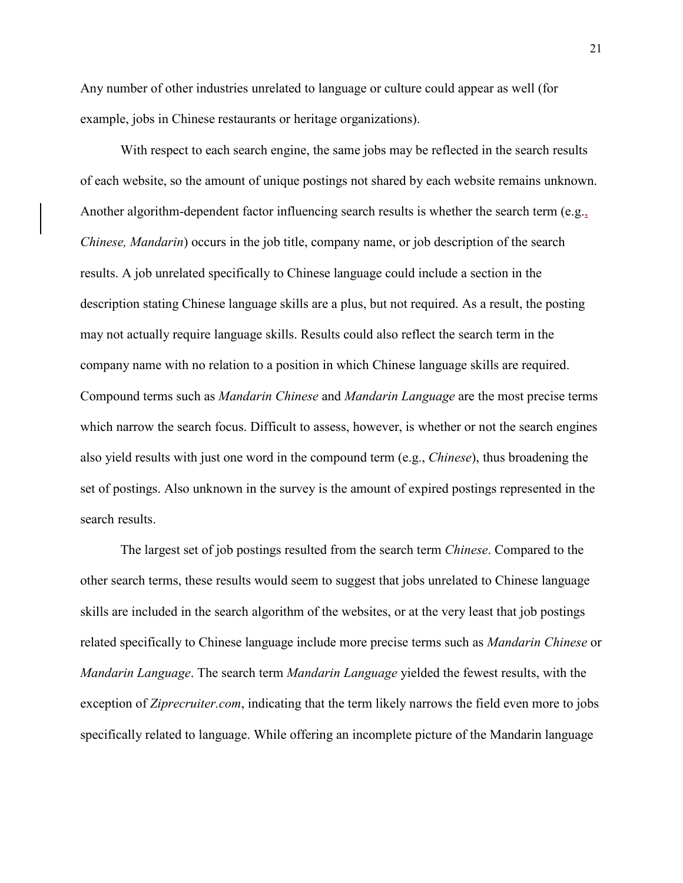Any number of other industries unrelated to language or culture could appear as well (for example, jobs in Chinese restaurants or heritage organizations).

With respect to each search engine, the same jobs may be reflected in the search results of each website, so the amount of unique postings not shared by each website remains unknown. Another algorithm-dependent factor influencing search results is whether the search term (e.g., *Chinese, Mandarin*) occurs in the job title, company name, or job description of the search results. A job unrelated specifically to Chinese language could include a section in the description stating Chinese language skills are a plus, but not required. As a result, the posting may not actually require language skills. Results could also reflect the search term in the company name with no relation to a position in which Chinese language skills are required. Compound terms such as *Mandarin Chinese* and *Mandarin Language* are the most precise terms which narrow the search focus. Difficult to assess, however, is whether or not the search engines also yield results with just one word in the compound term (e.g., *Chinese*), thus broadening the set of postings. Also unknown in the survey is the amount of expired postings represented in the search results.

The largest set of job postings resulted from the search term *Chinese*. Compared to the other search terms, these results would seem to suggest that jobs unrelated to Chinese language skills are included in the search algorithm of the websites, or at the very least that job postings related specifically to Chinese language include more precise terms such as *Mandarin Chinese* or *Mandarin Language*. The search term *Mandarin Language* yielded the fewest results, with the exception of *Ziprecruiter.com*, indicating that the term likely narrows the field even more to jobs specifically related to language. While offering an incomplete picture of the Mandarin language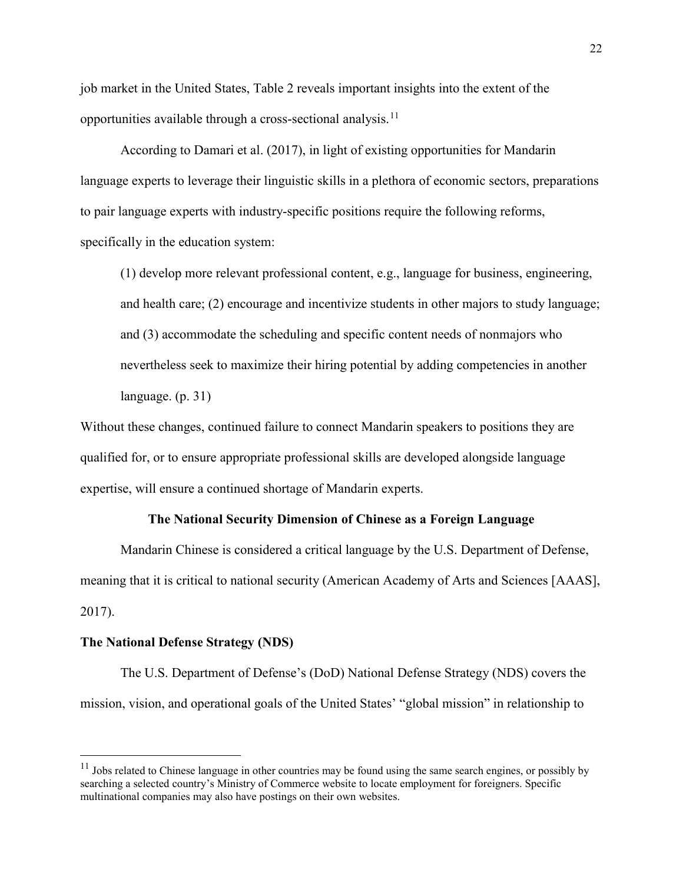job market in the United States, Table 2 reveals important insights into the extent of the opportunities available through a cross-sectional analysis.<sup>11</sup>

According to Damari et al. (2017), in light of existing opportunities for Mandarin language experts to leverage their linguistic skills in a plethora of economic sectors, preparations to pair language experts with industry-specific positions require the following reforms, specifically in the education system:

(1) develop more relevant professional content, e.g., language for business, engineering, and health care; (2) encourage and incentivize students in other majors to study language; and (3) accommodate the scheduling and specific content needs of nonmajors who nevertheless seek to maximize their hiring potential by adding competencies in another language. (p. 31)

Without these changes, continued failure to connect Mandarin speakers to positions they are qualified for, or to ensure appropriate professional skills are developed alongside language expertise, will ensure a continued shortage of Mandarin experts.

### **The National Security Dimension of Chinese as a Foreign Language**

Mandarin Chinese is considered a critical language by the U.S. Department of Defense, meaning that it is critical to national security (American Academy of Arts and Sciences [AAAS], 2017).

### **The National Defense Strategy (NDS)**

 $\overline{a}$ 

The U.S. Department of Defense's (DoD) National Defense Strategy (NDS) covers the mission, vision, and operational goals of the United States' "global mission" in relationship to

<span id="page-22-0"></span> $11$  Jobs related to Chinese language in other countries may be found using the same search engines, or possibly by searching a selected country's Ministry of Commerce website to locate employment for foreigners. Specific multinational companies may also have postings on their own websites.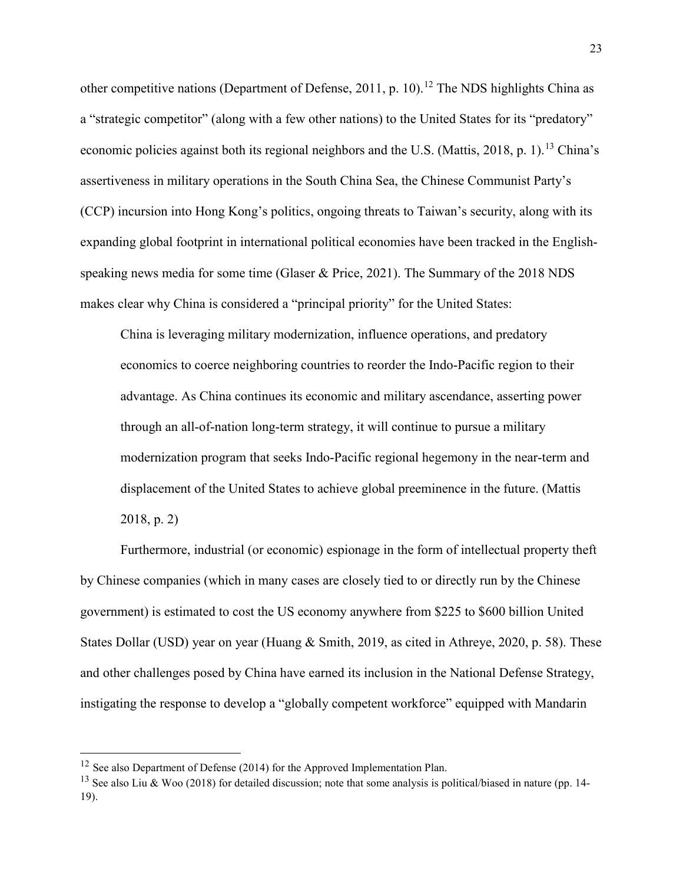other competitive nations (Department of Defense, 2011, p. 10).<sup>12</sup> The NDS highlights China as a "strategic competitor" (along with a few other nations) to the United States for its "predatory" economic policies against both its regional neighbors and the U.S. (Mattis, 2018, p. 1).<sup>[13](#page-23-1)</sup> China's assertiveness in military operations in the South China Sea, the Chinese Communist Party's (CCP) incursion into Hong Kong's politics, ongoing threats to Taiwan's security, along with its expanding global footprint in international political economies have been tracked in the Englishspeaking news media for some time (Glaser & Price, 2021). The Summary of the 2018 NDS makes clear why China is considered a "principal priority" for the United States:

China is leveraging military modernization, influence operations, and predatory economics to coerce neighboring countries to reorder the Indo-Pacific region to their advantage. As China continues its economic and military ascendance, asserting power through an all-of-nation long-term strategy, it will continue to pursue a military modernization program that seeks Indo-Pacific regional hegemony in the near-term and displacement of the United States to achieve global preeminence in the future. (Mattis 2018, p. 2)

Furthermore, industrial (or economic) espionage in the form of intellectual property theft by Chinese companies (which in many cases are closely tied to or directly run by the Chinese government) is estimated to cost the US economy anywhere from \$225 to \$600 billion United States Dollar (USD) year on year (Huang & Smith, 2019, as cited in Athreye, 2020, p. 58). These and other challenges posed by China have earned its inclusion in the National Defense Strategy, instigating the response to develop a "globally competent workforce" equipped with Mandarin

 $\overline{a}$ 

<span id="page-23-0"></span> $12$  See also Department of Defense (2014) for the Approved Implementation Plan.

<span id="page-23-1"></span><sup>&</sup>lt;sup>13</sup> See also Liu & Woo (2018) for detailed discussion; note that some analysis is political/biased in nature (pp. 14-19).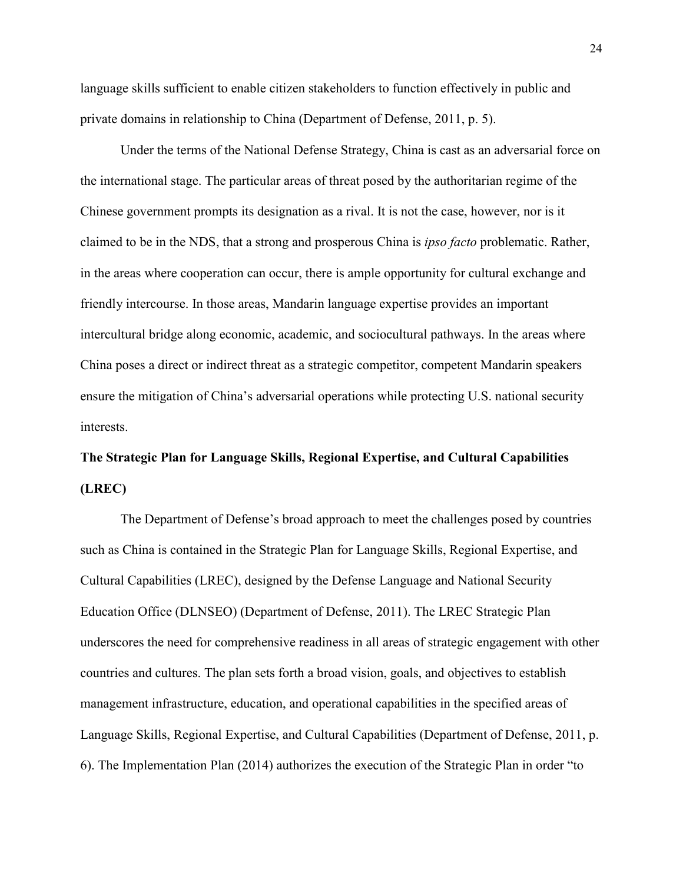language skills sufficient to enable citizen stakeholders to function effectively in public and private domains in relationship to China (Department of Defense, 2011, p. 5).

Under the terms of the National Defense Strategy, China is cast as an adversarial force on the international stage. The particular areas of threat posed by the authoritarian regime of the Chinese government prompts its designation as a rival. It is not the case, however, nor is it claimed to be in the NDS, that a strong and prosperous China is *ipso facto* problematic. Rather, in the areas where cooperation can occur, there is ample opportunity for cultural exchange and friendly intercourse. In those areas, Mandarin language expertise provides an important intercultural bridge along economic, academic, and sociocultural pathways. In the areas where China poses a direct or indirect threat as a strategic competitor, competent Mandarin speakers ensure the mitigation of China's adversarial operations while protecting U.S. national security interests.

# **The Strategic Plan for Language Skills, Regional Expertise, and Cultural Capabilities (LREC)**

The Department of Defense's broad approach to meet the challenges posed by countries such as China is contained in the Strategic Plan for Language Skills, Regional Expertise, and Cultural Capabilities (LREC), designed by the Defense Language and National Security Education Office (DLNSEO) (Department of Defense, 2011). The LREC Strategic Plan underscores the need for comprehensive readiness in all areas of strategic engagement with other countries and cultures. The plan sets forth a broad vision, goals, and objectives to establish management infrastructure, education, and operational capabilities in the specified areas of Language Skills, Regional Expertise, and Cultural Capabilities (Department of Defense, 2011, p. 6). The Implementation Plan (2014) authorizes the execution of the Strategic Plan in order "to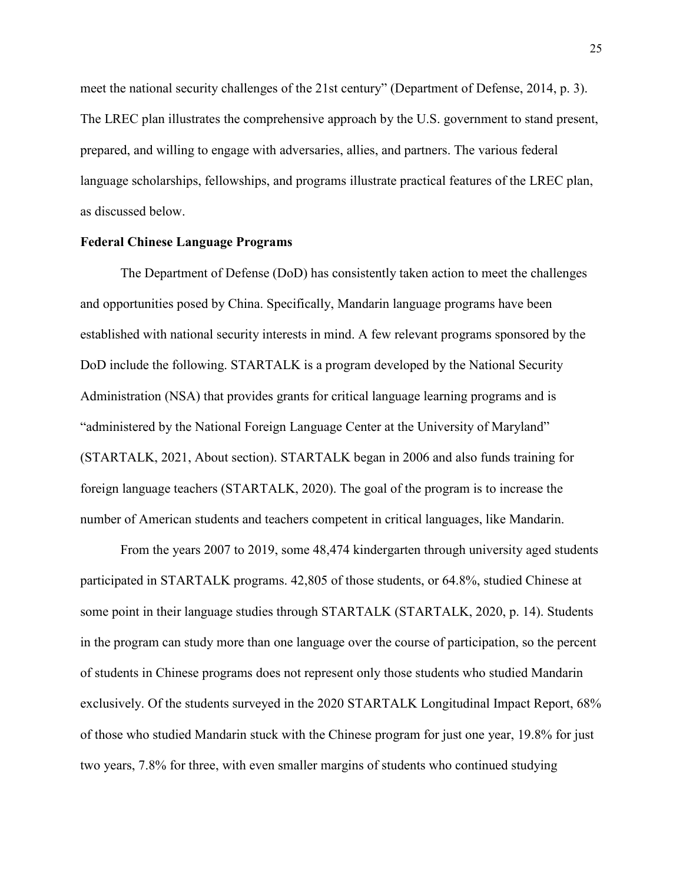meet the national security challenges of the 21st century" (Department of Defense, 2014, p. 3). The LREC plan illustrates the comprehensive approach by the U.S. government to stand present, prepared, and willing to engage with adversaries, allies, and partners. The various federal language scholarships, fellowships, and programs illustrate practical features of the LREC plan, as discussed below.

## **Federal Chinese Language Programs**

The Department of Defense (DoD) has consistently taken action to meet the challenges and opportunities posed by China. Specifically, Mandarin language programs have been established with national security interests in mind. A few relevant programs sponsored by the DoD include the following. STARTALK is a program developed by the National Security Administration (NSA) that provides grants for critical language learning programs and is "administered by the National Foreign Language Center at the University of Maryland" (STARTALK, 2021, About section). STARTALK began in 2006 and also funds training for foreign language teachers (STARTALK, 2020). The goal of the program is to increase the number of American students and teachers competent in critical languages, like Mandarin.

From the years 2007 to 2019, some 48,474 kindergarten through university aged students participated in STARTALK programs. 42,805 of those students, or 64.8%, studied Chinese at some point in their language studies through STARTALK (STARTALK, 2020, p. 14). Students in the program can study more than one language over the course of participation, so the percent of students in Chinese programs does not represent only those students who studied Mandarin exclusively. Of the students surveyed in the 2020 STARTALK Longitudinal Impact Report, 68% of those who studied Mandarin stuck with the Chinese program for just one year, 19.8% for just two years, 7.8% for three, with even smaller margins of students who continued studying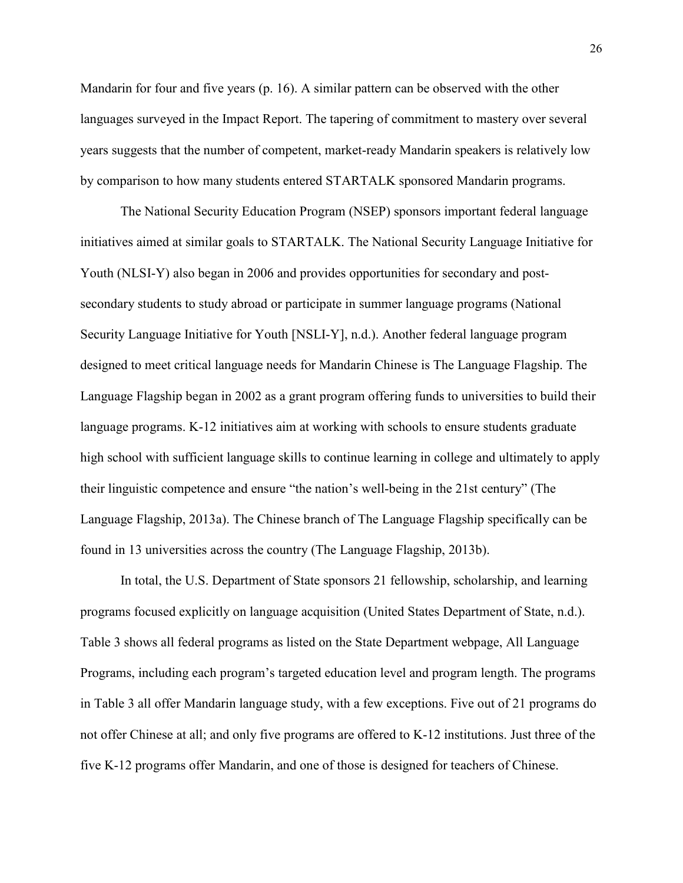Mandarin for four and five years (p. 16). A similar pattern can be observed with the other languages surveyed in the Impact Report. The tapering of commitment to mastery over several years suggests that the number of competent, market-ready Mandarin speakers is relatively low by comparison to how many students entered STARTALK sponsored Mandarin programs.

 The National Security Education Program (NSEP) sponsors important federal language initiatives aimed at similar goals to STARTALK. The National Security Language Initiative for Youth (NLSI-Y) also began in 2006 and provides opportunities for secondary and postsecondary students to study abroad or participate in summer language programs (National Security Language Initiative for Youth [NSLI-Y], n.d.). Another federal language program designed to meet critical language needs for Mandarin Chinese is The Language Flagship. The Language Flagship began in 2002 as a grant program offering funds to universities to build their language programs. K-12 initiatives aim at working with schools to ensure students graduate high school with sufficient language skills to continue learning in college and ultimately to apply their linguistic competence and ensure "the nation's well-being in the 21st century" (The Language Flagship, 2013a). The Chinese branch of The Language Flagship specifically can be found in 13 universities across the country (The Language Flagship, 2013b).

In total, the U.S. Department of State sponsors 21 fellowship, scholarship, and learning programs focused explicitly on language acquisition (United States Department of State, n.d.). Table 3 shows all federal programs as listed on the State Department webpage, All Language Programs, including each program's targeted education level and program length. The programs in Table 3 all offer Mandarin language study, with a few exceptions. Five out of 21 programs do not offer Chinese at all; and only five programs are offered to K-12 institutions. Just three of the five K-12 programs offer Mandarin, and one of those is designed for teachers of Chinese.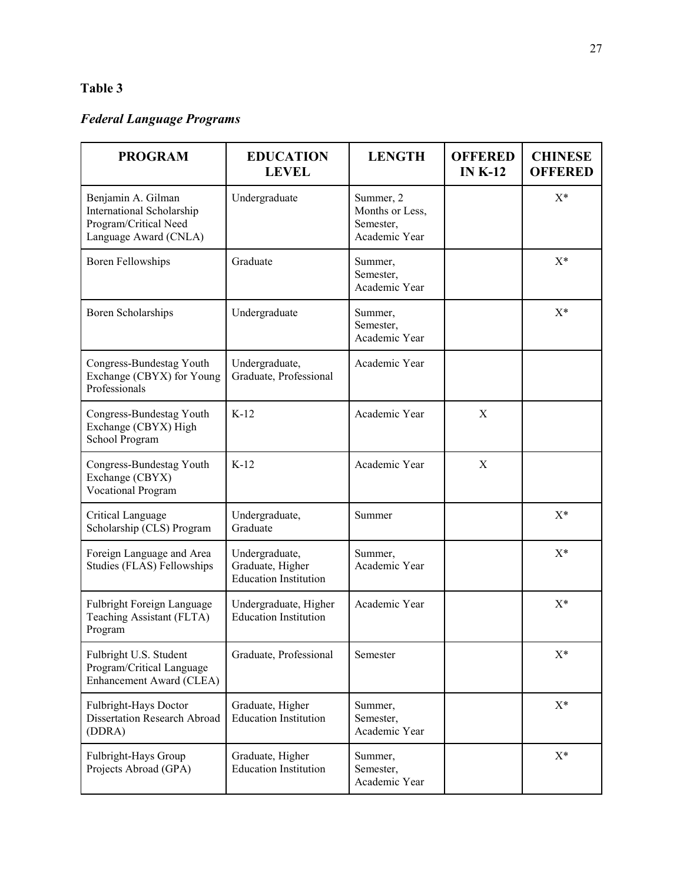# **Table 3**

# *Federal Language Programs*

| <b>PROGRAM</b>                                                                                    | <b>EDUCATION</b><br><b>LEVEL</b>                                   | <b>LENGTH</b>                                              | <b>OFFERED</b><br>IN $K-12$ | <b>CHINESE</b><br><b>OFFERED</b> |
|---------------------------------------------------------------------------------------------------|--------------------------------------------------------------------|------------------------------------------------------------|-----------------------------|----------------------------------|
| Benjamin A. Gilman<br>International Scholarship<br>Program/Critical Need<br>Language Award (CNLA) | Undergraduate                                                      | Summer, 2<br>Months or Less,<br>Semester,<br>Academic Year |                             | $X^*$                            |
| <b>Boren Fellowships</b>                                                                          | Graduate                                                           | Summer,<br>Semester,<br>Academic Year                      |                             | $X^*$                            |
| Boren Scholarships                                                                                | Undergraduate                                                      | Summer,<br>Semester,<br>Academic Year                      |                             | $X^*$                            |
| Congress-Bundestag Youth<br>Exchange (CBYX) for Young<br>Professionals                            | Undergraduate,<br>Graduate, Professional                           | Academic Year                                              |                             |                                  |
| Congress-Bundestag Youth<br>Exchange (CBYX) High<br>School Program                                | $K-12$                                                             | Academic Year                                              | X                           |                                  |
| Congress-Bundestag Youth<br>Exchange (CBYX)<br><b>Vocational Program</b>                          | $K-12$                                                             | Academic Year                                              | X                           |                                  |
| Critical Language<br>Scholarship (CLS) Program                                                    | Undergraduate,<br>Graduate                                         | Summer                                                     |                             | $X^*$                            |
| Foreign Language and Area<br>Studies (FLAS) Fellowships                                           | Undergraduate,<br>Graduate, Higher<br><b>Education Institution</b> | Summer,<br>Academic Year                                   |                             | $X^*$                            |
| Fulbright Foreign Language<br>Teaching Assistant (FLTA)<br>Program                                | Undergraduate, Higher<br><b>Education Institution</b>              | Academic Year                                              |                             | $X^*$                            |
| Fulbright U.S. Student<br>Program/Critical Language<br>Enhancement Award (CLEA)                   | Graduate, Professional                                             | Semester                                                   |                             | $X^*$                            |
| Fulbright-Hays Doctor<br>Dissertation Research Abroad<br>(DDRA)                                   | Graduate, Higher<br><b>Education Institution</b>                   | Summer,<br>Semester,<br>Academic Year                      |                             | $X^*$                            |
| Fulbright-Hays Group<br>Projects Abroad (GPA)                                                     | Graduate, Higher<br><b>Education Institution</b>                   | Summer,<br>Semester,<br>Academic Year                      |                             | $X^*$                            |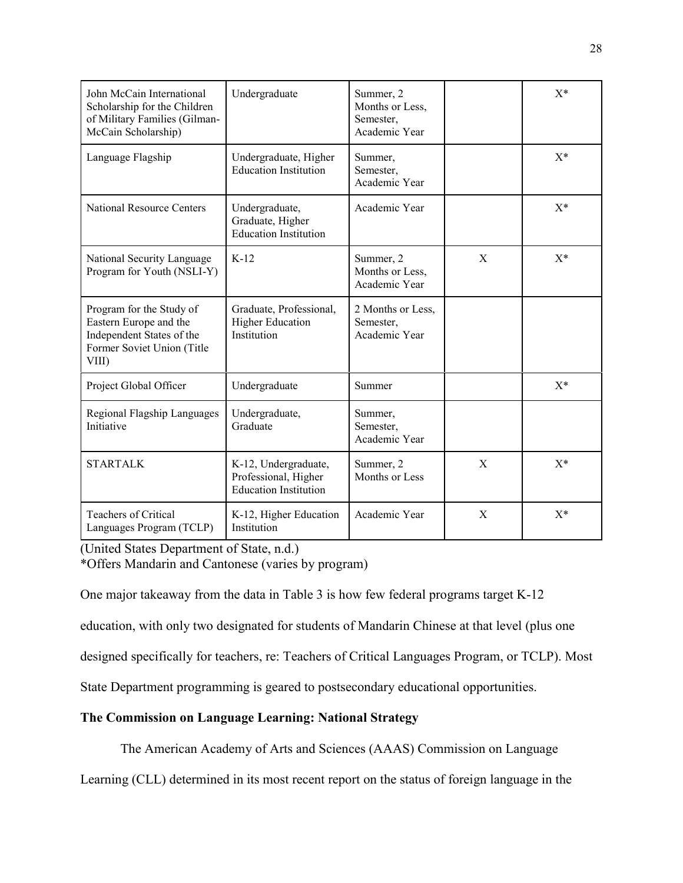| John McCain International<br>Scholarship for the Children<br>of Military Families (Gilman-<br>McCain Scholarship)      | Undergraduate                                                                | Summer, 2<br>Months or Less,<br>Semester,<br>Academic Year |             | $X^*$ |
|------------------------------------------------------------------------------------------------------------------------|------------------------------------------------------------------------------|------------------------------------------------------------|-------------|-------|
| Language Flagship                                                                                                      | Undergraduate, Higher<br><b>Education Institution</b>                        | Summer,<br>Semester,<br>Academic Year                      |             | $X^*$ |
| <b>National Resource Centers</b>                                                                                       | Undergraduate,<br>Graduate, Higher<br><b>Education Institution</b>           | Academic Year                                              |             | $X^*$ |
| National Security Language<br>Program for Youth (NSLI-Y)                                                               | $K-12$                                                                       | Summer, 2<br>Months or Less,<br>Academic Year              | X           | $X^*$ |
| Program for the Study of<br>Eastern Europe and the<br>Independent States of the<br>Former Soviet Union (Title<br>VIII) | Graduate, Professional,<br><b>Higher Education</b><br>Institution            | 2 Months or Less,<br>Semester,<br>Academic Year            |             |       |
| Project Global Officer                                                                                                 | Undergraduate                                                                | Summer                                                     |             | $X^*$ |
| Regional Flagship Languages<br>Initiative                                                                              | Undergraduate,<br>Graduate                                                   | Summer,<br>Semester,<br>Academic Year                      |             |       |
| <b>STARTALK</b>                                                                                                        | K-12, Undergraduate,<br>Professional, Higher<br><b>Education Institution</b> | Summer, 2<br>Months or Less                                | $\mathbf X$ | $X^*$ |
| <b>Teachers of Critical</b><br>Languages Program (TCLP)                                                                | K-12, Higher Education<br>Institution                                        | Academic Year                                              | X           | $X^*$ |

(United States Department of State, n.d.)

\*Offers Mandarin and Cantonese (varies by program)

One major takeaway from the data in Table 3 is how few federal programs target K-12

education, with only two designated for students of Mandarin Chinese at that level (plus one

designed specifically for teachers, re: Teachers of Critical Languages Program, or TCLP). Most

State Department programming is geared to postsecondary educational opportunities.

# **The Commission on Language Learning: National Strategy**

The American Academy of Arts and Sciences (AAAS) Commission on Language

Learning (CLL) determined in its most recent report on the status of foreign language in the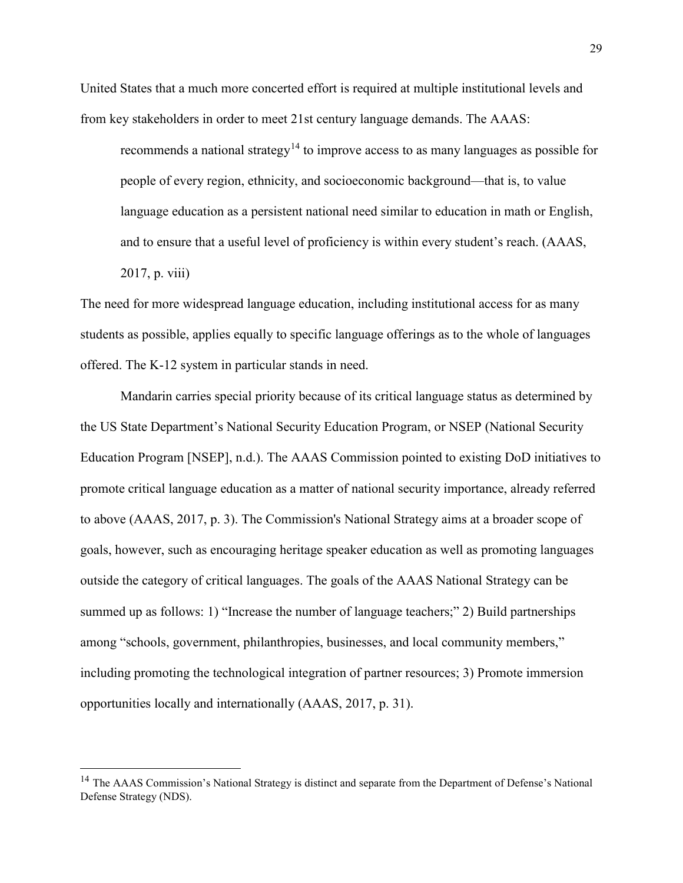United States that a much more concerted effort is required at multiple institutional levels and from key stakeholders in order to meet 21st century language demands. The AAAS:

recommends a national strategy<sup>[14](#page-29-0)</sup> to improve access to as many languages as possible for people of every region, ethnicity, and socioeconomic background—that is, to value language education as a persistent national need similar to education in math or English, and to ensure that a useful level of proficiency is within every student's reach. (AAAS, 2017, p. viii)

The need for more widespread language education, including institutional access for as many students as possible, applies equally to specific language offerings as to the whole of languages offered. The K-12 system in particular stands in need.

Mandarin carries special priority because of its critical language status as determined by the US State Department's National Security Education Program, or NSEP (National Security Education Program [NSEP], n.d.). The AAAS Commission pointed to existing DoD initiatives to promote critical language education as a matter of national security importance, already referred to above (AAAS, 2017, p. 3). The Commission's National Strategy aims at a broader scope of goals, however, such as encouraging heritage speaker education as well as promoting languages outside the category of critical languages. The goals of the AAAS National Strategy can be summed up as follows: 1) "Increase the number of language teachers;" 2) Build partnerships among "schools, government, philanthropies, businesses, and local community members," including promoting the technological integration of partner resources; 3) Promote immersion opportunities locally and internationally (AAAS, 2017, p. 31).

 $\overline{a}$ 

<span id="page-29-0"></span><sup>&</sup>lt;sup>14</sup> The AAAS Commission's National Strategy is distinct and separate from the Department of Defense's National Defense Strategy (NDS).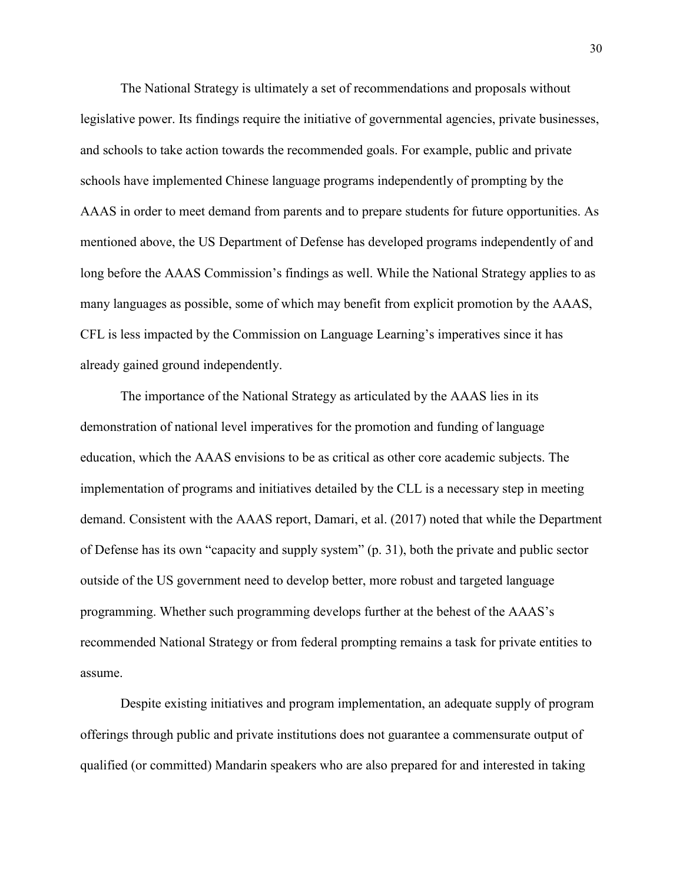The National Strategy is ultimately a set of recommendations and proposals without legislative power. Its findings require the initiative of governmental agencies, private businesses, and schools to take action towards the recommended goals. For example, public and private schools have implemented Chinese language programs independently of prompting by the AAAS in order to meet demand from parents and to prepare students for future opportunities. As mentioned above, the US Department of Defense has developed programs independently of and long before the AAAS Commission's findings as well. While the National Strategy applies to as many languages as possible, some of which may benefit from explicit promotion by the AAAS, CFL is less impacted by the Commission on Language Learning's imperatives since it has already gained ground independently.

The importance of the National Strategy as articulated by the AAAS lies in its demonstration of national level imperatives for the promotion and funding of language education, which the AAAS envisions to be as critical as other core academic subjects. The implementation of programs and initiatives detailed by the CLL is a necessary step in meeting demand. Consistent with the AAAS report, Damari, et al. (2017) noted that while the Department of Defense has its own "capacity and supply system" (p. 31), both the private and public sector outside of the US government need to develop better, more robust and targeted language programming. Whether such programming develops further at the behest of the AAAS's recommended National Strategy or from federal prompting remains a task for private entities to assume.

Despite existing initiatives and program implementation, an adequate supply of program offerings through public and private institutions does not guarantee a commensurate output of qualified (or committed) Mandarin speakers who are also prepared for and interested in taking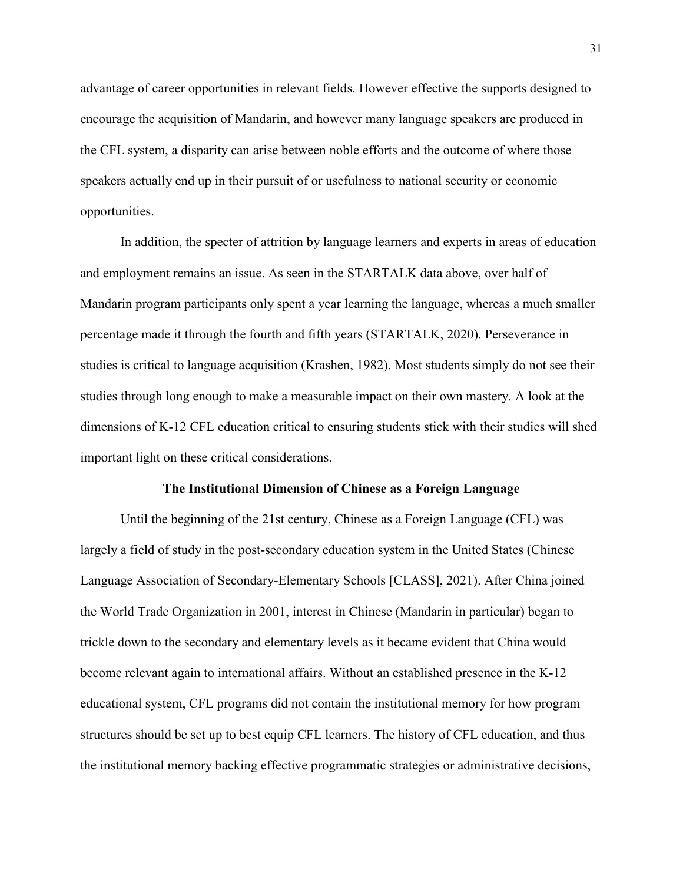advantage of career opportunities in relevant fields. However effective the supports designed to encourage the acquisition of Mandarin, and however many language speakers are produced in the CFL system, a disparity can arise between noble efforts and the outcome of where those speakers actually end up in their pursuit of or usefulness to national security or economic opportunities.

In addition, the specter of attrition by language learners and experts in areas of education and employment remains an issue. As seen in the STARTALK data above, over half of Mandarin program participants only spent a year learning the language, whereas a much smaller percentage made it through the fourth and fifth years (STARTALK, 2020). Perseverance in studies is critical to language acquisition (Krashen, 1982). Most students simply do not see their studies through long enough to make a measurable impact on their own mastery. A look at the dimensions of K-12 CFL education critical to ensuring students stick with their studies will shed important light on these critical considerations.

#### **The Institutional Dimension of Chinese as a Foreign Language**

Until the beginning of the 21st century, Chinese as a Foreign Language (CFL) was largely a field of study in the post-secondary education system in the United States (Chinese Language Association of Secondary-Elementary Schools [CLASS], 2021). After China joined the World Trade Organization in 2001, interest in Chinese (Mandarin in particular) began to trickle down to the secondary and elementary levels as it became evident that China would become relevant again to international affairs. Without an established presence in the K-12 educational system, CFL programs did not contain the institutional memory for how program structures should be set up to best equip CFL learners. The history of CFL education, and thus the institutional memory backing effective programmatic strategies or administrative decisions,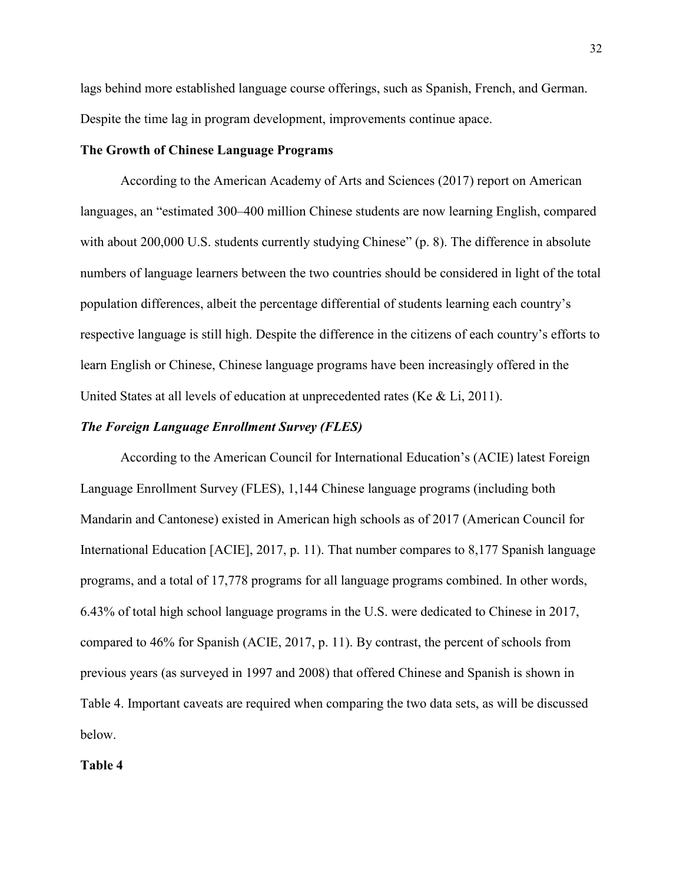lags behind more established language course offerings, such as Spanish, French, and German. Despite the time lag in program development, improvements continue apace.

## **The Growth of Chinese Language Programs**

According to the American Academy of Arts and Sciences (2017) report on American languages, an "estimated 300–400 million Chinese students are now learning English, compared with about 200,000 U.S. students currently studying Chinese" (p. 8). The difference in absolute numbers of language learners between the two countries should be considered in light of the total population differences, albeit the percentage differential of students learning each country's respective language is still high. Despite the difference in the citizens of each country's efforts to learn English or Chinese, Chinese language programs have been increasingly offered in the United States at all levels of education at unprecedented rates (Ke & Li, 2011).

## *The Foreign Language Enrollment Survey (FLES)*

According to the American Council for International Education's (ACIE) latest Foreign Language Enrollment Survey (FLES), 1,144 Chinese language programs (including both Mandarin and Cantonese) existed in American high schools as of 2017 (American Council for International Education [ACIE], 2017, p. 11). That number compares to 8,177 Spanish language programs, and a total of 17,778 programs for all language programs combined. In other words, 6.43% of total high school language programs in the U.S. were dedicated to Chinese in 2017, compared to 46% for Spanish (ACIE, 2017, p. 11). By contrast, the percent of schools from previous years (as surveyed in 1997 and 2008) that offered Chinese and Spanish is shown in Table 4. Important caveats are required when comparing the two data sets, as will be discussed below.

#### **Table 4**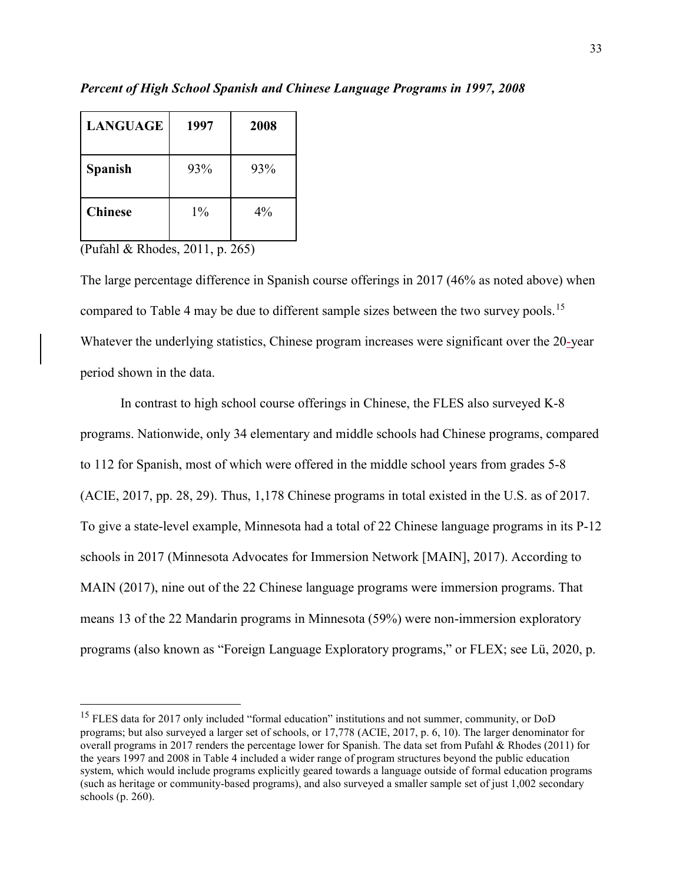| <b>LANGUAGE</b> | 1997  | 2008  |
|-----------------|-------|-------|
| <b>Spanish</b>  | 93%   | 93%   |
| <b>Chinese</b>  | $1\%$ | $4\%$ |

*Percent of High School Spanish and Chinese Language Programs in 1997, 2008* 

(Pufahl & Rhodes, 2011, p. 265)

 $\overline{a}$ 

The large percentage difference in Spanish course offerings in 2017 (46% as noted above) when compared to Table 4 may be due to different sample sizes between the two survey pools.<sup>[15](#page-33-0)</sup> Whatever the underlying statistics, Chinese program increases were significant over the 20-year period shown in the data.

In contrast to high school course offerings in Chinese, the FLES also surveyed K-8 programs. Nationwide, only 34 elementary and middle schools had Chinese programs, compared to 112 for Spanish, most of which were offered in the middle school years from grades 5-8 (ACIE, 2017, pp. 28, 29). Thus, 1,178 Chinese programs in total existed in the U.S. as of 2017. To give a state-level example, Minnesota had a total of 22 Chinese language programs in its P-12 schools in 2017 (Minnesota Advocates for Immersion Network [MAIN], 2017). According to MAIN (2017), nine out of the 22 Chinese language programs were immersion programs. That means 13 of the 22 Mandarin programs in Minnesota (59%) were non-immersion exploratory programs (also known as "Foreign Language Exploratory programs," or FLEX; see Lü, 2020, p.

<span id="page-33-0"></span><sup>&</sup>lt;sup>15</sup> FLES data for 2017 only included "formal education" institutions and not summer, community, or DoD programs; but also surveyed a larger set of schools, or 17,778 (ACIE, 2017, p. 6, 10). The larger denominator for overall programs in 2017 renders the percentage lower for Spanish. The data set from Pufahl & Rhodes (2011) for the years 1997 and 2008 in Table 4 included a wider range of program structures beyond the public education system, which would include programs explicitly geared towards a language outside of formal education programs (such as heritage or community-based programs), and also surveyed a smaller sample set of just 1,002 secondary schools (p. 260).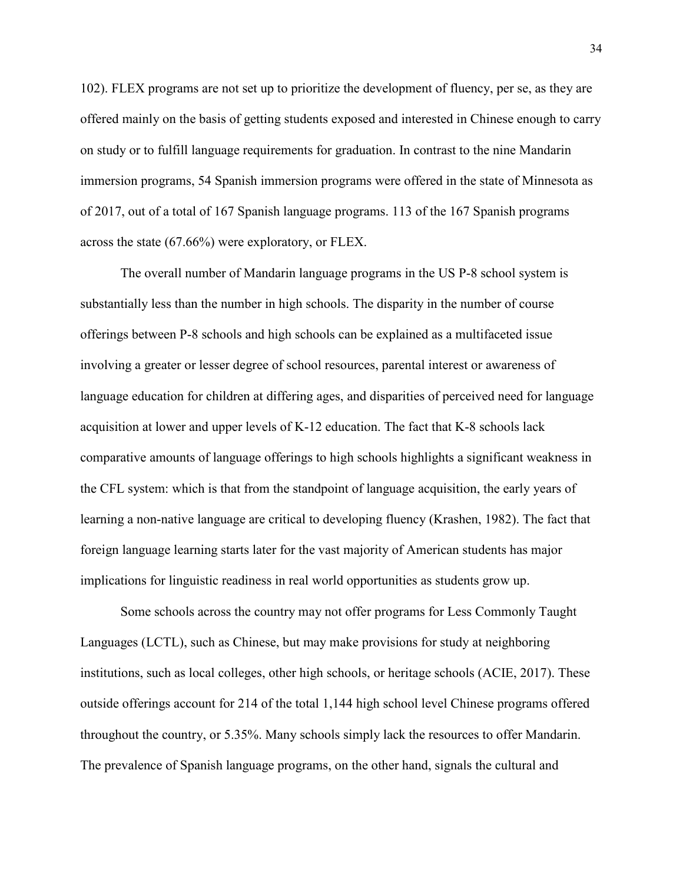102). FLEX programs are not set up to prioritize the development of fluency, per se, as they are offered mainly on the basis of getting students exposed and interested in Chinese enough to carry on study or to fulfill language requirements for graduation. In contrast to the nine Mandarin immersion programs, 54 Spanish immersion programs were offered in the state of Minnesota as of 2017, out of a total of 167 Spanish language programs. 113 of the 167 Spanish programs across the state (67.66%) were exploratory, or FLEX.

The overall number of Mandarin language programs in the US P-8 school system is substantially less than the number in high schools. The disparity in the number of course offerings between P-8 schools and high schools can be explained as a multifaceted issue involving a greater or lesser degree of school resources, parental interest or awareness of language education for children at differing ages, and disparities of perceived need for language acquisition at lower and upper levels of K-12 education. The fact that K-8 schools lack comparative amounts of language offerings to high schools highlights a significant weakness in the CFL system: which is that from the standpoint of language acquisition, the early years of learning a non-native language are critical to developing fluency (Krashen, 1982). The fact that foreign language learning starts later for the vast majority of American students has major implications for linguistic readiness in real world opportunities as students grow up.

Some schools across the country may not offer programs for Less Commonly Taught Languages (LCTL), such as Chinese, but may make provisions for study at neighboring institutions, such as local colleges, other high schools, or heritage schools (ACIE, 2017). These outside offerings account for 214 of the total 1,144 high school level Chinese programs offered throughout the country, or 5.35%. Many schools simply lack the resources to offer Mandarin. The prevalence of Spanish language programs, on the other hand, signals the cultural and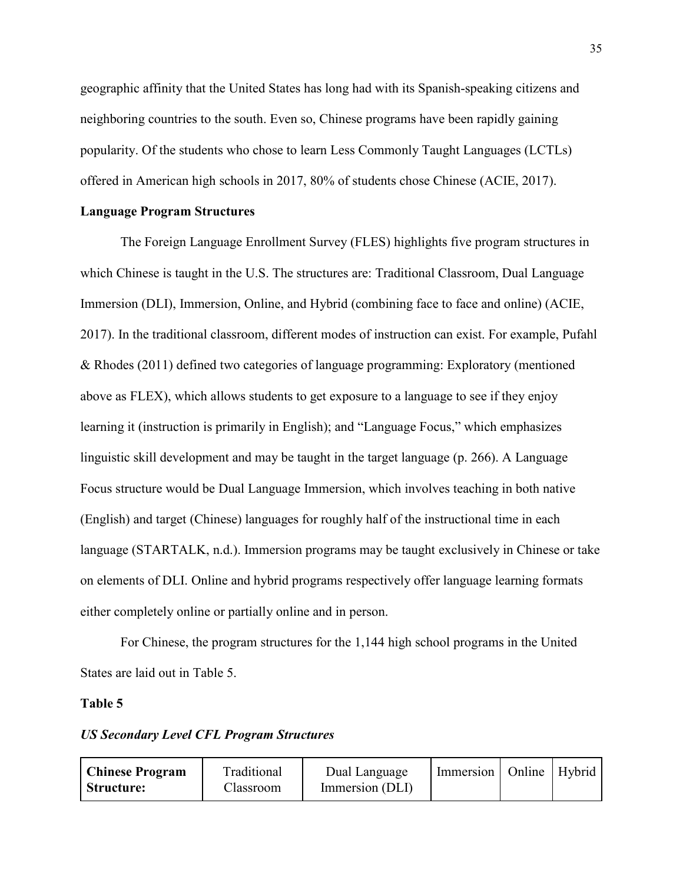geographic affinity that the United States has long had with its Spanish-speaking citizens and neighboring countries to the south. Even so, Chinese programs have been rapidly gaining popularity. Of the students who chose to learn Less Commonly Taught Languages (LCTLs) offered in American high schools in 2017, 80% of students chose Chinese (ACIE, 2017).

# **Language Program Structures**

The Foreign Language Enrollment Survey (FLES) highlights five program structures in which Chinese is taught in the U.S. The structures are: Traditional Classroom, Dual Language Immersion (DLI), Immersion, Online, and Hybrid (combining face to face and online) (ACIE, 2017). In the traditional classroom, different modes of instruction can exist. For example, Pufahl & Rhodes (2011) defined two categories of language programming: Exploratory (mentioned above as FLEX), which allows students to get exposure to a language to see if they enjoy learning it (instruction is primarily in English); and "Language Focus," which emphasizes linguistic skill development and may be taught in the target language (p. 266). A Language Focus structure would be Dual Language Immersion, which involves teaching in both native (English) and target (Chinese) languages for roughly half of the instructional time in each language (STARTALK, n.d.). Immersion programs may be taught exclusively in Chinese or take on elements of DLI. Online and hybrid programs respectively offer language learning formats either completely online or partially online and in person.

For Chinese, the program structures for the 1,144 high school programs in the United States are laid out in Table 5.

### **Table 5**

# *US Secondary Level CFL Program Structures*

| <b>Chinese Program</b> | Traditional | Dual Language   | Immersion   Online   Hybrid |  |
|------------------------|-------------|-----------------|-----------------------------|--|
| Structure:             | Llassroom.  | Immersion (DLI) |                             |  |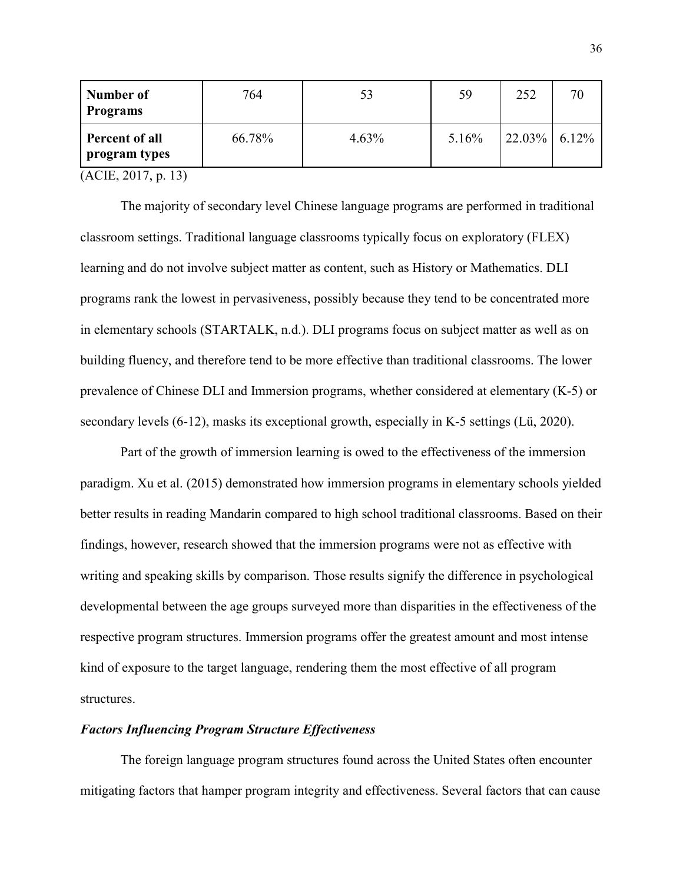| Number of<br><b>Programs</b>    | 764    | 53    | 59    | 252             |  |
|---------------------------------|--------|-------|-------|-----------------|--|
| Percent of all<br>program types | 66.78% | 4.63% | 5.16% | $22.03\%$ 6.12% |  |

(ACIE, 2017, p. 13)

The majority of secondary level Chinese language programs are performed in traditional classroom settings. Traditional language classrooms typically focus on exploratory (FLEX) learning and do not involve subject matter as content, such as History or Mathematics. DLI programs rank the lowest in pervasiveness, possibly because they tend to be concentrated more in elementary schools (STARTALK, n.d.). DLI programs focus on subject matter as well as on building fluency, and therefore tend to be more effective than traditional classrooms. The lower prevalence of Chinese DLI and Immersion programs, whether considered at elementary (K-5) or secondary levels (6-12), masks its exceptional growth, especially in K-5 settings (Lü, 2020).

Part of the growth of immersion learning is owed to the effectiveness of the immersion paradigm. Xu et al. (2015) demonstrated how immersion programs in elementary schools yielded better results in reading Mandarin compared to high school traditional classrooms. Based on their findings, however, research showed that the immersion programs were not as effective with writing and speaking skills by comparison. Those results signify the difference in psychological developmental between the age groups surveyed more than disparities in the effectiveness of the respective program structures. Immersion programs offer the greatest amount and most intense kind of exposure to the target language, rendering them the most effective of all program structures.

### *Factors Influencing Program Structure Effectiveness*

The foreign language program structures found across the United States often encounter mitigating factors that hamper program integrity and effectiveness. Several factors that can cause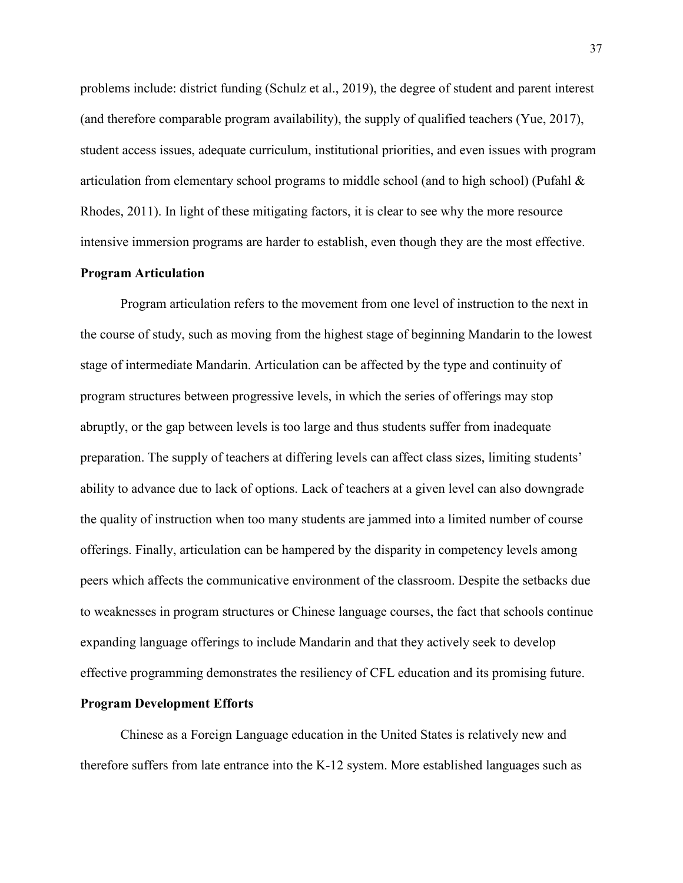problems include: district funding (Schulz et al., 2019), the degree of student and parent interest (and therefore comparable program availability), the supply of qualified teachers (Yue, 2017), student access issues, adequate curriculum, institutional priorities, and even issues with program articulation from elementary school programs to middle school (and to high school) (Pufahl & Rhodes, 2011). In light of these mitigating factors, it is clear to see why the more resource intensive immersion programs are harder to establish, even though they are the most effective.

### **Program Articulation**

Program articulation refers to the movement from one level of instruction to the next in the course of study, such as moving from the highest stage of beginning Mandarin to the lowest stage of intermediate Mandarin. Articulation can be affected by the type and continuity of program structures between progressive levels, in which the series of offerings may stop abruptly, or the gap between levels is too large and thus students suffer from inadequate preparation. The supply of teachers at differing levels can affect class sizes, limiting students' ability to advance due to lack of options. Lack of teachers at a given level can also downgrade the quality of instruction when too many students are jammed into a limited number of course offerings. Finally, articulation can be hampered by the disparity in competency levels among peers which affects the communicative environment of the classroom. Despite the setbacks due to weaknesses in program structures or Chinese language courses, the fact that schools continue expanding language offerings to include Mandarin and that they actively seek to develop effective programming demonstrates the resiliency of CFL education and its promising future.

### **Program Development Efforts**

Chinese as a Foreign Language education in the United States is relatively new and therefore suffers from late entrance into the K-12 system. More established languages such as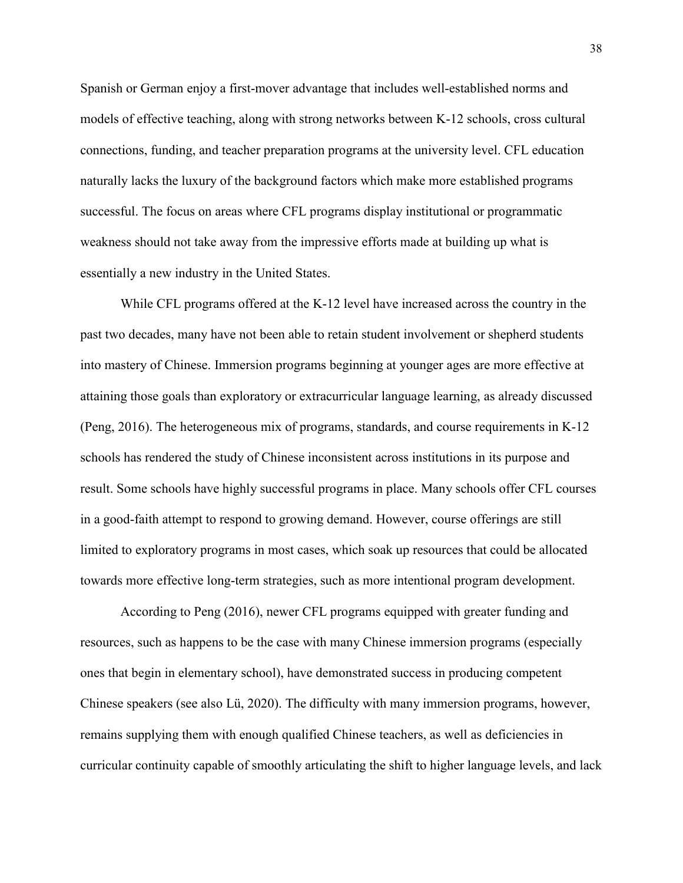Spanish or German enjoy a first-mover advantage that includes well-established norms and models of effective teaching, along with strong networks between K-12 schools, cross cultural connections, funding, and teacher preparation programs at the university level. CFL education naturally lacks the luxury of the background factors which make more established programs successful. The focus on areas where CFL programs display institutional or programmatic weakness should not take away from the impressive efforts made at building up what is essentially a new industry in the United States.

While CFL programs offered at the K-12 level have increased across the country in the past two decades, many have not been able to retain student involvement or shepherd students into mastery of Chinese. Immersion programs beginning at younger ages are more effective at attaining those goals than exploratory or extracurricular language learning, as already discussed (Peng, 2016). The heterogeneous mix of programs, standards, and course requirements in K-12 schools has rendered the study of Chinese inconsistent across institutions in its purpose and result. Some schools have highly successful programs in place. Many schools offer CFL courses in a good-faith attempt to respond to growing demand. However, course offerings are still limited to exploratory programs in most cases, which soak up resources that could be allocated towards more effective long-term strategies, such as more intentional program development.

According to Peng (2016), newer CFL programs equipped with greater funding and resources, such as happens to be the case with many Chinese immersion programs (especially ones that begin in elementary school), have demonstrated success in producing competent Chinese speakers (see also Lü, 2020). The difficulty with many immersion programs, however, remains supplying them with enough qualified Chinese teachers, as well as deficiencies in curricular continuity capable of smoothly articulating the shift to higher language levels, and lack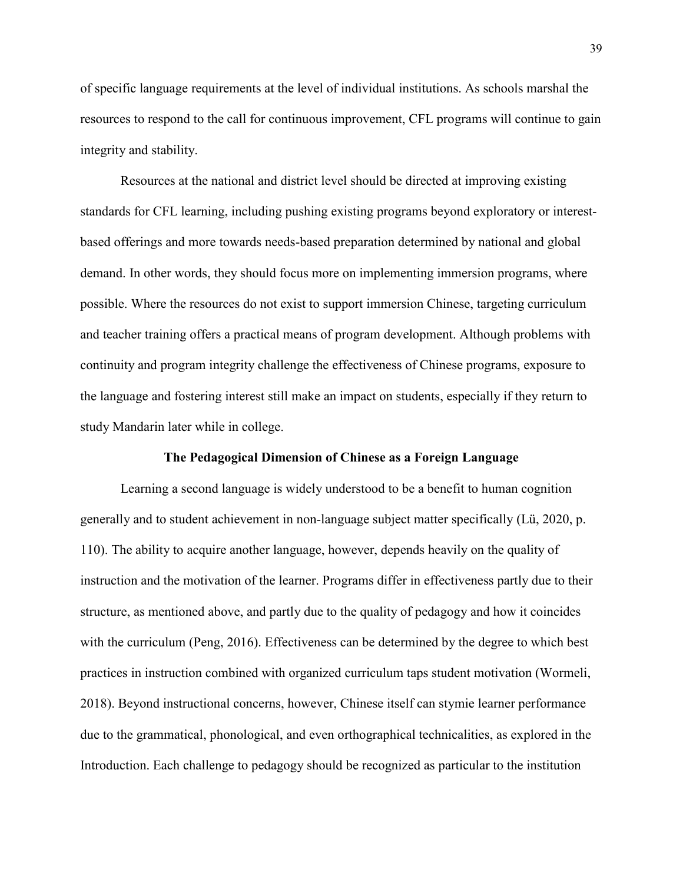of specific language requirements at the level of individual institutions. As schools marshal the resources to respond to the call for continuous improvement, CFL programs will continue to gain integrity and stability.

Resources at the national and district level should be directed at improving existing standards for CFL learning, including pushing existing programs beyond exploratory or interestbased offerings and more towards needs-based preparation determined by national and global demand. In other words, they should focus more on implementing immersion programs, where possible. Where the resources do not exist to support immersion Chinese, targeting curriculum and teacher training offers a practical means of program development. Although problems with continuity and program integrity challenge the effectiveness of Chinese programs, exposure to the language and fostering interest still make an impact on students, especially if they return to study Mandarin later while in college.

### **The Pedagogical Dimension of Chinese as a Foreign Language**

Learning a second language is widely understood to be a benefit to human cognition generally and to student achievement in non-language subject matter specifically (Lü, 2020, p. 110). The ability to acquire another language, however, depends heavily on the quality of instruction and the motivation of the learner. Programs differ in effectiveness partly due to their structure, as mentioned above, and partly due to the quality of pedagogy and how it coincides with the curriculum (Peng, 2016). Effectiveness can be determined by the degree to which best practices in instruction combined with organized curriculum taps student motivation (Wormeli, 2018). Beyond instructional concerns, however, Chinese itself can stymie learner performance due to the grammatical, phonological, and even orthographical technicalities, as explored in the Introduction. Each challenge to pedagogy should be recognized as particular to the institution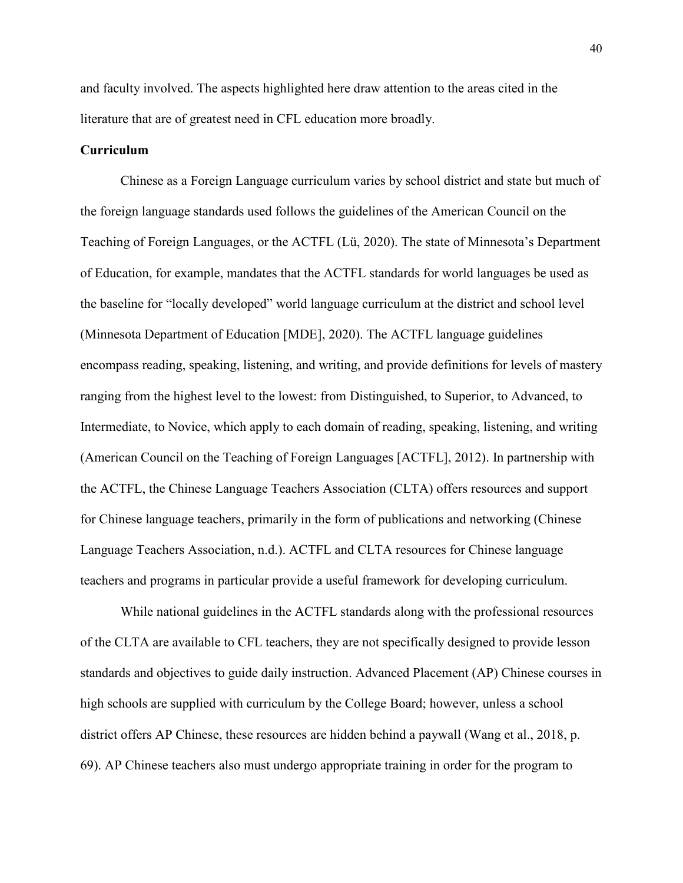and faculty involved. The aspects highlighted here draw attention to the areas cited in the literature that are of greatest need in CFL education more broadly.

## **Curriculum**

Chinese as a Foreign Language curriculum varies by school district and state but much of the foreign language standards used follows the guidelines of the American Council on the Teaching of Foreign Languages, or the ACTFL (Lü, 2020). The state of Minnesota's Department of Education, for example, mandates that the ACTFL standards for world languages be used as the baseline for "locally developed" world language curriculum at the district and school level (Minnesota Department of Education [MDE], 2020). The ACTFL language guidelines encompass reading, speaking, listening, and writing, and provide definitions for levels of mastery ranging from the highest level to the lowest: from Distinguished, to Superior, to Advanced, to Intermediate, to Novice, which apply to each domain of reading, speaking, listening, and writing (American Council on the Teaching of Foreign Languages [ACTFL], 2012). In partnership with the ACTFL, the Chinese Language Teachers Association (CLTA) offers resources and support for Chinese language teachers, primarily in the form of publications and networking (Chinese Language Teachers Association, n.d.). ACTFL and CLTA resources for Chinese language teachers and programs in particular provide a useful framework for developing curriculum.

While national guidelines in the ACTFL standards along with the professional resources of the CLTA are available to CFL teachers, they are not specifically designed to provide lesson standards and objectives to guide daily instruction. Advanced Placement (AP) Chinese courses in high schools are supplied with curriculum by the College Board; however, unless a school district offers AP Chinese, these resources are hidden behind a paywall (Wang et al., 2018, p. 69). AP Chinese teachers also must undergo appropriate training in order for the program to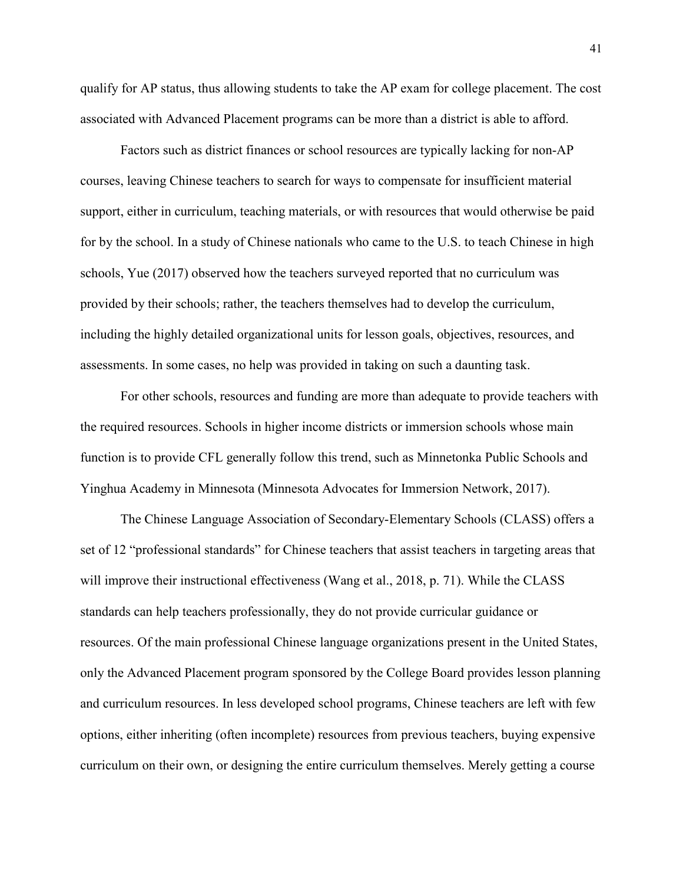qualify for AP status, thus allowing students to take the AP exam for college placement. The cost associated with Advanced Placement programs can be more than a district is able to afford.

Factors such as district finances or school resources are typically lacking for non-AP courses, leaving Chinese teachers to search for ways to compensate for insufficient material support, either in curriculum, teaching materials, or with resources that would otherwise be paid for by the school. In a study of Chinese nationals who came to the U.S. to teach Chinese in high schools, Yue (2017) observed how the teachers surveyed reported that no curriculum was provided by their schools; rather, the teachers themselves had to develop the curriculum, including the highly detailed organizational units for lesson goals, objectives, resources, and assessments. In some cases, no help was provided in taking on such a daunting task.

For other schools, resources and funding are more than adequate to provide teachers with the required resources. Schools in higher income districts or immersion schools whose main function is to provide CFL generally follow this trend, such as Minnetonka Public Schools and Yinghua Academy in Minnesota (Minnesota Advocates for Immersion Network, 2017).

The Chinese Language Association of Secondary-Elementary Schools (CLASS) offers a set of 12 "professional standards" for Chinese teachers that assist teachers in targeting areas that will improve their instructional effectiveness (Wang et al., 2018, p. 71). While the CLASS standards can help teachers professionally, they do not provide curricular guidance or resources. Of the main professional Chinese language organizations present in the United States, only the Advanced Placement program sponsored by the College Board provides lesson planning and curriculum resources. In less developed school programs, Chinese teachers are left with few options, either inheriting (often incomplete) resources from previous teachers, buying expensive curriculum on their own, or designing the entire curriculum themselves. Merely getting a course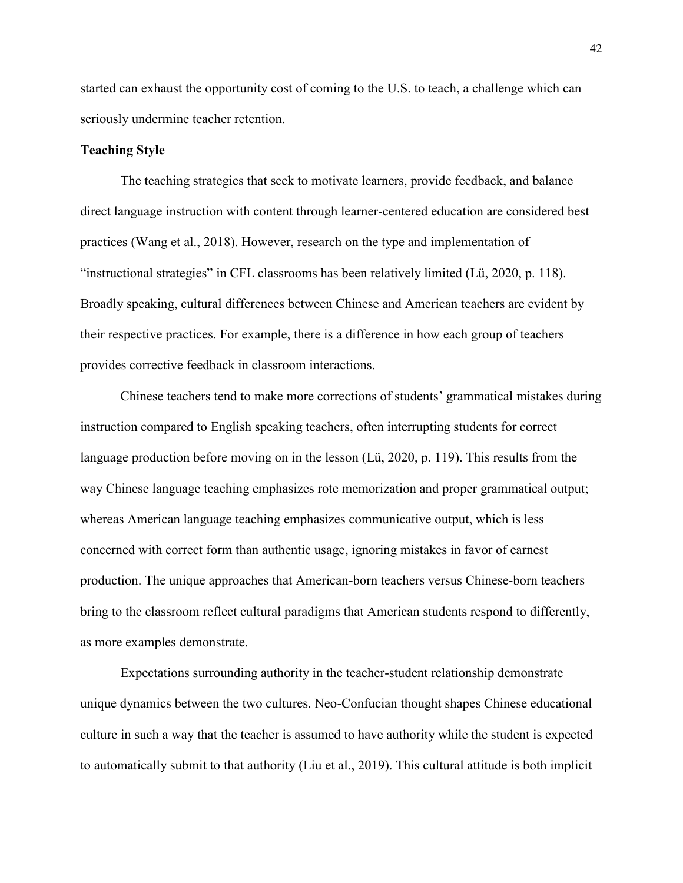started can exhaust the opportunity cost of coming to the U.S. to teach, a challenge which can seriously undermine teacher retention.

### **Teaching Style**

The teaching strategies that seek to motivate learners, provide feedback, and balance direct language instruction with content through learner-centered education are considered best practices (Wang et al., 2018). However, research on the type and implementation of "instructional strategies" in CFL classrooms has been relatively limited (Lü, 2020, p. 118). Broadly speaking, cultural differences between Chinese and American teachers are evident by their respective practices. For example, there is a difference in how each group of teachers provides corrective feedback in classroom interactions.

Chinese teachers tend to make more corrections of students' grammatical mistakes during instruction compared to English speaking teachers, often interrupting students for correct language production before moving on in the lesson (Lü, 2020, p. 119). This results from the way Chinese language teaching emphasizes rote memorization and proper grammatical output; whereas American language teaching emphasizes communicative output, which is less concerned with correct form than authentic usage, ignoring mistakes in favor of earnest production. The unique approaches that American-born teachers versus Chinese-born teachers bring to the classroom reflect cultural paradigms that American students respond to differently, as more examples demonstrate.

Expectations surrounding authority in the teacher-student relationship demonstrate unique dynamics between the two cultures. Neo-Confucian thought shapes Chinese educational culture in such a way that the teacher is assumed to have authority while the student is expected to automatically submit to that authority (Liu et al., 2019). This cultural attitude is both implicit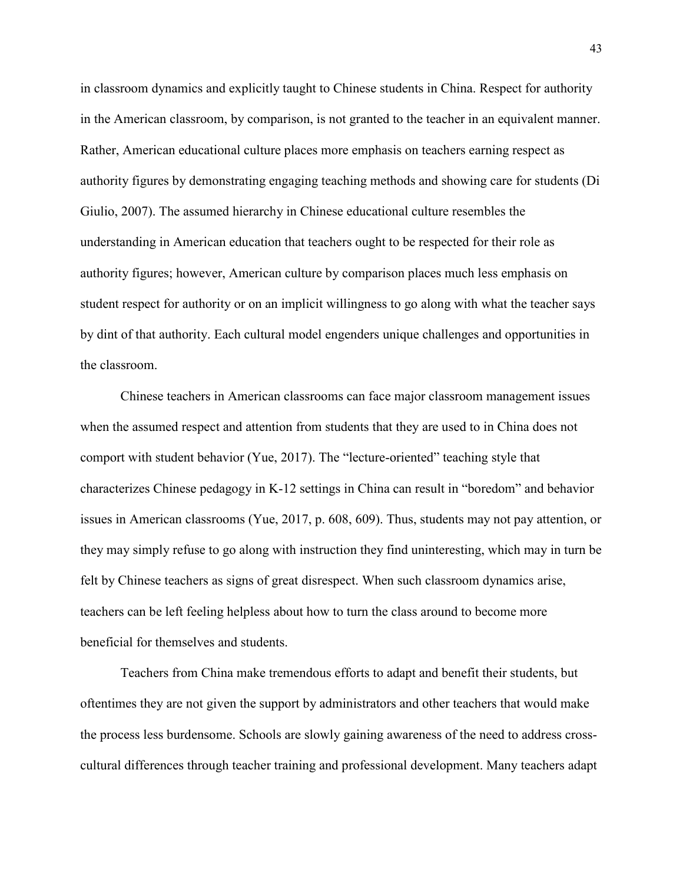in classroom dynamics and explicitly taught to Chinese students in China. Respect for authority in the American classroom, by comparison, is not granted to the teacher in an equivalent manner. Rather, American educational culture places more emphasis on teachers earning respect as authority figures by demonstrating engaging teaching methods and showing care for students (Di Giulio, 2007). The assumed hierarchy in Chinese educational culture resembles the understanding in American education that teachers ought to be respected for their role as authority figures; however, American culture by comparison places much less emphasis on student respect for authority or on an implicit willingness to go along with what the teacher says by dint of that authority. Each cultural model engenders unique challenges and opportunities in the classroom.

Chinese teachers in American classrooms can face major classroom management issues when the assumed respect and attention from students that they are used to in China does not comport with student behavior (Yue, 2017). The "lecture-oriented" teaching style that characterizes Chinese pedagogy in K-12 settings in China can result in "boredom" and behavior issues in American classrooms (Yue, 2017, p. 608, 609). Thus, students may not pay attention, or they may simply refuse to go along with instruction they find uninteresting, which may in turn be felt by Chinese teachers as signs of great disrespect. When such classroom dynamics arise, teachers can be left feeling helpless about how to turn the class around to become more beneficial for themselves and students.

Teachers from China make tremendous efforts to adapt and benefit their students, but oftentimes they are not given the support by administrators and other teachers that would make the process less burdensome. Schools are slowly gaining awareness of the need to address crosscultural differences through teacher training and professional development. Many teachers adapt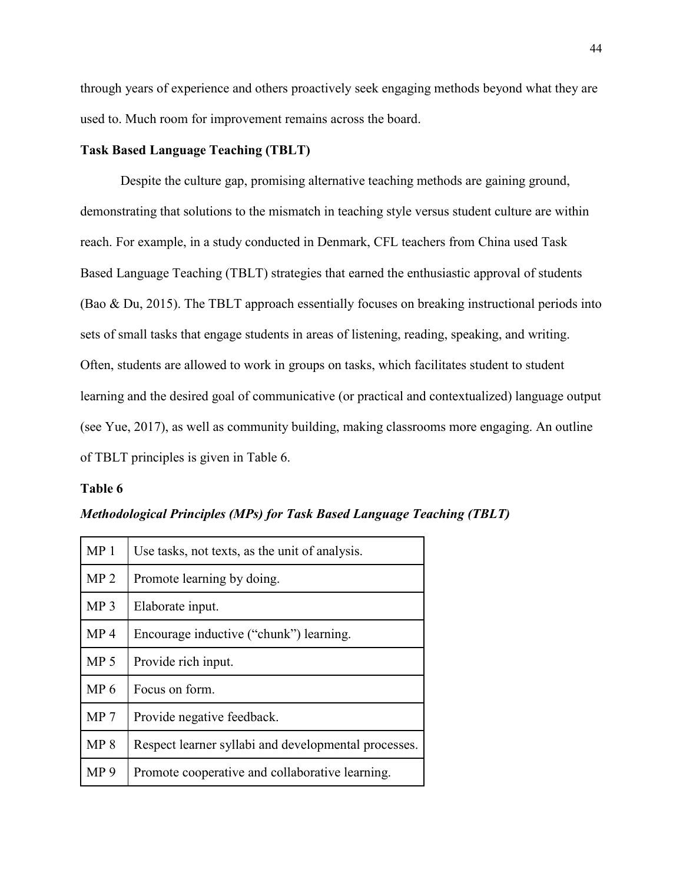through years of experience and others proactively seek engaging methods beyond what they are used to. Much room for improvement remains across the board.

# **Task Based Language Teaching (TBLT)**

Despite the culture gap, promising alternative teaching methods are gaining ground, demonstrating that solutions to the mismatch in teaching style versus student culture are within reach. For example, in a study conducted in Denmark, CFL teachers from China used Task Based Language Teaching (TBLT) strategies that earned the enthusiastic approval of students (Bao & Du, 2015). The TBLT approach essentially focuses on breaking instructional periods into sets of small tasks that engage students in areas of listening, reading, speaking, and writing. Often, students are allowed to work in groups on tasks, which facilitates student to student learning and the desired goal of communicative (or practical and contextualized) language output (see Yue, 2017), as well as community building, making classrooms more engaging. An outline of TBLT principles is given in Table 6.

### **Table 6**

| MP <sub>1</sub> | Use tasks, not texts, as the unit of analysis.       |
|-----------------|------------------------------------------------------|
| MP <sub>2</sub> | Promote learning by doing.                           |
| MP <sub>3</sub> | Elaborate input.                                     |
| MP <sub>4</sub> | Encourage inductive ("chunk") learning.              |
| MP <sub>5</sub> | Provide rich input.                                  |
| MP <sub>6</sub> | Focus on form.                                       |
| MP <sub>7</sub> | Provide negative feedback.                           |
| MP 8            | Respect learner syllabi and developmental processes. |
| MP <sub>9</sub> | Promote cooperative and collaborative learning.      |

*Methodological Principles (MPs) for Task Based Language Teaching (TBLT)*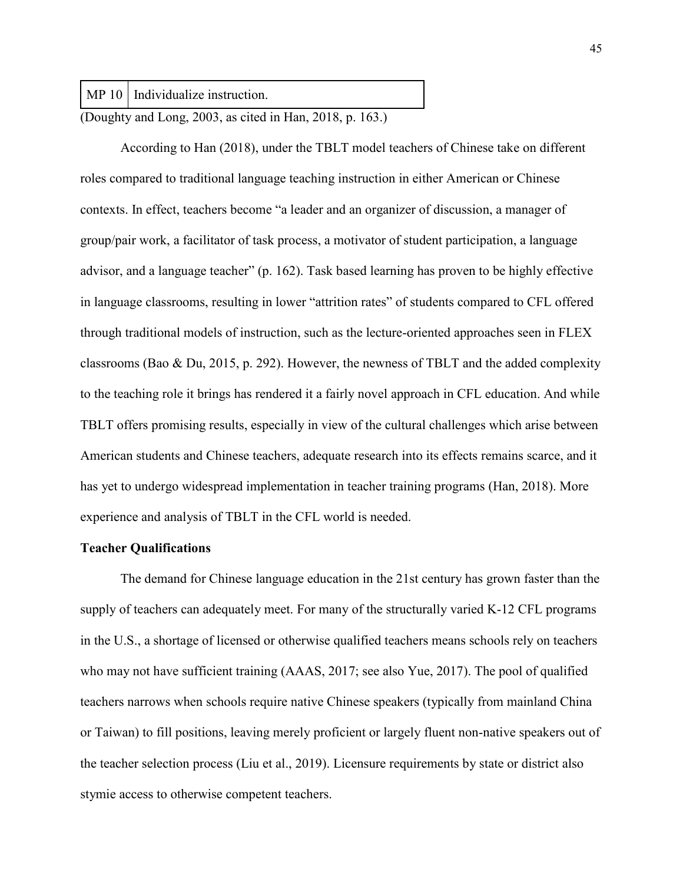MP 10 | Individualize instruction.

(Doughty and Long, 2003, as cited in Han, 2018, p. 163.)

According to Han (2018), under the TBLT model teachers of Chinese take on different roles compared to traditional language teaching instruction in either American or Chinese contexts. In effect, teachers become "a leader and an organizer of discussion, a manager of group/pair work, a facilitator of task process, a motivator of student participation, a language advisor, and a language teacher" (p. 162). Task based learning has proven to be highly effective in language classrooms, resulting in lower "attrition rates" of students compared to CFL offered through traditional models of instruction, such as the lecture-oriented approaches seen in FLEX classrooms (Bao & Du, 2015, p. 292). However, the newness of TBLT and the added complexity to the teaching role it brings has rendered it a fairly novel approach in CFL education. And while TBLT offers promising results, especially in view of the cultural challenges which arise between American students and Chinese teachers, adequate research into its effects remains scarce, and it has yet to undergo widespread implementation in teacher training programs (Han, 2018). More experience and analysis of TBLT in the CFL world is needed.

### **Teacher Qualifications**

The demand for Chinese language education in the 21st century has grown faster than the supply of teachers can adequately meet. For many of the structurally varied K-12 CFL programs in the U.S., a shortage of licensed or otherwise qualified teachers means schools rely on teachers who may not have sufficient training (AAAS, 2017; see also Yue, 2017). The pool of qualified teachers narrows when schools require native Chinese speakers (typically from mainland China or Taiwan) to fill positions, leaving merely proficient or largely fluent non-native speakers out of the teacher selection process (Liu et al., 2019). Licensure requirements by state or district also stymie access to otherwise competent teachers.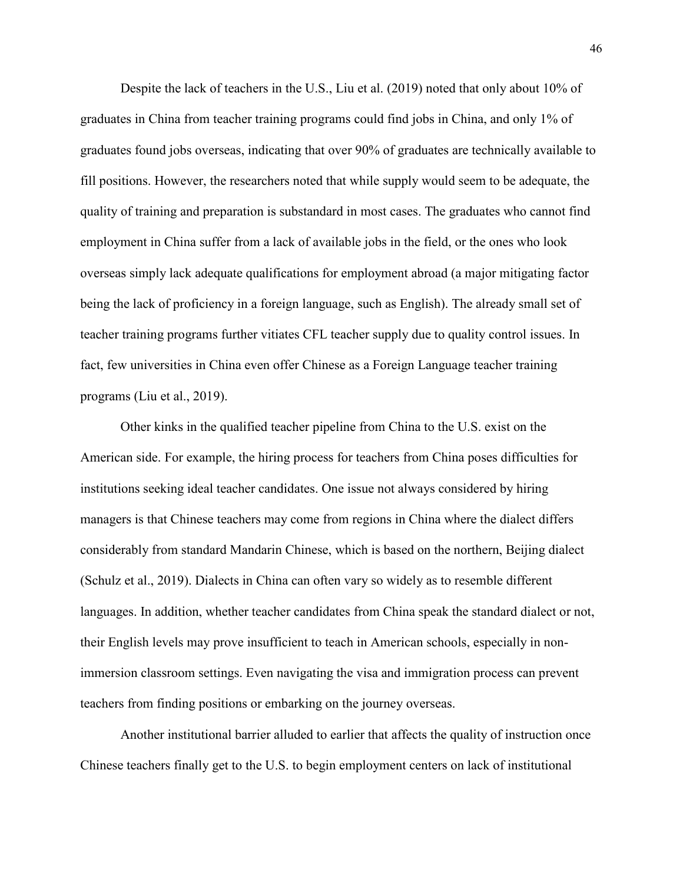Despite the lack of teachers in the U.S., Liu et al. (2019) noted that only about 10% of graduates in China from teacher training programs could find jobs in China, and only 1% of graduates found jobs overseas, indicating that over 90% of graduates are technically available to fill positions. However, the researchers noted that while supply would seem to be adequate, the quality of training and preparation is substandard in most cases. The graduates who cannot find employment in China suffer from a lack of available jobs in the field, or the ones who look overseas simply lack adequate qualifications for employment abroad (a major mitigating factor being the lack of proficiency in a foreign language, such as English). The already small set of teacher training programs further vitiates CFL teacher supply due to quality control issues. In fact, few universities in China even offer Chinese as a Foreign Language teacher training programs (Liu et al., 2019).

Other kinks in the qualified teacher pipeline from China to the U.S. exist on the American side. For example, the hiring process for teachers from China poses difficulties for institutions seeking ideal teacher candidates. One issue not always considered by hiring managers is that Chinese teachers may come from regions in China where the dialect differs considerably from standard Mandarin Chinese, which is based on the northern, Beijing dialect (Schulz et al., 2019). Dialects in China can often vary so widely as to resemble different languages. In addition, whether teacher candidates from China speak the standard dialect or not, their English levels may prove insufficient to teach in American schools, especially in nonimmersion classroom settings. Even navigating the visa and immigration process can prevent teachers from finding positions or embarking on the journey overseas.

Another institutional barrier alluded to earlier that affects the quality of instruction once Chinese teachers finally get to the U.S. to begin employment centers on lack of institutional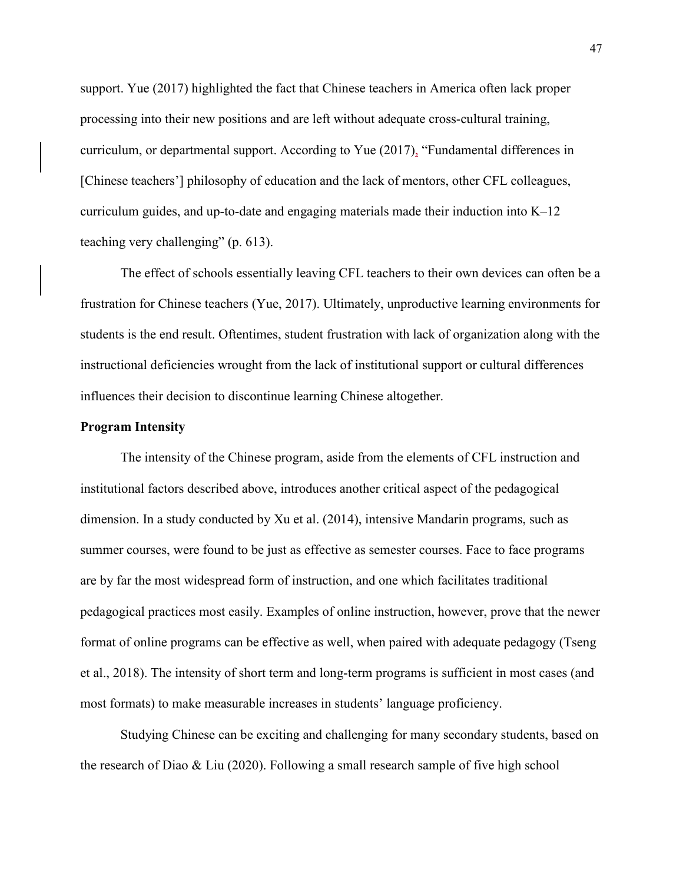support. Yue (2017) highlighted the fact that Chinese teachers in America often lack proper processing into their new positions and are left without adequate cross-cultural training, curriculum, or departmental support. According to Yue (2017), "Fundamental differences in [Chinese teachers'] philosophy of education and the lack of mentors, other CFL colleagues, curriculum guides, and up-to-date and engaging materials made their induction into  $K-12$ teaching very challenging" (p. 613).

The effect of schools essentially leaving CFL teachers to their own devices can often be a frustration for Chinese teachers (Yue, 2017). Ultimately, unproductive learning environments for students is the end result. Oftentimes, student frustration with lack of organization along with the instructional deficiencies wrought from the lack of institutional support or cultural differences influences their decision to discontinue learning Chinese altogether.

# **Program Intensity**

The intensity of the Chinese program, aside from the elements of CFL instruction and institutional factors described above, introduces another critical aspect of the pedagogical dimension. In a study conducted by Xu et al. (2014), intensive Mandarin programs, such as summer courses, were found to be just as effective as semester courses. Face to face programs are by far the most widespread form of instruction, and one which facilitates traditional pedagogical practices most easily. Examples of online instruction, however, prove that the newer format of online programs can be effective as well, when paired with adequate pedagogy (Tseng et al., 2018). The intensity of short term and long-term programs is sufficient in most cases (and most formats) to make measurable increases in students' language proficiency.

Studying Chinese can be exciting and challenging for many secondary students, based on the research of Diao & Liu (2020). Following a small research sample of five high school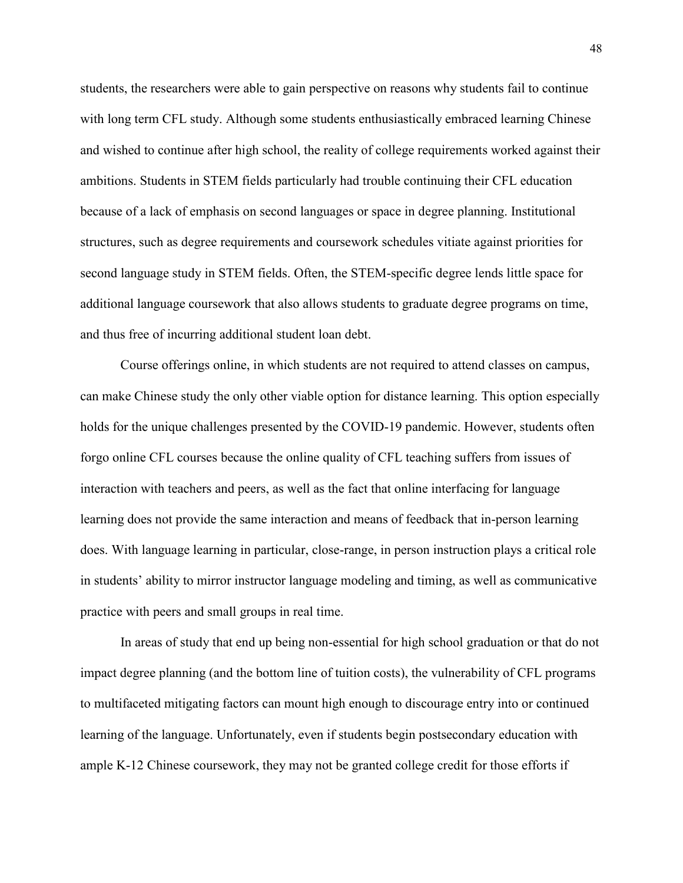students, the researchers were able to gain perspective on reasons why students fail to continue with long term CFL study. Although some students enthusiastically embraced learning Chinese and wished to continue after high school, the reality of college requirements worked against their ambitions. Students in STEM fields particularly had trouble continuing their CFL education because of a lack of emphasis on second languages or space in degree planning. Institutional structures, such as degree requirements and coursework schedules vitiate against priorities for second language study in STEM fields. Often, the STEM-specific degree lends little space for additional language coursework that also allows students to graduate degree programs on time, and thus free of incurring additional student loan debt.

Course offerings online, in which students are not required to attend classes on campus, can make Chinese study the only other viable option for distance learning. This option especially holds for the unique challenges presented by the COVID-19 pandemic. However, students often forgo online CFL courses because the online quality of CFL teaching suffers from issues of interaction with teachers and peers, as well as the fact that online interfacing for language learning does not provide the same interaction and means of feedback that in-person learning does. With language learning in particular, close-range, in person instruction plays a critical role in students' ability to mirror instructor language modeling and timing, as well as communicative practice with peers and small groups in real time.

In areas of study that end up being non-essential for high school graduation or that do not impact degree planning (and the bottom line of tuition costs), the vulnerability of CFL programs to multifaceted mitigating factors can mount high enough to discourage entry into or continued learning of the language. Unfortunately, even if students begin postsecondary education with ample K-12 Chinese coursework, they may not be granted college credit for those efforts if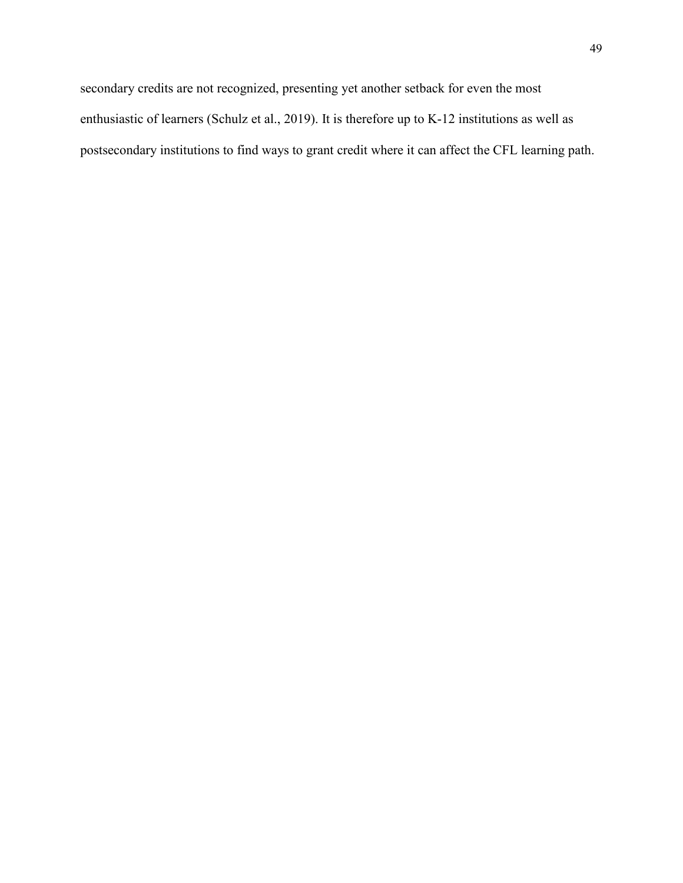secondary credits are not recognized, presenting yet another setback for even the most enthusiastic of learners (Schulz et al., 2019). It is therefore up to K-12 institutions as well as postsecondary institutions to find ways to grant credit where it can affect the CFL learning path.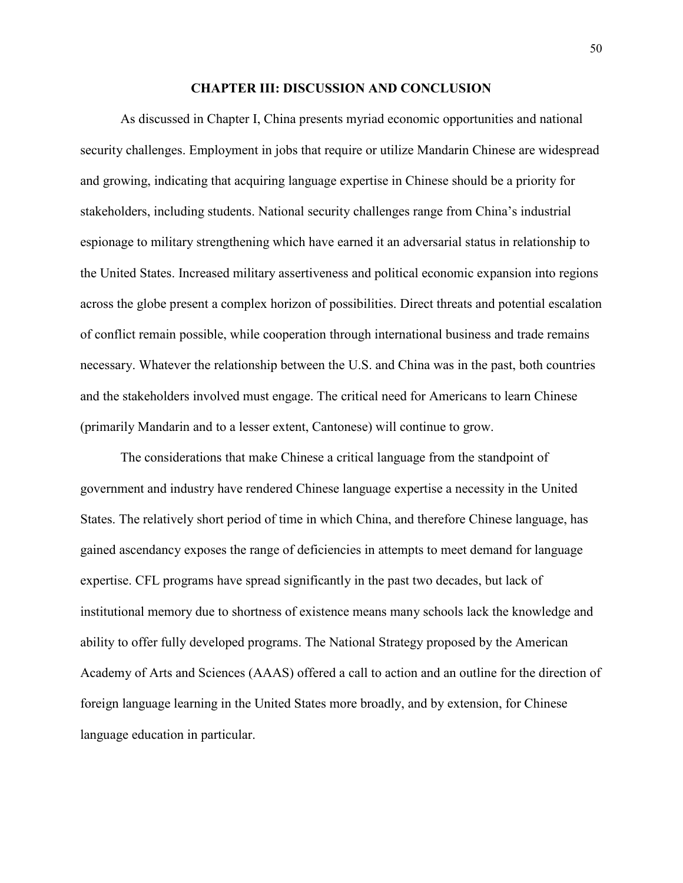### **CHAPTER III: DISCUSSION AND CONCLUSION**

As discussed in Chapter I, China presents myriad economic opportunities and national security challenges. Employment in jobs that require or utilize Mandarin Chinese are widespread and growing, indicating that acquiring language expertise in Chinese should be a priority for stakeholders, including students. National security challenges range from China's industrial espionage to military strengthening which have earned it an adversarial status in relationship to the United States. Increased military assertiveness and political economic expansion into regions across the globe present a complex horizon of possibilities. Direct threats and potential escalation of conflict remain possible, while cooperation through international business and trade remains necessary. Whatever the relationship between the U.S. and China was in the past, both countries and the stakeholders involved must engage. The critical need for Americans to learn Chinese (primarily Mandarin and to a lesser extent, Cantonese) will continue to grow.

The considerations that make Chinese a critical language from the standpoint of government and industry have rendered Chinese language expertise a necessity in the United States. The relatively short period of time in which China, and therefore Chinese language, has gained ascendancy exposes the range of deficiencies in attempts to meet demand for language expertise. CFL programs have spread significantly in the past two decades, but lack of institutional memory due to shortness of existence means many schools lack the knowledge and ability to offer fully developed programs. The National Strategy proposed by the American Academy of Arts and Sciences (AAAS) offered a call to action and an outline for the direction of foreign language learning in the United States more broadly, and by extension, for Chinese language education in particular.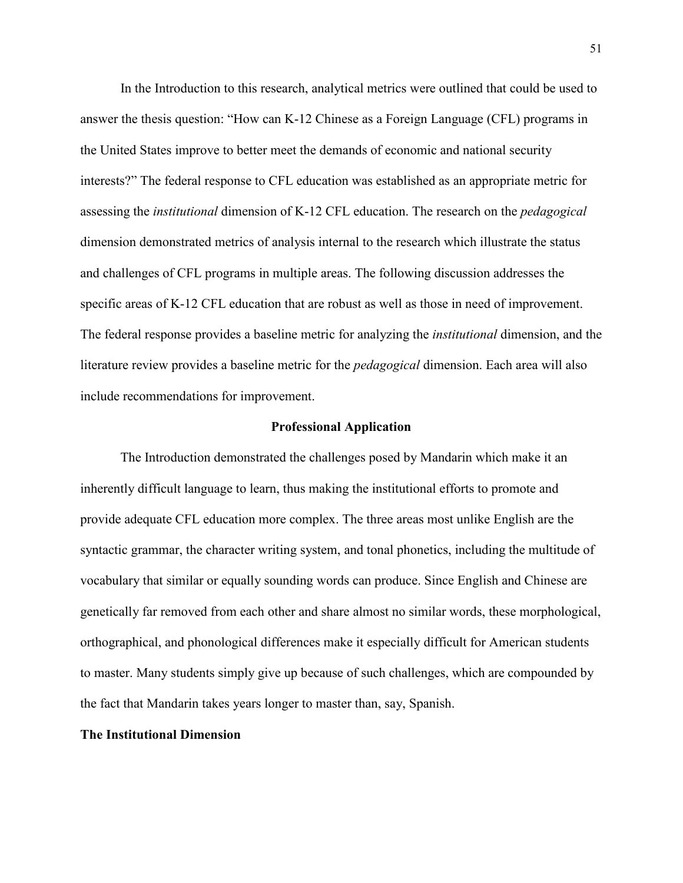In the Introduction to this research, analytical metrics were outlined that could be used to answer the thesis question: "How can K-12 Chinese as a Foreign Language (CFL) programs in the United States improve to better meet the demands of economic and national security interests?" The federal response to CFL education was established as an appropriate metric for assessing the *institutional* dimension of K-12 CFL education. The research on the *pedagogical* dimension demonstrated metrics of analysis internal to the research which illustrate the status and challenges of CFL programs in multiple areas. The following discussion addresses the specific areas of K-12 CFL education that are robust as well as those in need of improvement. The federal response provides a baseline metric for analyzing the *institutional* dimension, and the literature review provides a baseline metric for the *pedagogical* dimension. Each area will also include recommendations for improvement.

#### **Professional Application**

The Introduction demonstrated the challenges posed by Mandarin which make it an inherently difficult language to learn, thus making the institutional efforts to promote and provide adequate CFL education more complex. The three areas most unlike English are the syntactic grammar, the character writing system, and tonal phonetics, including the multitude of vocabulary that similar or equally sounding words can produce. Since English and Chinese are genetically far removed from each other and share almost no similar words, these morphological, orthographical, and phonological differences make it especially difficult for American students to master. Many students simply give up because of such challenges, which are compounded by the fact that Mandarin takes years longer to master than, say, Spanish.

### **The Institutional Dimension**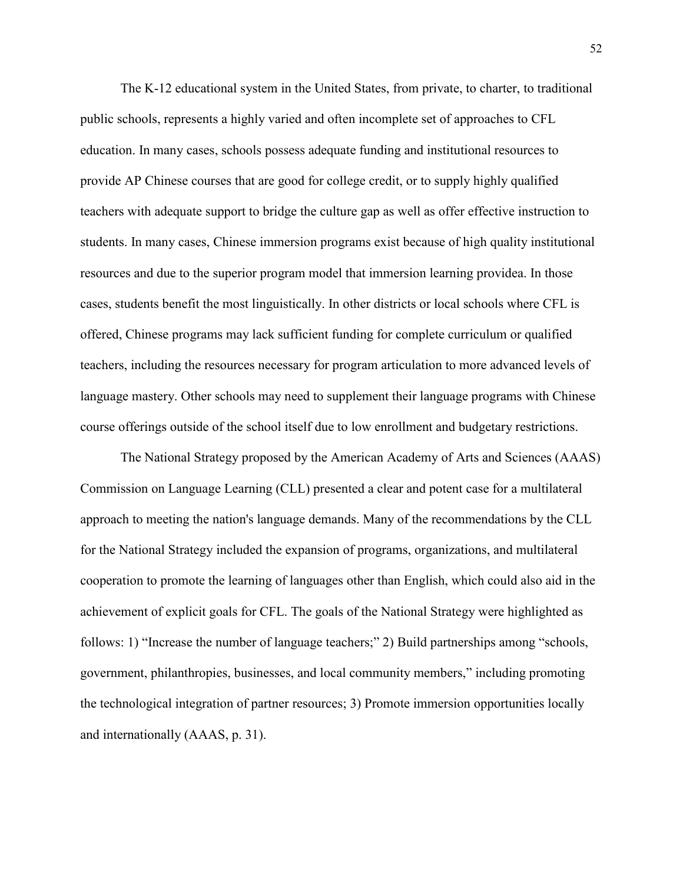The K-12 educational system in the United States, from private, to charter, to traditional public schools, represents a highly varied and often incomplete set of approaches to CFL education. In many cases, schools possess adequate funding and institutional resources to provide AP Chinese courses that are good for college credit, or to supply highly qualified teachers with adequate support to bridge the culture gap as well as offer effective instruction to students. In many cases, Chinese immersion programs exist because of high quality institutional resources and due to the superior program model that immersion learning providea. In those cases, students benefit the most linguistically. In other districts or local schools where CFL is offered, Chinese programs may lack sufficient funding for complete curriculum or qualified teachers, including the resources necessary for program articulation to more advanced levels of language mastery. Other schools may need to supplement their language programs with Chinese course offerings outside of the school itself due to low enrollment and budgetary restrictions.

The National Strategy proposed by the American Academy of Arts and Sciences (AAAS) Commission on Language Learning (CLL) presented a clear and potent case for a multilateral approach to meeting the nation's language demands. Many of the recommendations by the CLL for the National Strategy included the expansion of programs, organizations, and multilateral cooperation to promote the learning of languages other than English, which could also aid in the achievement of explicit goals for CFL. The goals of the National Strategy were highlighted as follows: 1) "Increase the number of language teachers;" 2) Build partnerships among "schools, government, philanthropies, businesses, and local community members," including promoting the technological integration of partner resources; 3) Promote immersion opportunities locally and internationally (AAAS, p. 31).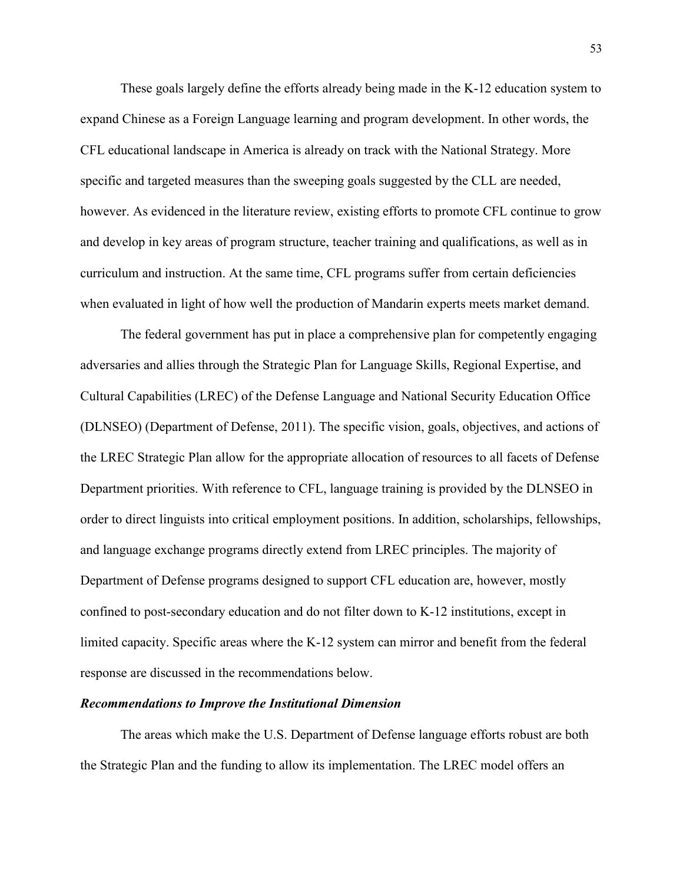These goals largely define the efforts already being made in the K-12 education system to expand Chinese as a Foreign Language learning and program development. In other words, the CFL educational landscape in America is already on track with the National Strategy. More specific and targeted measures than the sweeping goals suggested by the CLL are needed, however. As evidenced in the literature review, existing efforts to promote CFL continue to grow and develop in key areas of program structure, teacher training and qualifications, as well as in curriculum and instruction. At the same time, CFL programs suffer from certain deficiencies when evaluated in light of how well the production of Mandarin experts meets market demand.

The federal government has put in place a comprehensive plan for competently engaging adversaries and allies through the Strategic Plan for Language Skills, Regional Expertise, and Cultural Capabilities (LREC) of the Defense Language and National Security Education Office (DLNSEO) (Department of Defense, 2011). The specific vision, goals, objectives, and actions of the LREC Strategic Plan allow for the appropriate allocation of resources to all facets of Defense Department priorities. With reference to CFL, language training is provided by the DLNSEO in order to direct linguists into critical employment positions. In addition, scholarships, fellowships, and language exchange programs directly extend from LREC principles. The majority of Department of Defense programs designed to support CFL education are, however, mostly confined to post-secondary education and do not filter down to K-12 institutions, except in limited capacity. Specific areas where the K-12 system can mirror and benefit from the federal response are discussed in the recommendations below.

### *Recommendations to Improve the Institutional Dimension*

The areas which make the U.S. Department of Defense language efforts robust are both the Strategic Plan and the funding to allow its implementation. The LREC model offers an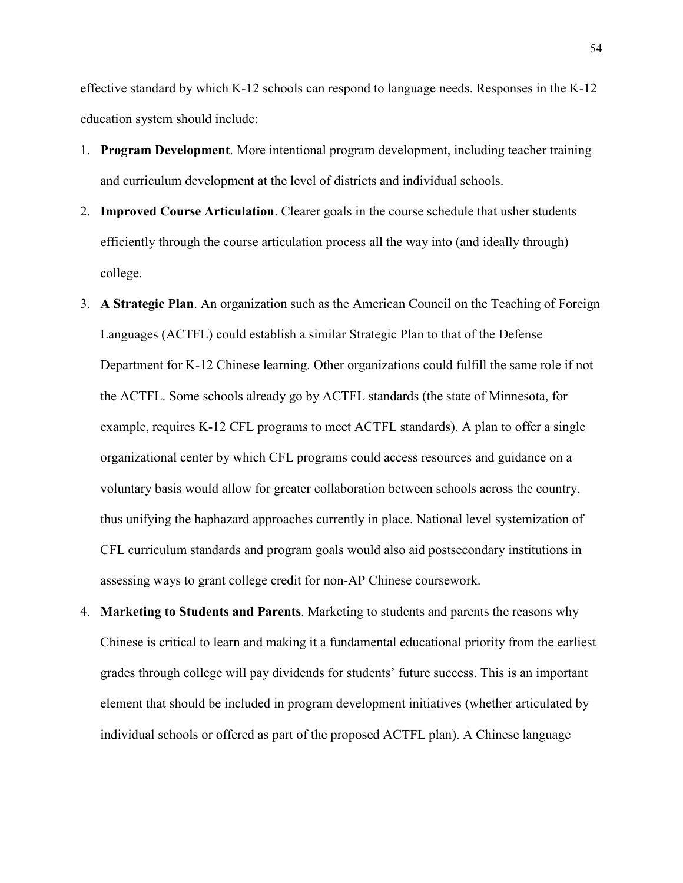effective standard by which K-12 schools can respond to language needs. Responses in the K-12 education system should include:

- 1. **Program Development**. More intentional program development, including teacher training and curriculum development at the level of districts and individual schools.
- 2. **Improved Course Articulation**. Clearer goals in the course schedule that usher students efficiently through the course articulation process all the way into (and ideally through) college.
- 3. **A Strategic Plan**. An organization such as the American Council on the Teaching of Foreign Languages (ACTFL) could establish a similar Strategic Plan to that of the Defense Department for K-12 Chinese learning. Other organizations could fulfill the same role if not the ACTFL. Some schools already go by ACTFL standards (the state of Minnesota, for example, requires K-12 CFL programs to meet ACTFL standards). A plan to offer a single organizational center by which CFL programs could access resources and guidance on a voluntary basis would allow for greater collaboration between schools across the country, thus unifying the haphazard approaches currently in place. National level systemization of CFL curriculum standards and program goals would also aid postsecondary institutions in assessing ways to grant college credit for non-AP Chinese coursework.
- 4. **Marketing to Students and Parents**. Marketing to students and parents the reasons why Chinese is critical to learn and making it a fundamental educational priority from the earliest grades through college will pay dividends for students' future success. This is an important element that should be included in program development initiatives (whether articulated by individual schools or offered as part of the proposed ACTFL plan). A Chinese language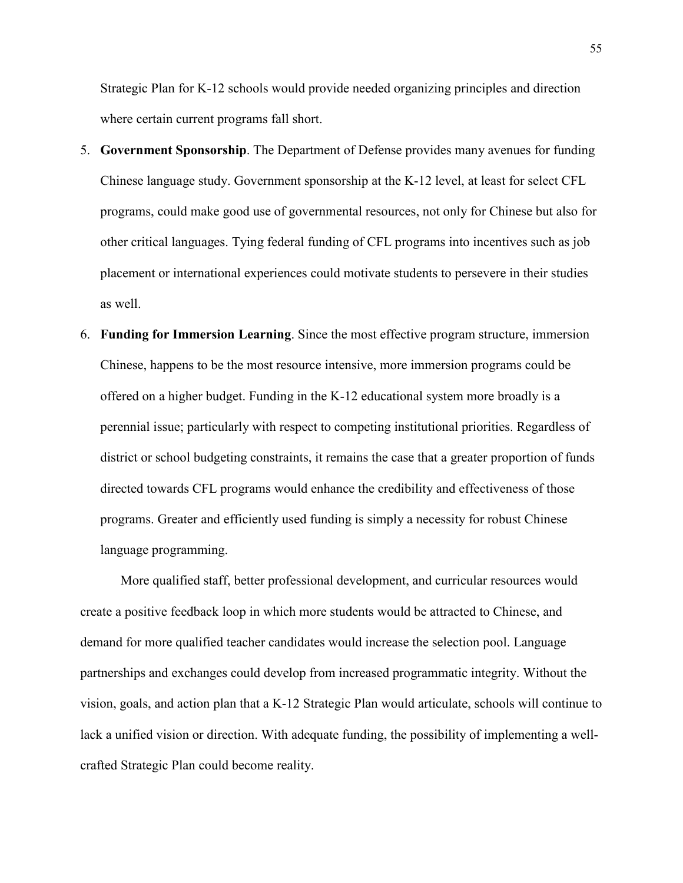Strategic Plan for K-12 schools would provide needed organizing principles and direction where certain current programs fall short.

- 5. **Government Sponsorship**. The Department of Defense provides many avenues for funding Chinese language study. Government sponsorship at the K-12 level, at least for select CFL programs, could make good use of governmental resources, not only for Chinese but also for other critical languages. Tying federal funding of CFL programs into incentives such as job placement or international experiences could motivate students to persevere in their studies as well.
- 6. **Funding for Immersion Learning**. Since the most effective program structure, immersion Chinese, happens to be the most resource intensive, more immersion programs could be offered on a higher budget. Funding in the K-12 educational system more broadly is a perennial issue; particularly with respect to competing institutional priorities. Regardless of district or school budgeting constraints, it remains the case that a greater proportion of funds directed towards CFL programs would enhance the credibility and effectiveness of those programs. Greater and efficiently used funding is simply a necessity for robust Chinese language programming.

More qualified staff, better professional development, and curricular resources would create a positive feedback loop in which more students would be attracted to Chinese, and demand for more qualified teacher candidates would increase the selection pool. Language partnerships and exchanges could develop from increased programmatic integrity. Without the vision, goals, and action plan that a K-12 Strategic Plan would articulate, schools will continue to lack a unified vision or direction. With adequate funding, the possibility of implementing a wellcrafted Strategic Plan could become reality.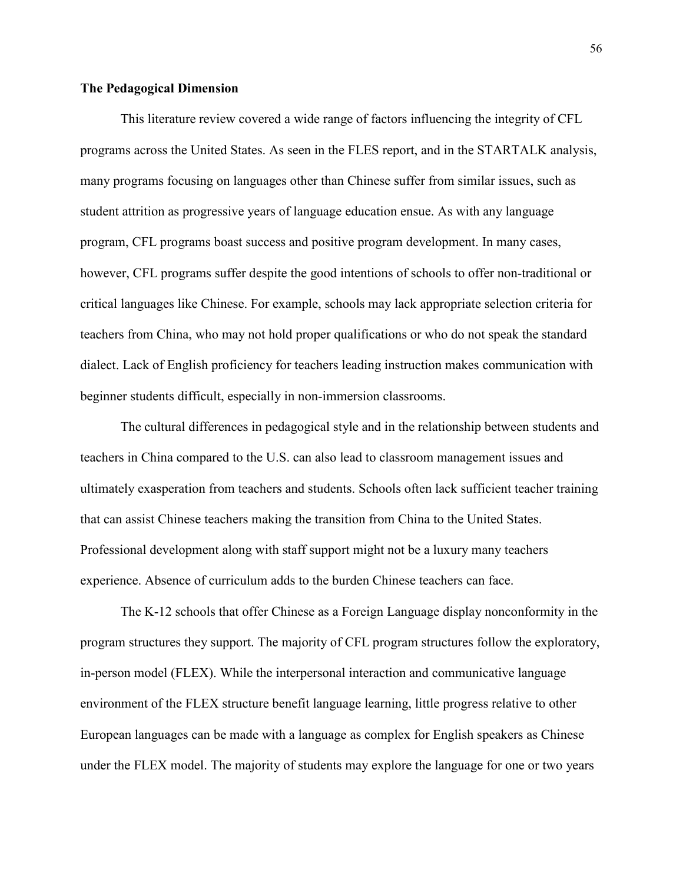# **The Pedagogical Dimension**

This literature review covered a wide range of factors influencing the integrity of CFL programs across the United States. As seen in the FLES report, and in the STARTALK analysis, many programs focusing on languages other than Chinese suffer from similar issues, such as student attrition as progressive years of language education ensue. As with any language program, CFL programs boast success and positive program development. In many cases, however, CFL programs suffer despite the good intentions of schools to offer non-traditional or critical languages like Chinese. For example, schools may lack appropriate selection criteria for teachers from China, who may not hold proper qualifications or who do not speak the standard dialect. Lack of English proficiency for teachers leading instruction makes communication with beginner students difficult, especially in non-immersion classrooms.

The cultural differences in pedagogical style and in the relationship between students and teachers in China compared to the U.S. can also lead to classroom management issues and ultimately exasperation from teachers and students. Schools often lack sufficient teacher training that can assist Chinese teachers making the transition from China to the United States. Professional development along with staff support might not be a luxury many teachers experience. Absence of curriculum adds to the burden Chinese teachers can face.

The K-12 schools that offer Chinese as a Foreign Language display nonconformity in the program structures they support. The majority of CFL program structures follow the exploratory, in-person model (FLEX). While the interpersonal interaction and communicative language environment of the FLEX structure benefit language learning, little progress relative to other European languages can be made with a language as complex for English speakers as Chinese under the FLEX model. The majority of students may explore the language for one or two years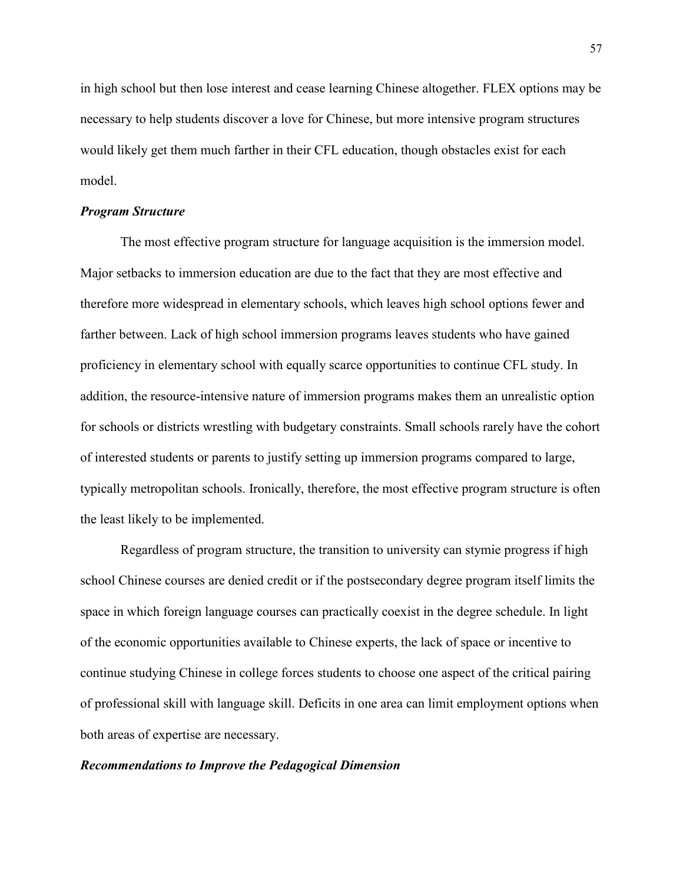in high school but then lose interest and cease learning Chinese altogether. FLEX options may be necessary to help students discover a love for Chinese, but more intensive program structures would likely get them much farther in their CFL education, though obstacles exist for each model.

#### *Program Structure*

The most effective program structure for language acquisition is the immersion model. Major setbacks to immersion education are due to the fact that they are most effective and therefore more widespread in elementary schools, which leaves high school options fewer and farther between. Lack of high school immersion programs leaves students who have gained proficiency in elementary school with equally scarce opportunities to continue CFL study. In addition, the resource-intensive nature of immersion programs makes them an unrealistic option for schools or districts wrestling with budgetary constraints. Small schools rarely have the cohort of interested students or parents to justify setting up immersion programs compared to large, typically metropolitan schools. Ironically, therefore, the most effective program structure is often the least likely to be implemented.

Regardless of program structure, the transition to university can stymie progress if high school Chinese courses are denied credit or if the postsecondary degree program itself limits the space in which foreign language courses can practically coexist in the degree schedule. In light of the economic opportunities available to Chinese experts, the lack of space or incentive to continue studying Chinese in college forces students to choose one aspect of the critical pairing of professional skill with language skill. Deficits in one area can limit employment options when both areas of expertise are necessary.

#### *Recommendations to Improve the Pedagogical Dimension*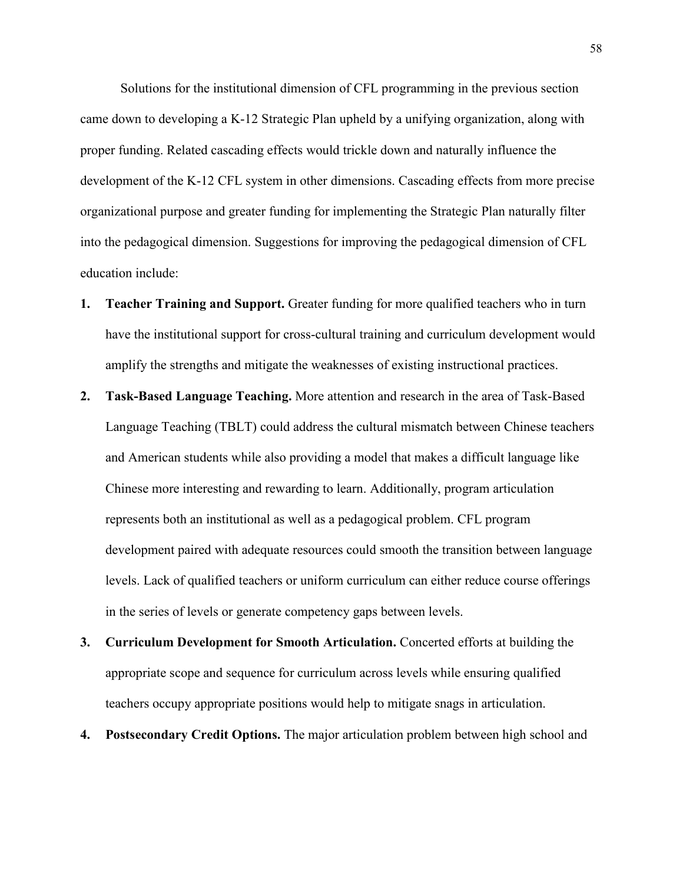Solutions for the institutional dimension of CFL programming in the previous section came down to developing a K-12 Strategic Plan upheld by a unifying organization, along with proper funding. Related cascading effects would trickle down and naturally influence the development of the K-12 CFL system in other dimensions. Cascading effects from more precise organizational purpose and greater funding for implementing the Strategic Plan naturally filter into the pedagogical dimension. Suggestions for improving the pedagogical dimension of CFL education include:

- **1. Teacher Training and Support.** Greater funding for more qualified teachers who in turn have the institutional support for cross-cultural training and curriculum development would amplify the strengths and mitigate the weaknesses of existing instructional practices.
- **2. Task-Based Language Teaching.** More attention and research in the area of Task-Based Language Teaching (TBLT) could address the cultural mismatch between Chinese teachers and American students while also providing a model that makes a difficult language like Chinese more interesting and rewarding to learn. Additionally, program articulation represents both an institutional as well as a pedagogical problem. CFL program development paired with adequate resources could smooth the transition between language levels. Lack of qualified teachers or uniform curriculum can either reduce course offerings in the series of levels or generate competency gaps between levels.
- **3. Curriculum Development for Smooth Articulation.** Concerted efforts at building the appropriate scope and sequence for curriculum across levels while ensuring qualified teachers occupy appropriate positions would help to mitigate snags in articulation.
- **4. Postsecondary Credit Options.** The major articulation problem between high school and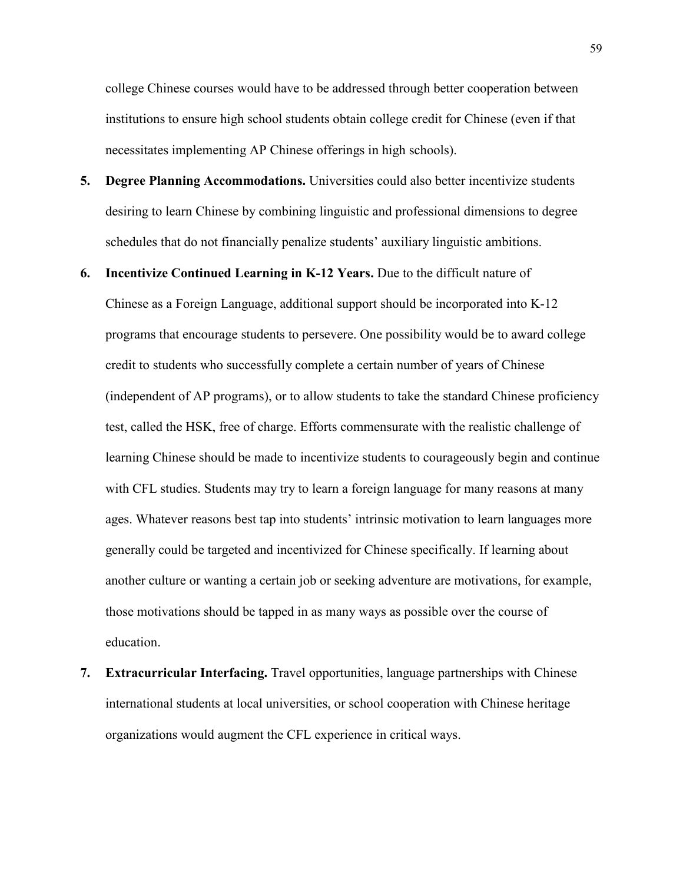college Chinese courses would have to be addressed through better cooperation between institutions to ensure high school students obtain college credit for Chinese (even if that necessitates implementing AP Chinese offerings in high schools).

- **5. Degree Planning Accommodations.** Universities could also better incentivize students desiring to learn Chinese by combining linguistic and professional dimensions to degree schedules that do not financially penalize students' auxiliary linguistic ambitions.
- **6. Incentivize Continued Learning in K-12 Years.** Due to the difficult nature of Chinese as a Foreign Language, additional support should be incorporated into K-12 programs that encourage students to persevere. One possibility would be to award college credit to students who successfully complete a certain number of years of Chinese (independent of AP programs), or to allow students to take the standard Chinese proficiency test, called the HSK, free of charge. Efforts commensurate with the realistic challenge of learning Chinese should be made to incentivize students to courageously begin and continue with CFL studies. Students may try to learn a foreign language for many reasons at many ages. Whatever reasons best tap into students' intrinsic motivation to learn languages more generally could be targeted and incentivized for Chinese specifically. If learning about another culture or wanting a certain job or seeking adventure are motivations, for example, those motivations should be tapped in as many ways as possible over the course of education.
- **7. Extracurricular Interfacing.** Travel opportunities, language partnerships with Chinese international students at local universities, or school cooperation with Chinese heritage organizations would augment the CFL experience in critical ways.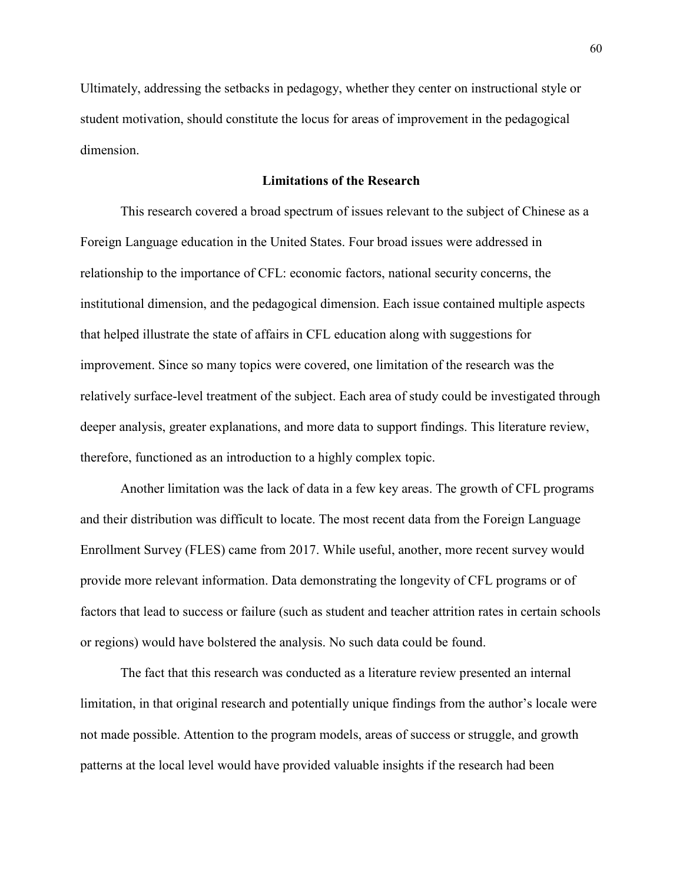Ultimately, addressing the setbacks in pedagogy, whether they center on instructional style or student motivation, should constitute the locus for areas of improvement in the pedagogical dimension.

## **Limitations of the Research**

This research covered a broad spectrum of issues relevant to the subject of Chinese as a Foreign Language education in the United States. Four broad issues were addressed in relationship to the importance of CFL: economic factors, national security concerns, the institutional dimension, and the pedagogical dimension. Each issue contained multiple aspects that helped illustrate the state of affairs in CFL education along with suggestions for improvement. Since so many topics were covered, one limitation of the research was the relatively surface-level treatment of the subject. Each area of study could be investigated through deeper analysis, greater explanations, and more data to support findings. This literature review, therefore, functioned as an introduction to a highly complex topic.

Another limitation was the lack of data in a few key areas. The growth of CFL programs and their distribution was difficult to locate. The most recent data from the Foreign Language Enrollment Survey (FLES) came from 2017. While useful, another, more recent survey would provide more relevant information. Data demonstrating the longevity of CFL programs or of factors that lead to success or failure (such as student and teacher attrition rates in certain schools or regions) would have bolstered the analysis. No such data could be found.

The fact that this research was conducted as a literature review presented an internal limitation, in that original research and potentially unique findings from the author's locale were not made possible. Attention to the program models, areas of success or struggle, and growth patterns at the local level would have provided valuable insights if the research had been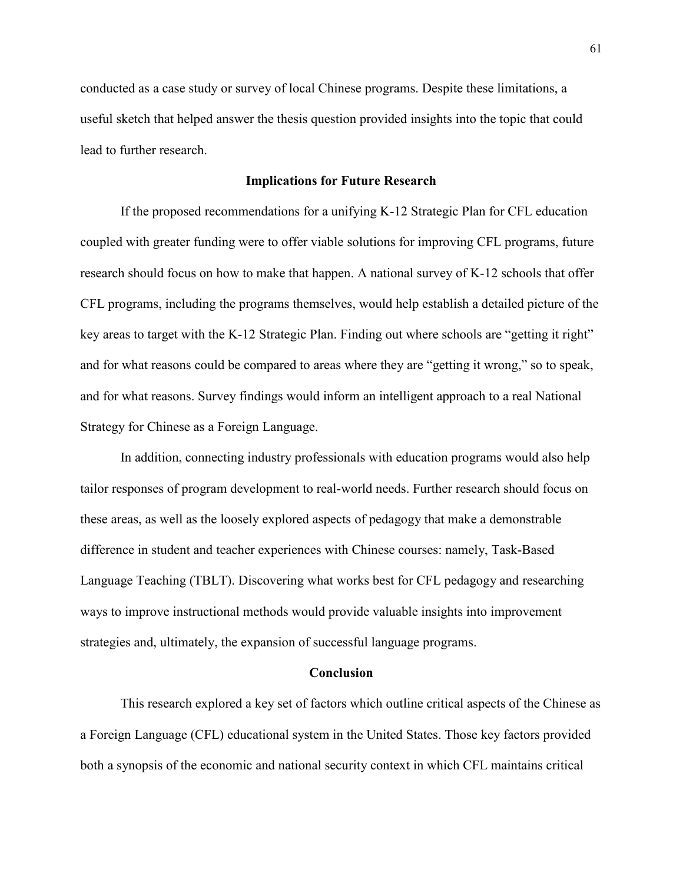conducted as a case study or survey of local Chinese programs. Despite these limitations, a useful sketch that helped answer the thesis question provided insights into the topic that could lead to further research.

### **Implications for Future Research**

If the proposed recommendations for a unifying K-12 Strategic Plan for CFL education coupled with greater funding were to offer viable solutions for improving CFL programs, future research should focus on how to make that happen. A national survey of K-12 schools that offer CFL programs, including the programs themselves, would help establish a detailed picture of the key areas to target with the K-12 Strategic Plan. Finding out where schools are "getting it right" and for what reasons could be compared to areas where they are "getting it wrong," so to speak, and for what reasons. Survey findings would inform an intelligent approach to a real National Strategy for Chinese as a Foreign Language.

In addition, connecting industry professionals with education programs would also help tailor responses of program development to real-world needs. Further research should focus on these areas, as well as the loosely explored aspects of pedagogy that make a demonstrable difference in student and teacher experiences with Chinese courses: namely, Task-Based Language Teaching (TBLT). Discovering what works best for CFL pedagogy and researching ways to improve instructional methods would provide valuable insights into improvement strategies and, ultimately, the expansion of successful language programs.

### **Conclusion**

This research explored a key set of factors which outline critical aspects of the Chinese as a Foreign Language (CFL) educational system in the United States. Those key factors provided both a synopsis of the economic and national security context in which CFL maintains critical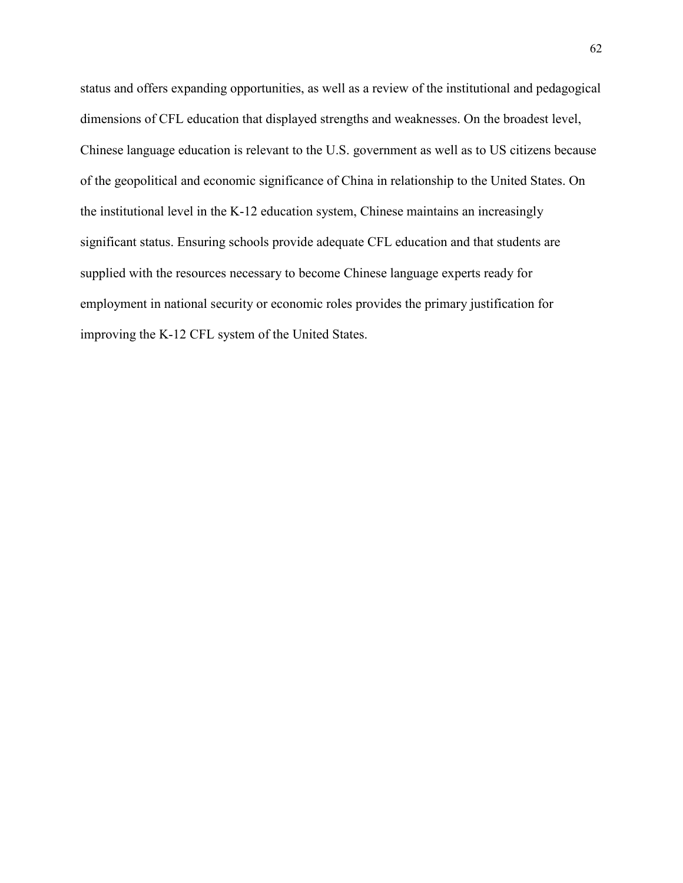status and offers expanding opportunities, as well as a review of the institutional and pedagogical dimensions of CFL education that displayed strengths and weaknesses. On the broadest level, Chinese language education is relevant to the U.S. government as well as to US citizens because of the geopolitical and economic significance of China in relationship to the United States. On the institutional level in the K-12 education system, Chinese maintains an increasingly significant status. Ensuring schools provide adequate CFL education and that students are supplied with the resources necessary to become Chinese language experts ready for employment in national security or economic roles provides the primary justification for improving the K-12 CFL system of the United States.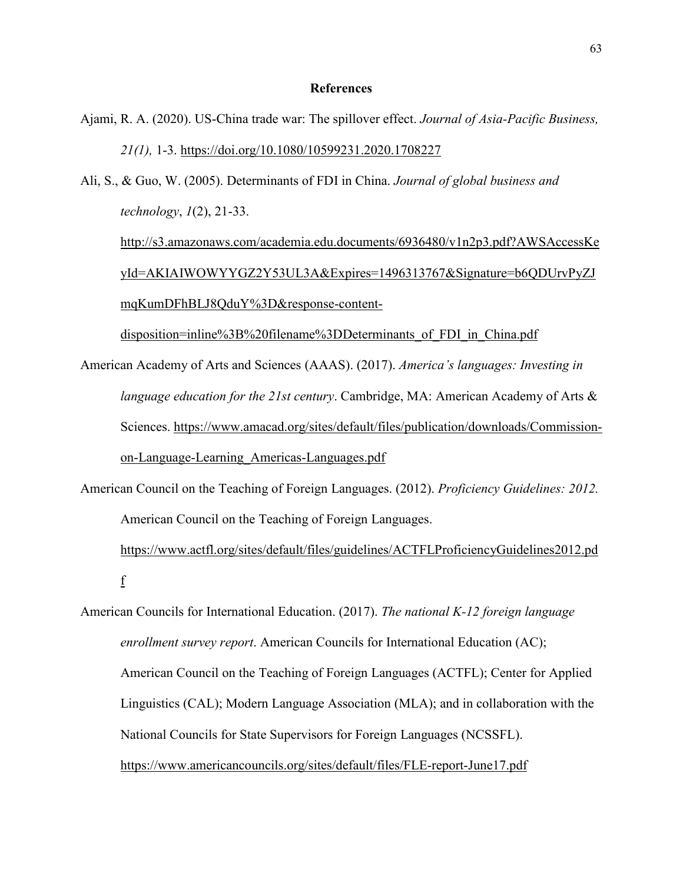### **References**

- Ajami, R. A. (2020). US-China trade war: The spillover effect. *Journal of Asia-Pacific Business, 21(1),* 1-3. <https://doi.org/10.1080/10599231.2020.1708227>
- Ali, S., & Guo, W. (2005). Determinants of FDI in China. *Journal of global business and technology*, *1*(2), 21-33.

[http://s3.amazonaws.com/academia.edu.documents/6936480/v1n2p3.pdf?AWSAccessKe](http://s3.amazonaws.com/academia.edu.documents/6936480/v1n2p3.pdf?AWSAccessKeyId=AKIAIWOWYYGZ2Y53UL3A&Expires=1491795522&Signature=DkXSh3r9Ym7FGUp2OGYVtiEe9Gs%3D&response-content-disposition=inline%3B%20filename%3DDeterminants_of_FDI_in_China.pdf) [yId=AKIAIWOWYYGZ2Y53UL3A&Expires=1496313767&Signature=b6QDUrvPyZJ](http://s3.amazonaws.com/academia.edu.documents/6936480/v1n2p3.pdf?AWSAccessKeyId=AKIAIWOWYYGZ2Y53UL3A&Expires=1491795522&Signature=DkXSh3r9Ym7FGUp2OGYVtiEe9Gs%3D&response-content-disposition=inline%3B%20filename%3DDeterminants_of_FDI_in_China.pdf) [mqKumDFhBLJ8QduY%3D&response-content-](http://s3.amazonaws.com/academia.edu.documents/6936480/v1n2p3.pdf?AWSAccessKeyId=AKIAIWOWYYGZ2Y53UL3A&Expires=1491795522&Signature=DkXSh3r9Ym7FGUp2OGYVtiEe9Gs%3D&response-content-disposition=inline%3B%20filename%3DDeterminants_of_FDI_in_China.pdf)

disposition=inline%3B%20filename%3DDeterminants of FDI in China.pdf

American Academy of Arts and Sciences (AAAS). (2017). *America's languages: Investing in language education for the 21st century*. Cambridge, MA: American Academy of Arts & Sciences. [https://www.amacad.org/sites/default/files/publication/downloads/Commission](https://www.amacad.org/sites/default/files/publication/downloads/Commission-on-Langu)[on-Langu](https://www.amacad.org/sites/default/files/publication/downloads/Commission-on-Langu)[age-Learning\\_Americas-Languages.pdf](https://www.amacad.org/sites/default/files/publication/downloads/Commission-on-Language-Learning_Americas-Languages.pdf)

American Council on the Teaching of Foreign Languages. (2012). *Proficiency Guidelines: 2012.* American Council on the Teaching of Foreign Languages.

[https://www.actfl.org/sites/default/files/guidelines/ACTFLProficiencyGuidelines2012.pd](https://www.actfl.org/sites/default/files/guidelines/ACTFLProficiencyGuidelines2012.pdf) [f](https://www.actfl.org/sites/default/files/guidelines/ACTFLProficiencyGuidelines2012.pdf)

American Councils for International Education. (2017). *The national K-12 foreign language enrollment survey report*. American Councils for International Education (AC); American Council on the Teaching of Foreign Languages (ACTFL); Center for Applied Linguistics (CAL); Modern Language Association (MLA); and in collaboration with the National Councils for State Supervisors for Foreign Languages (NCSSFL). <https://www.americancouncils.org/sites/default/files/FLE-report-June17.pdf>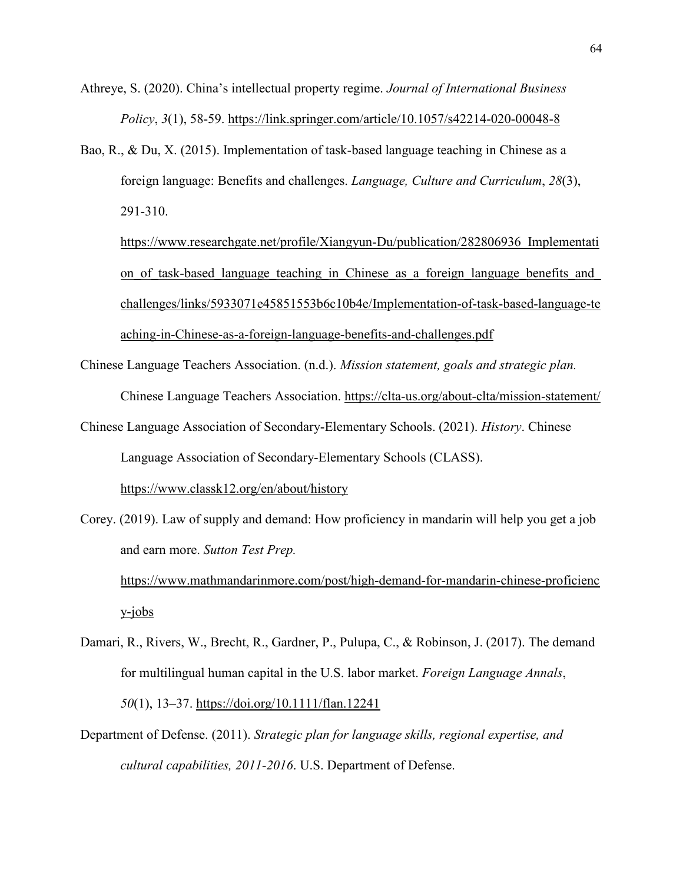Athreye, S. (2020). China's intellectual property regime. *Journal of International Business Policy*, *3*(1), 58-59.<https://link.springer.com/article/10.1057/s42214-020-00048-8>

- Bao, R., & Du, X. (2015). Implementation of task-based language teaching in Chinese as a foreign language: Benefits and challenges. *Language, Culture and Curriculum*, *28*(3), 291-310.
	- https://www.researchgate.net/profile/Xiangyun-Du/publication/282806936 Implementati on of task-based language teaching in Chinese as a foreign language benefits and [challenges/links/5933071e45851553b6c10b4e/Implementation-of-task-based-language-te](https://www.researchgate.net/profile/Xiangyun-Du/publication/282806936_Implementation_of_task-based_language_teaching_in_Chinese_as_a_foreign_language_benefits_and_challenges/links/5933071e45851553b6c10b4e/Implementation-of-task-based-language-teaching-in-Chinese-as-a-foreign-language-benefits-and-challenges.pdf) [aching-in-Chinese-as-a-foreign-language-benefits-and-challenges.pdf](https://www.researchgate.net/profile/Xiangyun-Du/publication/282806936_Implementation_of_task-based_language_teaching_in_Chinese_as_a_foreign_language_benefits_and_challenges/links/5933071e45851553b6c10b4e/Implementation-of-task-based-language-teaching-in-Chinese-as-a-foreign-language-benefits-and-challenges.pdf)
- Chinese Language Teachers Association. (n.d.). *Mission statement, goals and strategic plan.*  Chinese Language Teachers Association.<https://clta-us.org/about-clta/mission-statement/>
- Chinese Language Association of Secondary-Elementary Schools. (2021). *History*. Chinese Language Association of Secondary-Elementary Schools (CLASS).

<https://www.classk12.org/en/about/history>

Corey. (2019). Law of supply and demand: How proficiency in mandarin will help you get a job and earn more. *Sutton Test Prep.*

[https://www.mathmandarinmore.com/post/high-demand-for-mandarin-chinese-proficienc](https://www.mathmandarinmore.com/post/high-demand-for-mandarin-chinese-proficiency-jobs) [y-jobs](https://www.mathmandarinmore.com/post/high-demand-for-mandarin-chinese-proficiency-jobs)

- Damari, R., Rivers, W., Brecht, R., Gardner, P., Pulupa, C., & Robinson, J. (2017). The demand for multilingual human capital in the U.S. labor market. *Foreign Language Annals*, *50*(1), 13–37.<https://doi.org/10.1111/flan.12241>
- Department of Defense. (2011). *Strategic plan for language skills, regional expertise, and cultural capabilities, 2011-2016*. U.S. Department of Defense.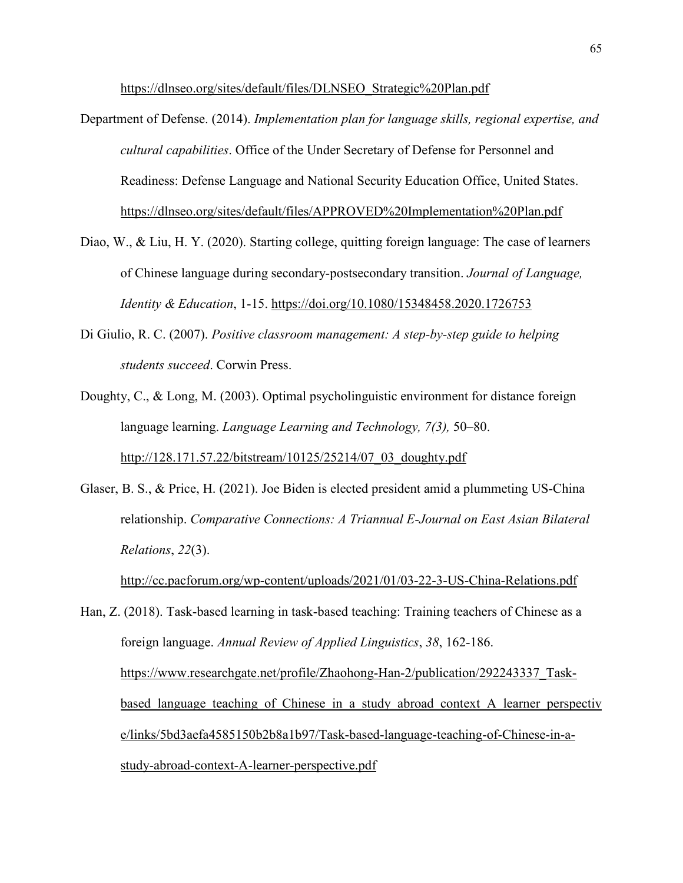[https://dlnseo.org/sites/default/files/DLNSEO\\_Strategic%20Plan.pdf](https://dlnseo.org/sites/default/files/DLNSEO_Strategic%20Plan.pdf)

- Department of Defense. (2014). *Implementation plan for language skills, regional expertise, and cultural capabilities*. Office of the Under Secretary of Defense for Personnel and Readiness: Defense Language and National Security Education Office, United States. <https://dlnseo.org/sites/default/files/APPROVED%20Implementation%20Plan.pdf>
- Diao, W., & Liu, H. Y. (2020). Starting college, quitting foreign language: The case of learners of Chinese language during secondary-postsecondary transition. *Journal of Language, Identity & Education*, 1-15.<https://doi.org/10.1080/15348458.2020.1726753>
- Di Giulio, R. C. (2007). *Positive classroom management: A step-by-step guide to helping students succeed*. Corwin Press.
- Doughty, C., & Long, M. (2003). Optimal psycholinguistic environment for distance foreign language learning. *Language Learning and Technology, 7(3),* 50–80. [http://128.171.57.22/bitstream/10125/25214/07\\_03\\_doughty.pdf](http://128.171.57.22/bitstream/10125/25214/07_03_doughty.pdf)
- Glaser, B. S., & Price, H. (2021). Joe Biden is elected president amid a plummeting US-China relationship. *Comparative Connections: A Triannual E-Journal on East Asian Bilateral Relations*, *22*(3).

<http://cc.pacforum.org/wp-content/uploads/2021/01/03-22-3-US-China-Relations.pdf>

Han, Z. (2018). Task-based learning in task-based teaching: Training teachers of Chinese as a foreign language. *Annual Review of Applied Linguistics*, *38*, 162-186. [https://www.researchgate.net/profile/Zhaohong-Han-2/publication/292243337\\_Task](https://www.researchgate.net/profile/Zhaohong-Han-2/publication/292243337_Task-based_language_teaching_of_Chinese_in_a_study_abroad_context_A_learner_perspective/links/5bd3aefa4585150b2b8a1b97/Task-based-language-teaching-of-Chinese-in-a-study-abroad-context-A-learner-perspective.pdf)based language teaching of Chinese in a study abroad context A learner perspectiv [e/links/5bd3aefa4585150b2b8a1b97/Task-based-language-teaching-of-Chinese-in-a](https://www.researchgate.net/profile/Zhaohong-Han-2/publication/292243337_Task-based_language_teaching_of_Chinese_in_a_study_abroad_context_A_learner_perspective/links/5bd3aefa4585150b2b8a1b97/Task-based-language-teaching-of-Chinese-in-a-study-abroad-context-A-learner-perspective.pdf)[study-abroad-context-A-learner-perspective.pdf](https://www.researchgate.net/profile/Zhaohong-Han-2/publication/292243337_Task-based_language_teaching_of_Chinese_in_a_study_abroad_context_A_learner_perspective/links/5bd3aefa4585150b2b8a1b97/Task-based-language-teaching-of-Chinese-in-a-study-abroad-context-A-learner-perspective.pdf)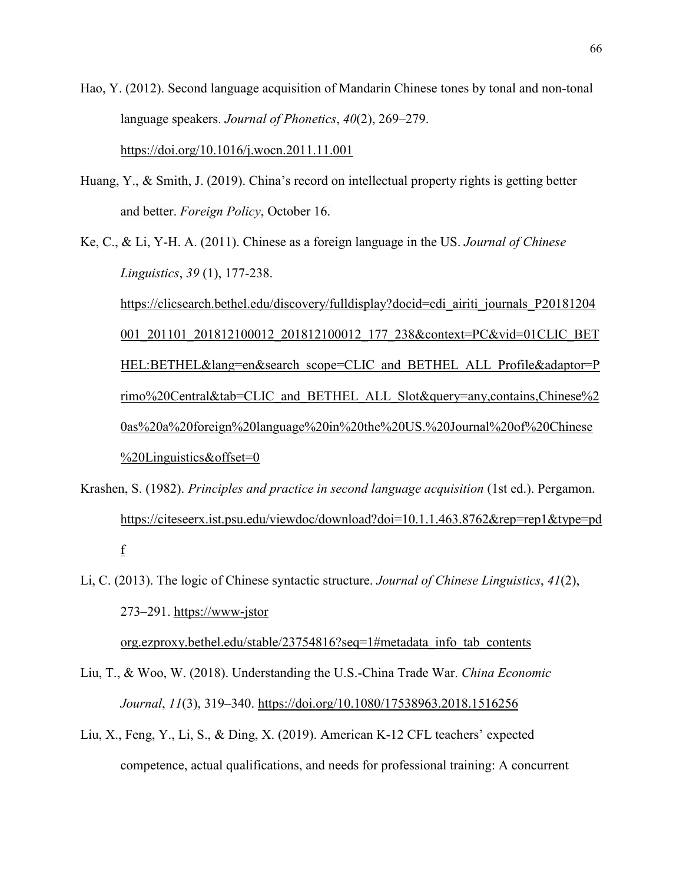Hao, Y. (2012). Second language acquisition of Mandarin Chinese tones by tonal and non-tonal language speakers. *Journal of Phonetics*, *40*(2), 269–279. <https://doi.org/10.1016/j.wocn.2011.11.001>

- Huang, Y., & Smith, J. (2019). China's record on intellectual property rights is getting better and better. *Foreign Policy*, October 16.
- Ke, C., & Li, Y-H. A. (2011). Chinese as a foreign language in the US. *Journal of Chinese Linguistics*, *39* (1), 177-238.

[https://clicsearch.bethel.edu/discovery/fulldisplay?docid=cdi\\_airiti\\_journals\\_P20181204](https://clicsearch.bethel.edu/discovery/fulldisplay?docid=cdi_airiti_journals_P20181204001_201101_201812100012_201812100012_177_238&context=PC&vid=01CLIC_BETHEL:BETHEL&lang=en&search_scope=CLIC_and_BETHEL_ALL_Profile&adaptor=Primo%20Central&tab=CLIC_and_BETHEL_ALL_Slot&query=any,contains,Chinese%20as%20a%20foreign%20language%20in%20the%20US.%20Journal%20of%20Chinese%20Linguistics&offset=0) 001 201101 201812100012 201812100012 177 238&context=PC&vid=01CLIC BET [HEL:BETHEL&lang=en&search\\_scope=CLIC\\_and\\_BETHEL\\_ALL\\_Profile&adaptor=P](https://clicsearch.bethel.edu/discovery/fulldisplay?docid=cdi_airiti_journals_P20181204001_201101_201812100012_201812100012_177_238&context=PC&vid=01CLIC_BETHEL:BETHEL&lang=en&search_scope=CLIC_and_BETHEL_ALL_Profile&adaptor=Primo%20Central&tab=CLIC_and_BETHEL_ALL_Slot&query=any,contains,Chinese%20as%20a%20foreign%20language%20in%20the%20US.%20Journal%20of%20Chinese%20Linguistics&offset=0)\_ [rimo%20Central&tab=CLIC\\_and\\_BETHEL\\_ALL\\_Slot&query=any,contains,Chinese%2](https://clicsearch.bethel.edu/discovery/fulldisplay?docid=cdi_airiti_journals_P20181204001_201101_201812100012_201812100012_177_238&context=PC&vid=01CLIC_BETHEL:BETHEL&lang=en&search_scope=CLIC_and_BETHEL_ALL_Profile&adaptor=Primo%20Central&tab=CLIC_and_BETHEL_ALL_Slot&query=any,contains,Chinese%20as%20a%20foreign%20language%20in%20the%20US.%20Journal%20of%20Chinese%20Linguistics&offset=0) [0as%20a%20foreign%20language%20in%20the%20US.%20Journal%20of%20Chinese](https://clicsearch.bethel.edu/discovery/fulldisplay?docid=cdi_airiti_journals_P20181204001_201101_201812100012_201812100012_177_238&context=PC&vid=01CLIC_BETHEL:BETHEL&lang=en&search_scope=CLIC_and_BETHEL_ALL_Profile&adaptor=Primo%20Central&tab=CLIC_and_BETHEL_ALL_Slot&query=any,contains,Chinese%20as%20a%20foreign%20language%20in%20the%20US.%20Journal%20of%20Chinese%20Linguistics&offset=0) [%20Linguistics&offset=0](https://clicsearch.bethel.edu/discovery/fulldisplay?docid=cdi_airiti_journals_P20181204001_201101_201812100012_201812100012_177_238&context=PC&vid=01CLIC_BETHEL:BETHEL&lang=en&search_scope=CLIC_and_BETHEL_ALL_Profile&adaptor=Primo%20Central&tab=CLIC_and_BETHEL_ALL_Slot&query=any,contains,Chinese%20as%20a%20foreign%20language%20in%20the%20US.%20Journal%20of%20Chinese%20Linguistics&offset=0)

- Krashen, S. (1982). *Principles and practice in second language acquisition* (1st ed.). Pergamon. [https://citeseerx.ist.psu.edu/viewdoc/download?doi=10.1.1.463.8762&rep=rep1&type=pd](https://citeseerx.ist.psu.edu/viewdoc/download?doi=10.1.1.463.8762&rep=rep1&type=pdf) [f](https://citeseerx.ist.psu.edu/viewdoc/download?doi=10.1.1.463.8762&rep=rep1&type=pdf)
- Li, C. (2013). The logic of Chinese syntactic structure. *Journal of Chinese Linguistics*, *41*(2), 273–291. https://www-jstor

org.ezproxy.bethel.edu/stable/23754816?seq=1#metadata\_info\_tab\_contents

- Liu, T., & Woo, W. (2018). Understanding the U.S.-China Trade War. *China Economic Journal*, *11*(3), 319–340.<https://doi.org/10.1080/17538963.2018.1516256>
- Liu, X., Feng, Y., Li, S., & Ding, X. (2019). American K-12 CFL teachers' expected competence, actual qualifications, and needs for professional training: A concurrent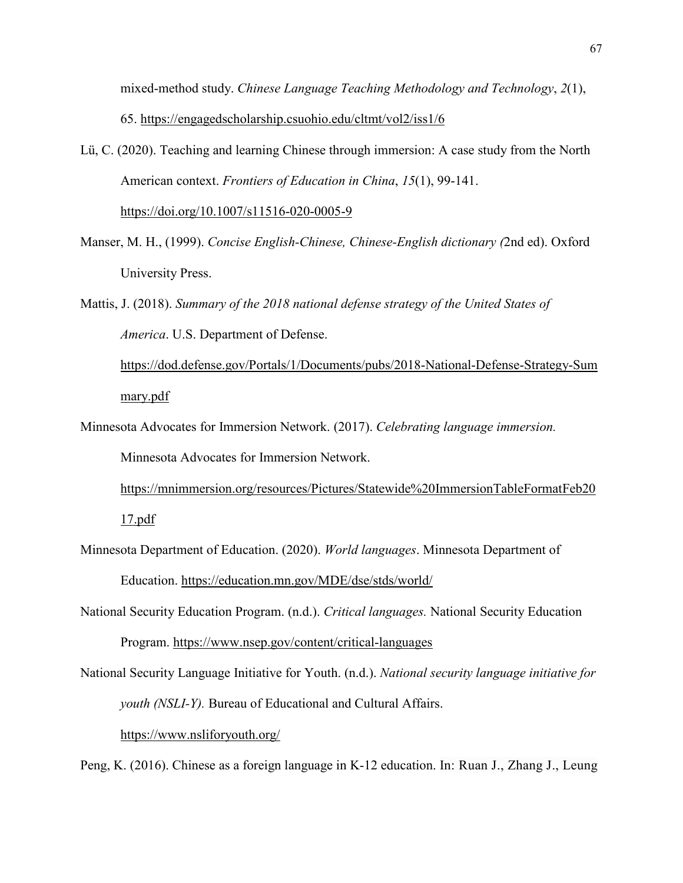mixed-method study. *Chinese Language Teaching Methodology and Technology*, *2*(1), 65.<https://engagedscholarship.csuohio.edu/cltmt/vol2/iss1/6>

Lü, C. (2020). Teaching and learning Chinese through immersion: A case study from the North American context. *Frontiers of Education in China*, *15*(1), 99-141.

<https://doi.org/10.1007/s11516-020-0005-9>

- Manser, M. H., (1999). *Concise English-Chinese, Chinese-English dictionary (*2nd ed). Oxford University Press.
- Mattis, J. (2018). *Summary of the 2018 national defense strategy of the United States of America*. U.S. Department of Defense.

[https://dod.defense.gov/Portals/1/Documents/pubs/2018-National-Defense-Strategy-Sum](https://dod.defense.gov/Portals/1/Documents/pubs/2018-National-Defense-Strategy-Summary.pdf) [mary.pdf](https://dod.defense.gov/Portals/1/Documents/pubs/2018-National-Defense-Strategy-Summary.pdf)

Minnesota Advocates for Immersion Network. (2017). *Celebrating language immersion.* Minnesota Advocates for Immersion Network.

[https://mnimmersion.org/resources/Pictures/Statewide%20ImmersionTableFormatFeb20](https://mnimmersion.org/resources/Pictures/Statewide%20ImmersionTableFormatFeb2017.pdf) [17.pdf](https://mnimmersion.org/resources/Pictures/Statewide%20ImmersionTableFormatFeb2017.pdf)

- Minnesota Department of Education. (2020). *World languages*. Minnesota Department of Education.<https://education.mn.gov/MDE/dse/stds/world/>
- National Security Education Program. (n.d.). *Critical languages.* National Security Education Program. <https://www.nsep.gov/content/critical-languages>
- National Security Language Initiative for Youth. (n.d.). *National security language initiative for youth (NSLI-Y).* Bureau of Educational and Cultural Affairs. <https://www.nsliforyouth.org/>

Peng, K. (2016). Chinese as a foreign language in K-12 education. In: Ruan J., Zhang J., Leung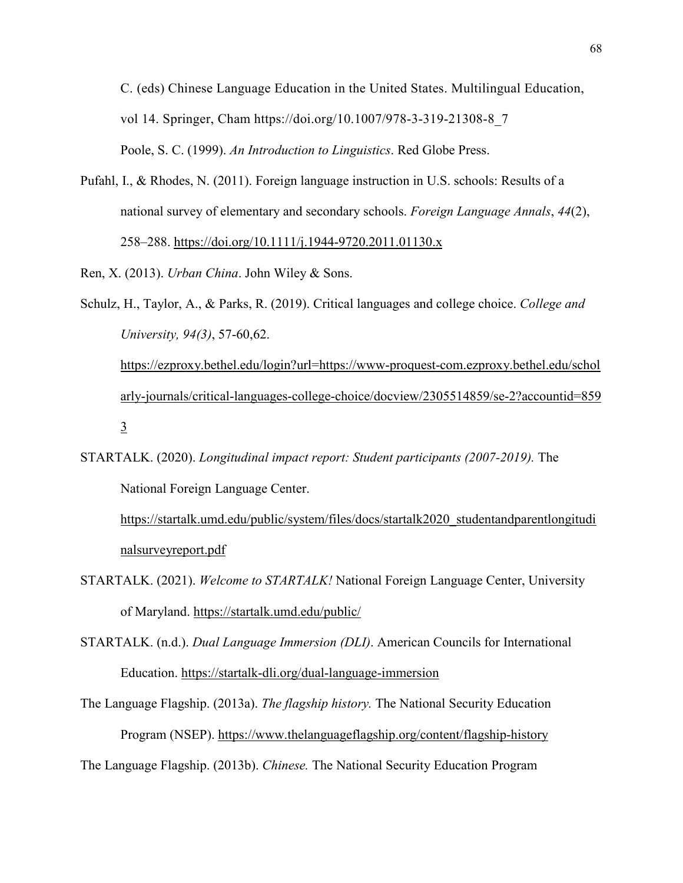C. (eds) Chinese Language Education in the United States. Multilingual Education, vol 14. Springer, Cham https://doi.org/10.1007/978-3-319-21308-8\_7 Poole, S. C. (1999). *An Introduction to Linguistics*. Red Globe Press.

Pufahl, I., & Rhodes, N. (2011). Foreign language instruction in U.S. schools: Results of a national survey of elementary and secondary schools. *Foreign Language Annals*, *44*(2), 258–288.<https://doi.org/10.1111/j.1944-9720.2011.01130.x>

Ren, X. (2013). *Urban China*. John Wiley & Sons.

Schulz, H., Taylor, A., & Parks, R. (2019). Critical languages and college choice. *College and University, 94(3)*, 57-60,62. [https://ezproxy.bethel.edu/login?url=https://www-proquest-com.ezproxy.bethel.edu/schol](https://ezproxy.bethel.edu/login?url=https://www-proquest-com.ezproxy.bethel.edu/scholarly-journals/critical-languages-college-choice/docview/2305514859/se-2?accountid=8593) [arly-journals/critical-languages-college-choice/docview/2305514859/se-2?accountid=859](https://ezproxy.bethel.edu/login?url=https://www-proquest-com.ezproxy.bethel.edu/scholarly-journals/critical-languages-college-choice/docview/2305514859/se-2?accountid=8593) [3](https://ezproxy.bethel.edu/login?url=https://www-proquest-com.ezproxy.bethel.edu/scholarly-journals/critical-languages-college-choice/docview/2305514859/se-2?accountid=8593)

STARTALK. (2020). *Longitudinal impact report: Student participants (2007-2019).* The National Foreign Language Center.

[https://startalk.umd.edu/public/system/files/docs/startalk2020\\_studentandparentlongitudi](https://startalk.umd.edu/public/system/files/docs/startalk2020_studentandparentlongitudinalsurveyreport.pdf) [nalsurveyreport.pdf](https://startalk.umd.edu/public/system/files/docs/startalk2020_studentandparentlongitudinalsurveyreport.pdf)

STARTALK. (2021). *Welcome to STARTALK!* National Foreign Language Center, University of Maryland.<https://startalk.umd.edu/public/>

STARTALK. (n.d.). *Dual Language Immersion (DLI)*. American Councils for International Education.<https://startalk-dli.org/dual-language-immersion>

The Language Flagship. (2013a). *The flagship history.* The National Security Education Program (NSEP).<https://www.thelanguageflagship.org/content/flagship-history>

The Language Flagship. (2013b). *Chinese.* The National Security Education Program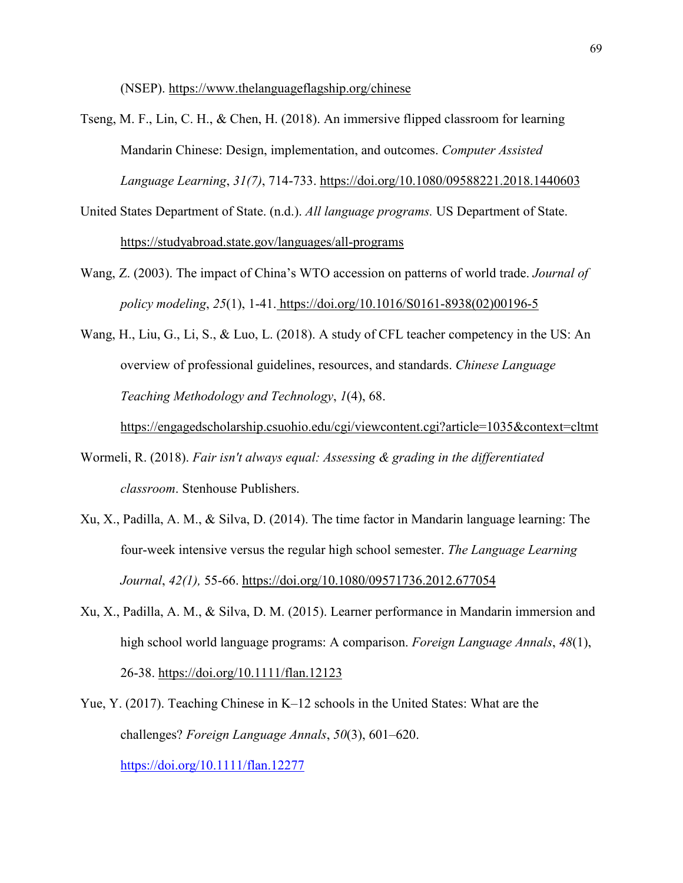(NSEP).<https://www.thelanguageflagship.org/chinese>

Tseng, M. F., Lin, C. H., & Chen, H. (2018). An immersive flipped classroom for learning Mandarin Chinese: Design, implementation, and outcomes. *Computer Assisted Language Learning*, *31(7)*, 714-733.<https://doi.org/10.1080/09588221.2018.1440603>

United States Department of State. (n.d.). *All language programs.* US Department of State. <https://studyabroad.state.gov/languages/all-programs>

- Wang, Z. (2003). The impact of China's WTO accession on patterns of world trade. *Journal of policy modeling*, *25*(1), 1-41. [https://doi.org/10.1016/S0161-8938\(02\)00196-5](https://doi.org/10.1016/S0161-8938(02)00196-5)
- Wang, H., Liu, G., Li, S., & Luo, L. (2018). A study of CFL teacher competency in the US: An overview of professional guidelines, resources, and standards. *Chinese Language Teaching Methodology and Technology*, *1*(4), 68.

<https://engagedscholarship.csuohio.edu/cgi/viewcontent.cgi?article=1035&context=cltmt>

- Wormeli, R. (2018). *Fair isn't always equal: Assessing & grading in the differentiated classroom*. Stenhouse Publishers.
- Xu, X., Padilla, A. M., & Silva, D. (2014). The time factor in Mandarin language learning: The four-week intensive versus the regular high school semester. *The Language Learning Journal*, *42(1),* 55-66.<https://doi.org/10.1080/09571736.2012.677054>
- Xu, X., Padilla, A. M., & Silva, D. M. (2015). Learner performance in Mandarin immersion and high school world language programs: A comparison. *Foreign Language Annals*, *48*(1), 26-38.<https://doi.org/10.1111/flan.12123>
- Yue, Y. (2017). Teaching Chinese in K–12 schools in the United States: What are the challenges? *Foreign Language Annals*, *50*(3), 601–620. <https://doi.org/10.1111/flan.12277>